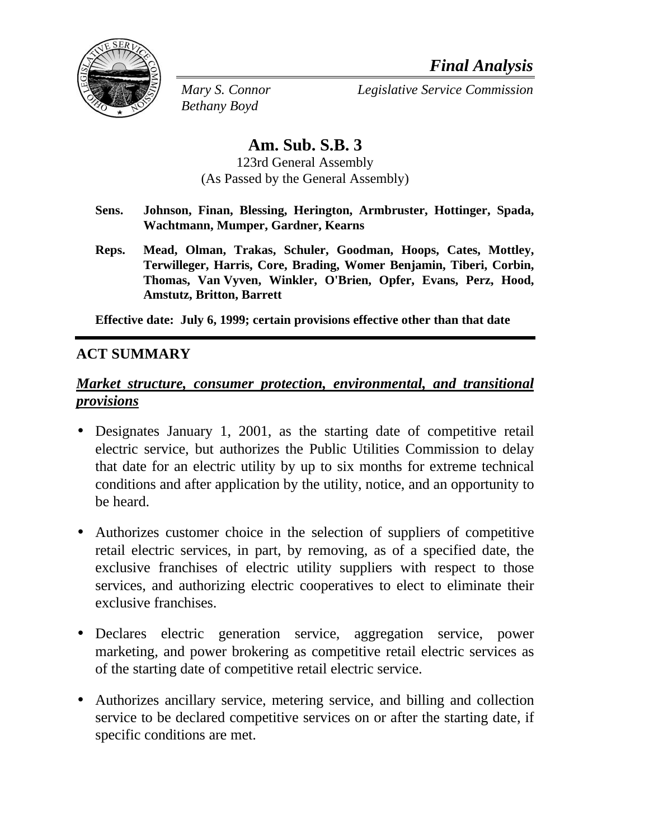

*Bethany Boyd*

*Mary S. Connor Legislative Service Commission*

# **Am. Sub. S.B. 3**

123rd General Assembly (As Passed by the General Assembly)

- **Sens. Johnson, Finan, Blessing, Herington, Armbruster, Hottinger, Spada, Wachtmann, Mumper, Gardner, Kearns**
- **Reps. Mead, Olman, Trakas, Schuler, Goodman, Hoops, Cates, Mottley, Terwilleger, Harris, Core, Brading, Womer Benjamin, Tiberi, Corbin, Thomas, Van Vyven, Winkler, O'Brien, Opfer, Evans, Perz, Hood, Amstutz, Britton, Barrett**

**Effective date: July 6, 1999; certain provisions effective other than that date**

# **ACT SUMMARY**

# *Market structure, consumer protection, environmental, and transitional provisions*

- Designates January 1, 2001, as the starting date of competitive retail electric service, but authorizes the Public Utilities Commission to delay that date for an electric utility by up to six months for extreme technical conditions and after application by the utility, notice, and an opportunity to be heard.
- Authorizes customer choice in the selection of suppliers of competitive retail electric services, in part, by removing, as of a specified date, the exclusive franchises of electric utility suppliers with respect to those services, and authorizing electric cooperatives to elect to eliminate their exclusive franchises.
- Declares electric generation service, aggregation service, power marketing, and power brokering as competitive retail electric services as of the starting date of competitive retail electric service.
- Authorizes ancillary service, metering service, and billing and collection service to be declared competitive services on or after the starting date, if specific conditions are met.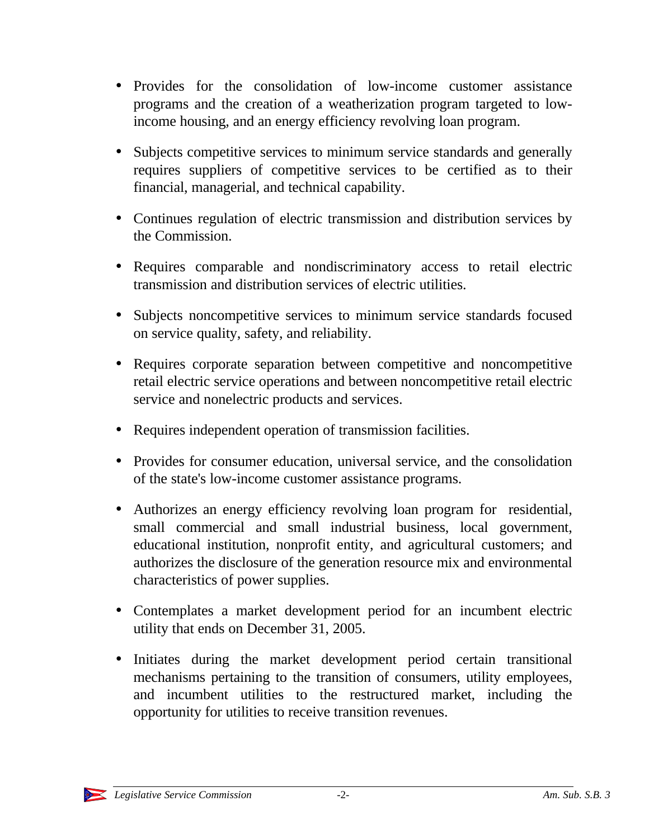- Provides for the consolidation of low-income customer assistance programs and the creation of a weatherization program targeted to lowincome housing, and an energy efficiency revolving loan program.
- Subjects competitive services to minimum service standards and generally requires suppliers of competitive services to be certified as to their financial, managerial, and technical capability.
- Continues regulation of electric transmission and distribution services by the Commission.
- Requires comparable and nondiscriminatory access to retail electric transmission and distribution services of electric utilities.
- Subjects noncompetitive services to minimum service standards focused on service quality, safety, and reliability.
- Requires corporate separation between competitive and noncompetitive retail electric service operations and between noncompetitive retail electric service and nonelectric products and services.
- Requires independent operation of transmission facilities.
- Provides for consumer education, universal service, and the consolidation of the state's low-income customer assistance programs.
- Authorizes an energy efficiency revolving loan program for residential, small commercial and small industrial business, local government, educational institution, nonprofit entity, and agricultural customers; and authorizes the disclosure of the generation resource mix and environmental characteristics of power supplies.
- Contemplates a market development period for an incumbent electric utility that ends on December 31, 2005.
- Initiates during the market development period certain transitional mechanisms pertaining to the transition of consumers, utility employees, and incumbent utilities to the restructured market, including the opportunity for utilities to receive transition revenues.

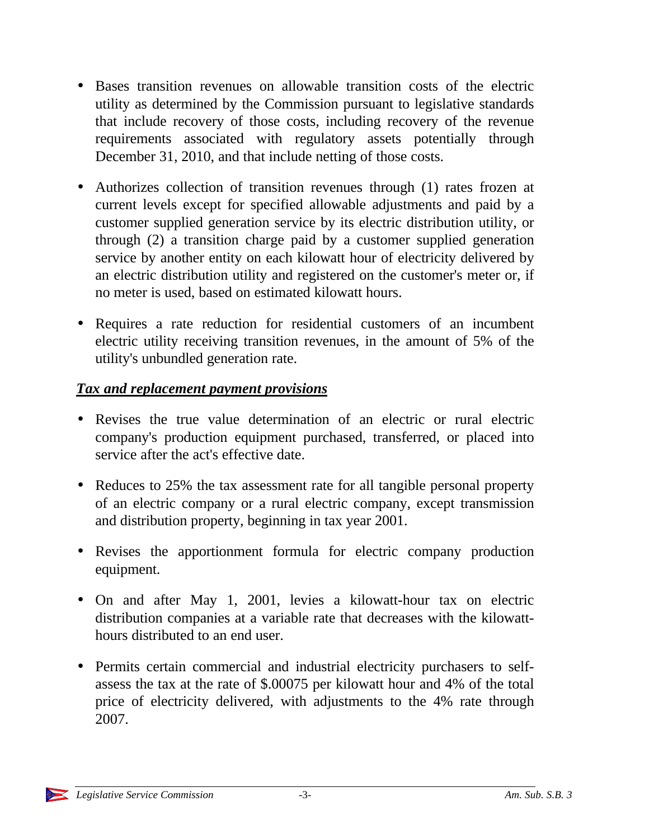- Bases transition revenues on allowable transition costs of the electric utility as determined by the Commission pursuant to legislative standards that include recovery of those costs, including recovery of the revenue requirements associated with regulatory assets potentially through December 31, 2010, and that include netting of those costs.
- Authorizes collection of transition revenues through (1) rates frozen at current levels except for specified allowable adjustments and paid by a customer supplied generation service by its electric distribution utility, or through (2) a transition charge paid by a customer supplied generation service by another entity on each kilowatt hour of electricity delivered by an electric distribution utility and registered on the customer's meter or, if no meter is used, based on estimated kilowatt hours.
- Requires a rate reduction for residential customers of an incumbent electric utility receiving transition revenues, in the amount of 5% of the utility's unbundled generation rate.

# *Tax and replacement payment provisions*

- Revises the true value determination of an electric or rural electric company's production equipment purchased, transferred, or placed into service after the act's effective date.
- Reduces to 25% the tax assessment rate for all tangible personal property of an electric company or a rural electric company, except transmission and distribution property, beginning in tax year 2001.
- Revises the apportionment formula for electric company production equipment.
- On and after May 1, 2001, levies a kilowatt-hour tax on electric distribution companies at a variable rate that decreases with the kilowatthours distributed to an end user.
- Permits certain commercial and industrial electricity purchasers to selfassess the tax at the rate of \$.00075 per kilowatt hour and 4% of the total price of electricity delivered, with adjustments to the 4% rate through 2007.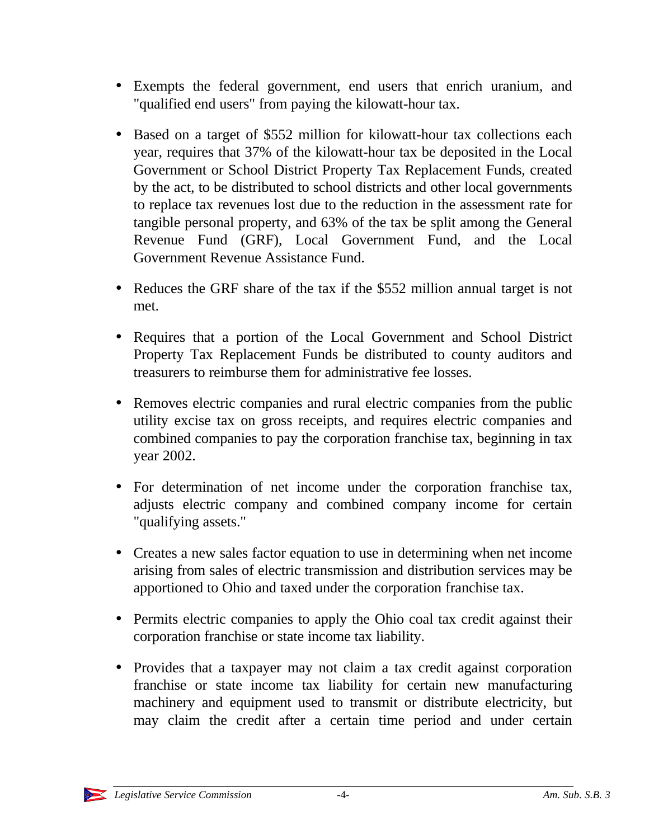- Exempts the federal government, end users that enrich uranium, and "qualified end users" from paying the kilowatt-hour tax.
- Based on a target of \$552 million for kilowatt-hour tax collections each year, requires that 37% of the kilowatt-hour tax be deposited in the Local Government or School District Property Tax Replacement Funds, created by the act, to be distributed to school districts and other local governments to replace tax revenues lost due to the reduction in the assessment rate for tangible personal property, and 63% of the tax be split among the General Revenue Fund (GRF), Local Government Fund, and the Local Government Revenue Assistance Fund.
- Reduces the GRF share of the tax if the \$552 million annual target is not met.
- Requires that a portion of the Local Government and School District Property Tax Replacement Funds be distributed to county auditors and treasurers to reimburse them for administrative fee losses.
- Removes electric companies and rural electric companies from the public utility excise tax on gross receipts, and requires electric companies and combined companies to pay the corporation franchise tax, beginning in tax year 2002.
- For determination of net income under the corporation franchise tax, adjusts electric company and combined company income for certain "qualifying assets."
- Creates a new sales factor equation to use in determining when net income arising from sales of electric transmission and distribution services may be apportioned to Ohio and taxed under the corporation franchise tax.
- Permits electric companies to apply the Ohio coal tax credit against their corporation franchise or state income tax liability.
- Provides that a taxpayer may not claim a tax credit against corporation franchise or state income tax liability for certain new manufacturing machinery and equipment used to transmit or distribute electricity, but may claim the credit after a certain time period and under certain

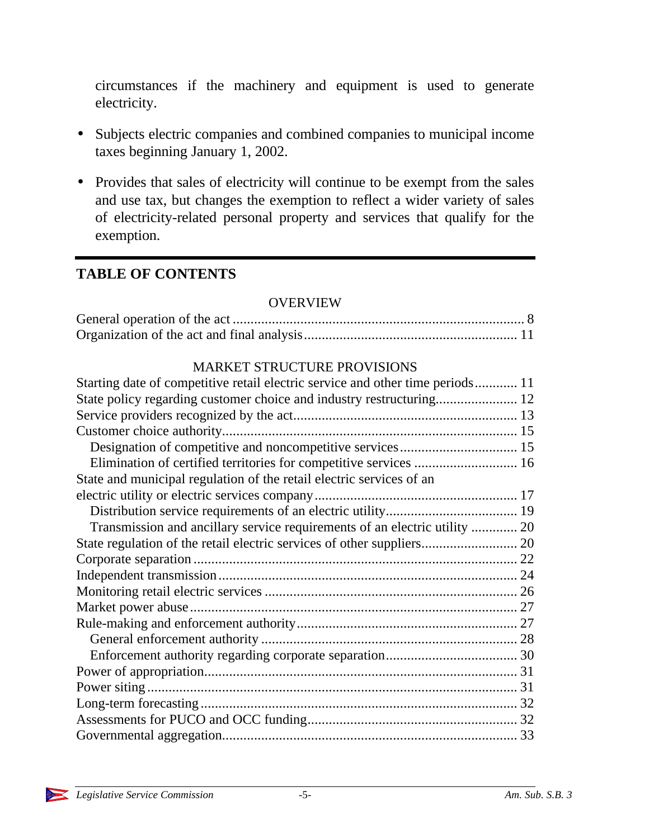circumstances if the machinery and equipment is used to generate electricity.

- Subjects electric companies and combined companies to municipal income taxes beginning January 1, 2002.
- Provides that sales of electricity will continue to be exempt from the sales and use tax, but changes the exemption to reflect a wider variety of sales of electricity-related personal property and services that qualify for the exemption.

# **TABLE OF CONTENTS**

#### OVERVIEW

### MARKET STRUCTURE PROVISIONS

| Starting date of competitive retail electric service and other time periods 11 |  |
|--------------------------------------------------------------------------------|--|
|                                                                                |  |
|                                                                                |  |
|                                                                                |  |
|                                                                                |  |
| Elimination of certified territories for competitive services  16              |  |
| State and municipal regulation of the retail electric services of an           |  |
|                                                                                |  |
|                                                                                |  |
| Transmission and ancillary service requirements of an electric utility  20     |  |
|                                                                                |  |
|                                                                                |  |
|                                                                                |  |
|                                                                                |  |
|                                                                                |  |
|                                                                                |  |
|                                                                                |  |
|                                                                                |  |
|                                                                                |  |
|                                                                                |  |
|                                                                                |  |
|                                                                                |  |
|                                                                                |  |

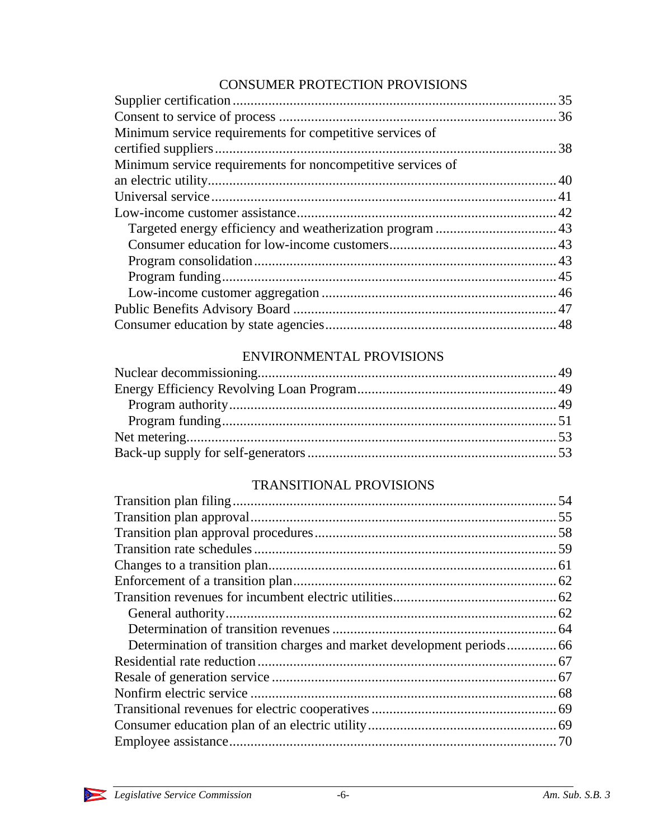# CONSUMER PROTECTION PROVISIONS

| Minimum service requirements for competitive services of    |  |
|-------------------------------------------------------------|--|
|                                                             |  |
| Minimum service requirements for noncompetitive services of |  |
|                                                             |  |
|                                                             |  |
|                                                             |  |
|                                                             |  |
|                                                             |  |
|                                                             |  |
|                                                             |  |
|                                                             |  |
|                                                             |  |
|                                                             |  |

# ENVIRONMENTAL PROVISIONS

# TRANSITIONAL PROVISIONS

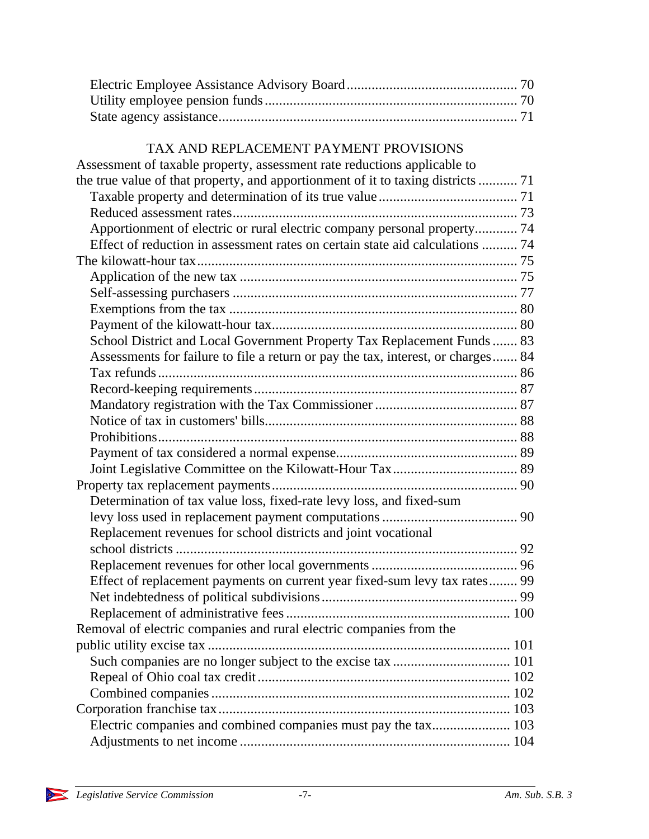# TAX AND REPLACEMENT PAYMENT PROVISIONS

| Assessment of taxable property, assessment rate reductions applicable to         |  |
|----------------------------------------------------------------------------------|--|
| the true value of that property, and apportionment of it to taxing districts  71 |  |
|                                                                                  |  |
|                                                                                  |  |
| Apportionment of electric or rural electric company personal property 74         |  |
| Effect of reduction in assessment rates on certain state aid calculations  74    |  |
|                                                                                  |  |
|                                                                                  |  |
|                                                                                  |  |
|                                                                                  |  |
|                                                                                  |  |
| School District and Local Government Property Tax Replacement Funds  83          |  |
| Assessments for failure to file a return or pay the tax, interest, or charges 84 |  |
|                                                                                  |  |
|                                                                                  |  |
|                                                                                  |  |
|                                                                                  |  |
|                                                                                  |  |
|                                                                                  |  |
|                                                                                  |  |
|                                                                                  |  |
| Determination of tax value loss, fixed-rate levy loss, and fixed-sum             |  |
|                                                                                  |  |
| Replacement revenues for school districts and joint vocational                   |  |
|                                                                                  |  |
|                                                                                  |  |
| Effect of replacement payments on current year fixed-sum levy tax rates 99       |  |
|                                                                                  |  |
|                                                                                  |  |
| Removal of electric companies and rural electric companies from the              |  |
|                                                                                  |  |
|                                                                                  |  |
|                                                                                  |  |
|                                                                                  |  |
|                                                                                  |  |
| Electric companies and combined companies must pay the tax 103                   |  |
|                                                                                  |  |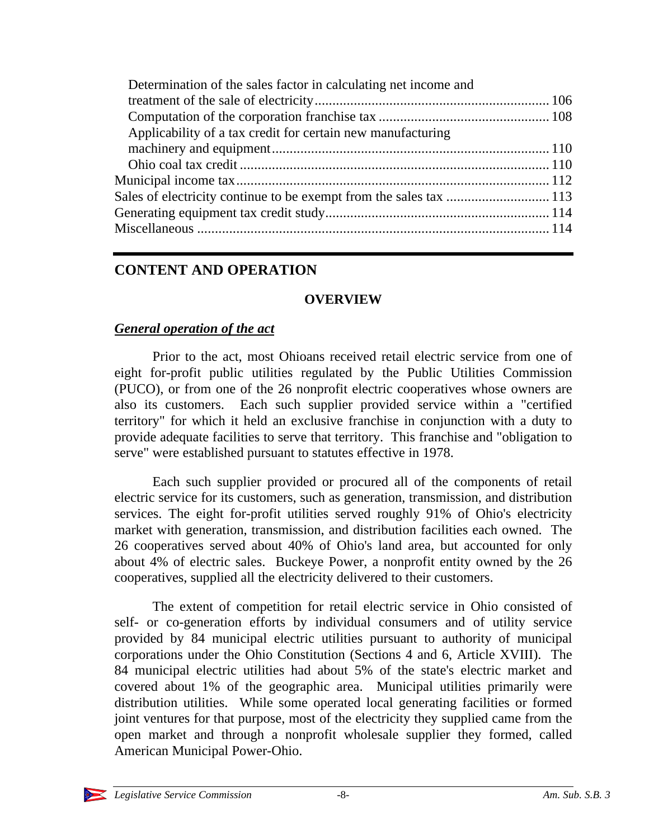| Determination of the sales factor in calculating net income and |  |
|-----------------------------------------------------------------|--|
|                                                                 |  |
|                                                                 |  |
| Applicability of a tax credit for certain new manufacturing     |  |
|                                                                 |  |
|                                                                 |  |
|                                                                 |  |
|                                                                 |  |
|                                                                 |  |
|                                                                 |  |
|                                                                 |  |

# **CONTENT AND OPERATION**

### **OVERVIEW**

### *General operation of the act*

Prior to the act, most Ohioans received retail electric service from one of eight for-profit public utilities regulated by the Public Utilities Commission (PUCO), or from one of the 26 nonprofit electric cooperatives whose owners are also its customers. Each such supplier provided service within a "certified territory" for which it held an exclusive franchise in conjunction with a duty to provide adequate facilities to serve that territory. This franchise and "obligation to serve" were established pursuant to statutes effective in 1978.

Each such supplier provided or procured all of the components of retail electric service for its customers, such as generation, transmission, and distribution services. The eight for-profit utilities served roughly 91% of Ohio's electricity market with generation, transmission, and distribution facilities each owned. The 26 cooperatives served about 40% of Ohio's land area, but accounted for only about 4% of electric sales. Buckeye Power, a nonprofit entity owned by the 26 cooperatives, supplied all the electricity delivered to their customers.

The extent of competition for retail electric service in Ohio consisted of self- or co-generation efforts by individual consumers and of utility service provided by 84 municipal electric utilities pursuant to authority of municipal corporations under the Ohio Constitution (Sections 4 and 6, Article XVIII). The 84 municipal electric utilities had about 5% of the state's electric market and covered about 1% of the geographic area. Municipal utilities primarily were distribution utilities. While some operated local generating facilities or formed joint ventures for that purpose, most of the electricity they supplied came from the open market and through a nonprofit wholesale supplier they formed, called American Municipal Power-Ohio.

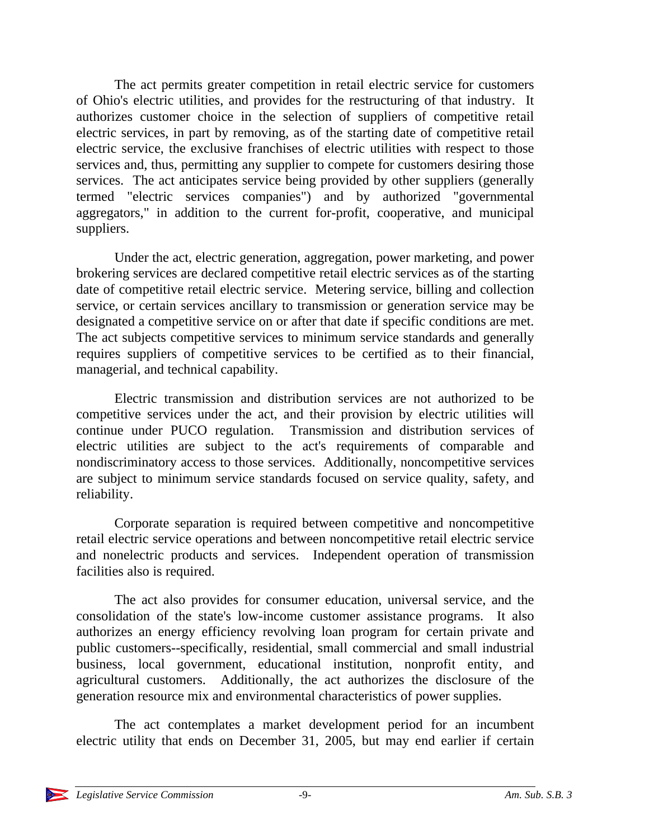The act permits greater competition in retail electric service for customers of Ohio's electric utilities, and provides for the restructuring of that industry. It authorizes customer choice in the selection of suppliers of competitive retail electric services, in part by removing, as of the starting date of competitive retail electric service, the exclusive franchises of electric utilities with respect to those services and, thus, permitting any supplier to compete for customers desiring those services. The act anticipates service being provided by other suppliers (generally termed "electric services companies") and by authorized "governmental aggregators," in addition to the current for-profit, cooperative, and municipal suppliers.

Under the act, electric generation, aggregation, power marketing, and power brokering services are declared competitive retail electric services as of the starting date of competitive retail electric service. Metering service, billing and collection service, or certain services ancillary to transmission or generation service may be designated a competitive service on or after that date if specific conditions are met. The act subjects competitive services to minimum service standards and generally requires suppliers of competitive services to be certified as to their financial, managerial, and technical capability.

Electric transmission and distribution services are not authorized to be competitive services under the act, and their provision by electric utilities will continue under PUCO regulation. Transmission and distribution services of electric utilities are subject to the act's requirements of comparable and nondiscriminatory access to those services. Additionally, noncompetitive services are subject to minimum service standards focused on service quality, safety, and reliability.

Corporate separation is required between competitive and noncompetitive retail electric service operations and between noncompetitive retail electric service and nonelectric products and services. Independent operation of transmission facilities also is required.

The act also provides for consumer education, universal service, and the consolidation of the state's low-income customer assistance programs. It also authorizes an energy efficiency revolving loan program for certain private and public customers--specifically, residential, small commercial and small industrial business, local government, educational institution, nonprofit entity, and agricultural customers. Additionally, the act authorizes the disclosure of the generation resource mix and environmental characteristics of power supplies.

The act contemplates a market development period for an incumbent electric utility that ends on December 31, 2005, but may end earlier if certain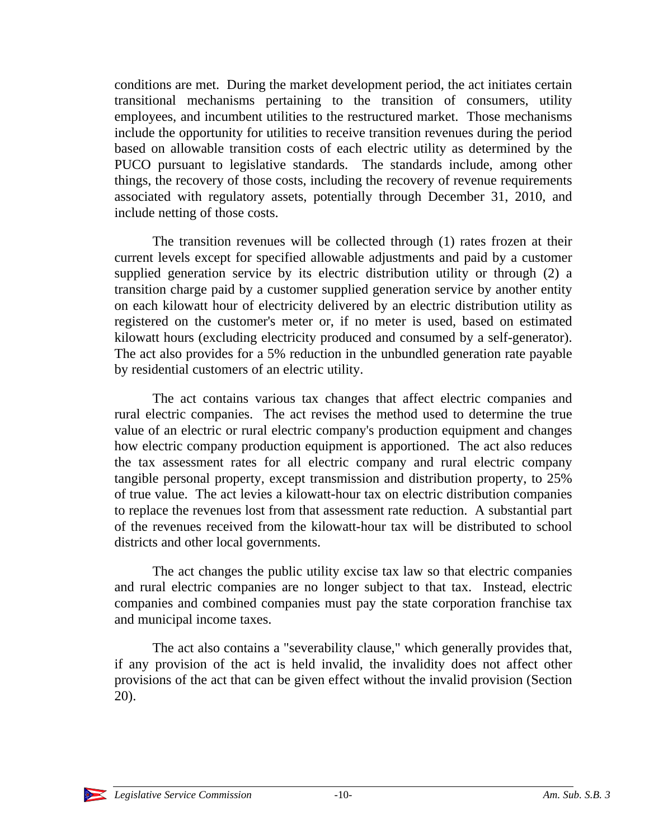conditions are met. During the market development period, the act initiates certain transitional mechanisms pertaining to the transition of consumers, utility employees, and incumbent utilities to the restructured market. Those mechanisms include the opportunity for utilities to receive transition revenues during the period based on allowable transition costs of each electric utility as determined by the PUCO pursuant to legislative standards. The standards include, among other things, the recovery of those costs, including the recovery of revenue requirements associated with regulatory assets, potentially through December 31, 2010, and include netting of those costs.

The transition revenues will be collected through (1) rates frozen at their current levels except for specified allowable adjustments and paid by a customer supplied generation service by its electric distribution utility or through (2) a transition charge paid by a customer supplied generation service by another entity on each kilowatt hour of electricity delivered by an electric distribution utility as registered on the customer's meter or, if no meter is used, based on estimated kilowatt hours (excluding electricity produced and consumed by a self-generator). The act also provides for a 5% reduction in the unbundled generation rate payable by residential customers of an electric utility.

The act contains various tax changes that affect electric companies and rural electric companies. The act revises the method used to determine the true value of an electric or rural electric company's production equipment and changes how electric company production equipment is apportioned. The act also reduces the tax assessment rates for all electric company and rural electric company tangible personal property, except transmission and distribution property, to 25% of true value. The act levies a kilowatt-hour tax on electric distribution companies to replace the revenues lost from that assessment rate reduction. A substantial part of the revenues received from the kilowatt-hour tax will be distributed to school districts and other local governments.

The act changes the public utility excise tax law so that electric companies and rural electric companies are no longer subject to that tax. Instead, electric companies and combined companies must pay the state corporation franchise tax and municipal income taxes.

The act also contains a "severability clause," which generally provides that, if any provision of the act is held invalid, the invalidity does not affect other provisions of the act that can be given effect without the invalid provision (Section 20).

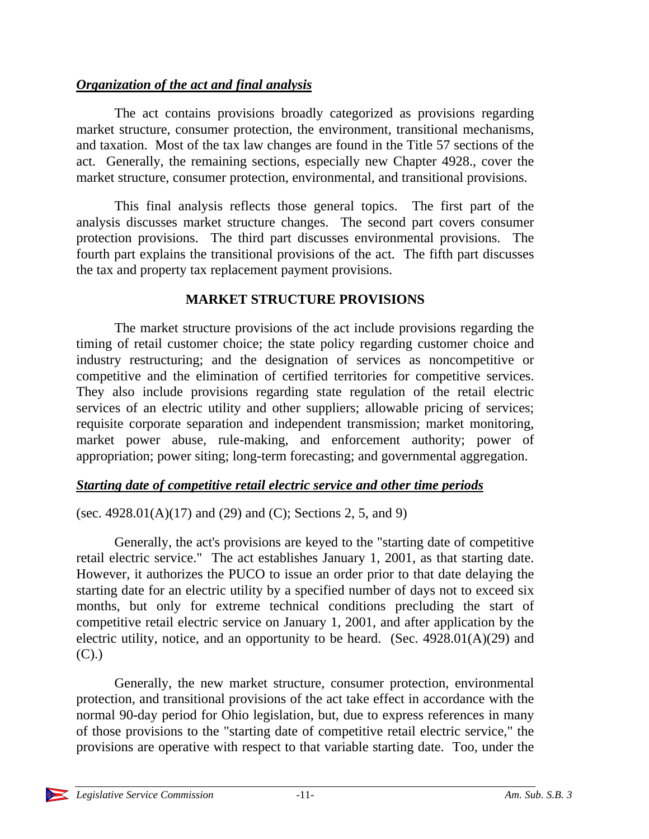# *Organization of the act and final analysis*

The act contains provisions broadly categorized as provisions regarding market structure, consumer protection, the environment, transitional mechanisms, and taxation. Most of the tax law changes are found in the Title 57 sections of the act. Generally, the remaining sections, especially new Chapter 4928., cover the market structure, consumer protection, environmental, and transitional provisions.

This final analysis reflects those general topics. The first part of the analysis discusses market structure changes. The second part covers consumer protection provisions. The third part discusses environmental provisions. The fourth part explains the transitional provisions of the act. The fifth part discusses the tax and property tax replacement payment provisions.

# **MARKET STRUCTURE PROVISIONS**

The market structure provisions of the act include provisions regarding the timing of retail customer choice; the state policy regarding customer choice and industry restructuring; and the designation of services as noncompetitive or competitive and the elimination of certified territories for competitive services. They also include provisions regarding state regulation of the retail electric services of an electric utility and other suppliers; allowable pricing of services; requisite corporate separation and independent transmission; market monitoring, market power abuse, rule-making, and enforcement authority; power of appropriation; power siting; long-term forecasting; and governmental aggregation.

# *Starting date of competitive retail electric service and other time periods*

(sec. 4928.01(A)(17) and (29) and (C); Sections 2, 5, and 9)

Generally, the act's provisions are keyed to the "starting date of competitive retail electric service." The act establishes January 1, 2001, as that starting date. However, it authorizes the PUCO to issue an order prior to that date delaying the starting date for an electric utility by a specified number of days not to exceed six months, but only for extreme technical conditions precluding the start of competitive retail electric service on January 1, 2001, and after application by the electric utility, notice, and an opportunity to be heard. (Sec. 4928.01(A)(29) and  $(C).$ 

Generally, the new market structure, consumer protection, environmental protection, and transitional provisions of the act take effect in accordance with the normal 90-day period for Ohio legislation, but, due to express references in many of those provisions to the "starting date of competitive retail electric service," the provisions are operative with respect to that variable starting date. Too, under the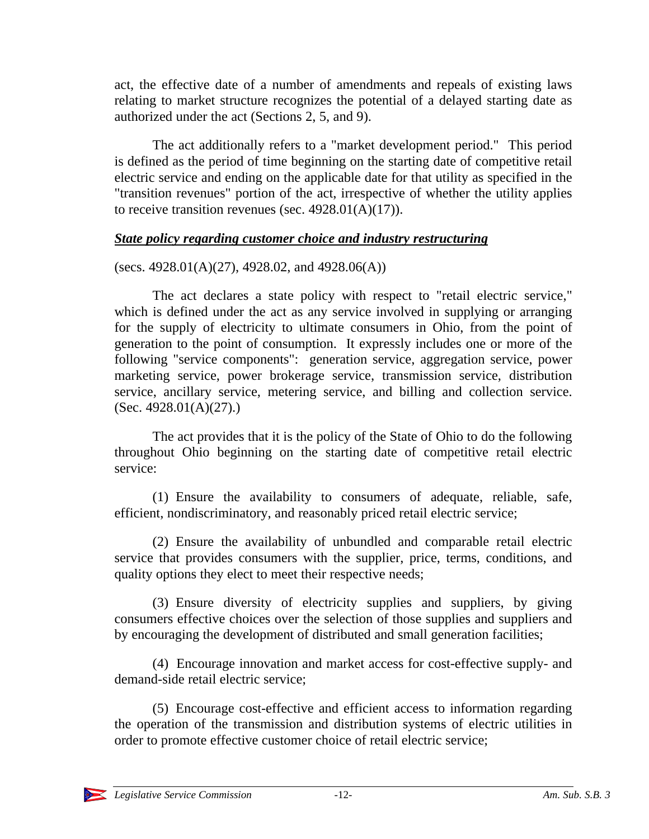act, the effective date of a number of amendments and repeals of existing laws relating to market structure recognizes the potential of a delayed starting date as authorized under the act (Sections 2, 5, and 9).

The act additionally refers to a "market development period." This period is defined as the period of time beginning on the starting date of competitive retail electric service and ending on the applicable date for that utility as specified in the "transition revenues" portion of the act, irrespective of whether the utility applies to receive transition revenues (sec.  $4928.01(A)(17)$ ).

# *State policy regarding customer choice and industry restructuring*

(secs.  $4928.01(A)(27)$ ,  $4928.02$ , and  $4928.06(A)$ )

The act declares a state policy with respect to "retail electric service," which is defined under the act as any service involved in supplying or arranging for the supply of electricity to ultimate consumers in Ohio, from the point of generation to the point of consumption. It expressly includes one or more of the following "service components": generation service, aggregation service, power marketing service, power brokerage service, transmission service, distribution service, ancillary service, metering service, and billing and collection service. (Sec. 4928.01(A)(27).)

The act provides that it is the policy of the State of Ohio to do the following throughout Ohio beginning on the starting date of competitive retail electric service:

(1) Ensure the availability to consumers of adequate, reliable, safe, efficient, nondiscriminatory, and reasonably priced retail electric service;

(2) Ensure the availability of unbundled and comparable retail electric service that provides consumers with the supplier, price, terms, conditions, and quality options they elect to meet their respective needs;

(3) Ensure diversity of electricity supplies and suppliers, by giving consumers effective choices over the selection of those supplies and suppliers and by encouraging the development of distributed and small generation facilities;

(4) Encourage innovation and market access for cost-effective supply- and demand-side retail electric service;

(5) Encourage cost-effective and efficient access to information regarding the operation of the transmission and distribution systems of electric utilities in order to promote effective customer choice of retail electric service;

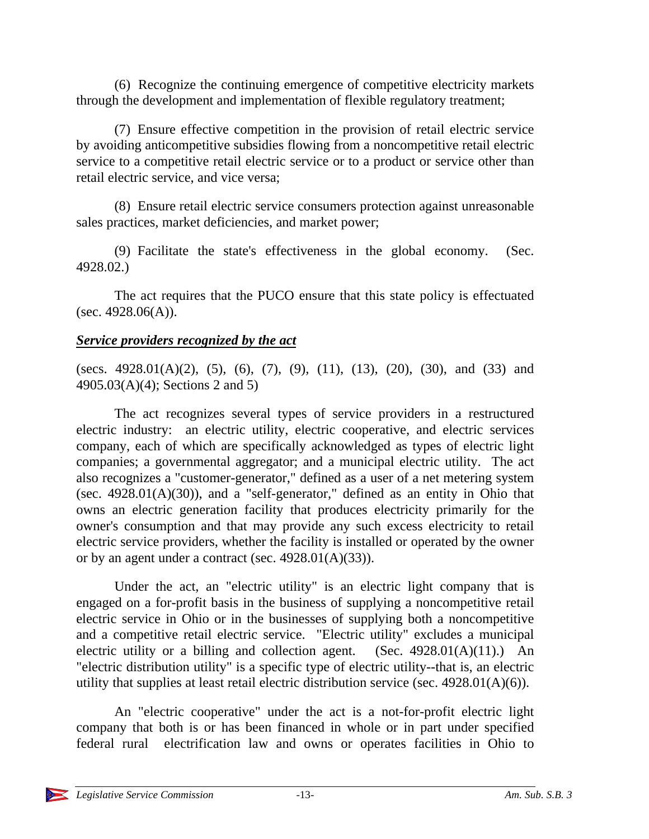(6) Recognize the continuing emergence of competitive electricity markets through the development and implementation of flexible regulatory treatment;

(7) Ensure effective competition in the provision of retail electric service by avoiding anticompetitive subsidies flowing from a noncompetitive retail electric service to a competitive retail electric service or to a product or service other than retail electric service, and vice versa;

(8) Ensure retail electric service consumers protection against unreasonable sales practices, market deficiencies, and market power;

(9) Facilitate the state's effectiveness in the global economy. (Sec. 4928.02.)

The act requires that the PUCO ensure that this state policy is effectuated (sec.  $4928.06(A)$ ).

### *Service providers recognized by the act*

(secs. 4928.01(A)(2), (5), (6), (7), (9), (11), (13), (20), (30), and (33) and 4905.03(A)(4); Sections 2 and 5)

The act recognizes several types of service providers in a restructured electric industry: an electric utility, electric cooperative, and electric services company, each of which are specifically acknowledged as types of electric light companies; a governmental aggregator; and a municipal electric utility. The act also recognizes a "customer-generator," defined as a user of a net metering system (sec.  $4928.01(A)(30)$ ), and a "self-generator," defined as an entity in Ohio that owns an electric generation facility that produces electricity primarily for the owner's consumption and that may provide any such excess electricity to retail electric service providers, whether the facility is installed or operated by the owner or by an agent under a contract (sec. 4928.01(A)(33)).

Under the act, an "electric utility" is an electric light company that is engaged on a for-profit basis in the business of supplying a noncompetitive retail electric service in Ohio or in the businesses of supplying both a noncompetitive and a competitive retail electric service. "Electric utility" excludes a municipal electric utility or a billing and collection agent. (Sec.  $4928.01(A)(11)$ .) An "electric distribution utility" is a specific type of electric utility--that is, an electric utility that supplies at least retail electric distribution service (sec. 4928.01(A)(6)).

An "electric cooperative" under the act is a not-for-profit electric light company that both is or has been financed in whole or in part under specified federal rural electrification law and owns or operates facilities in Ohio to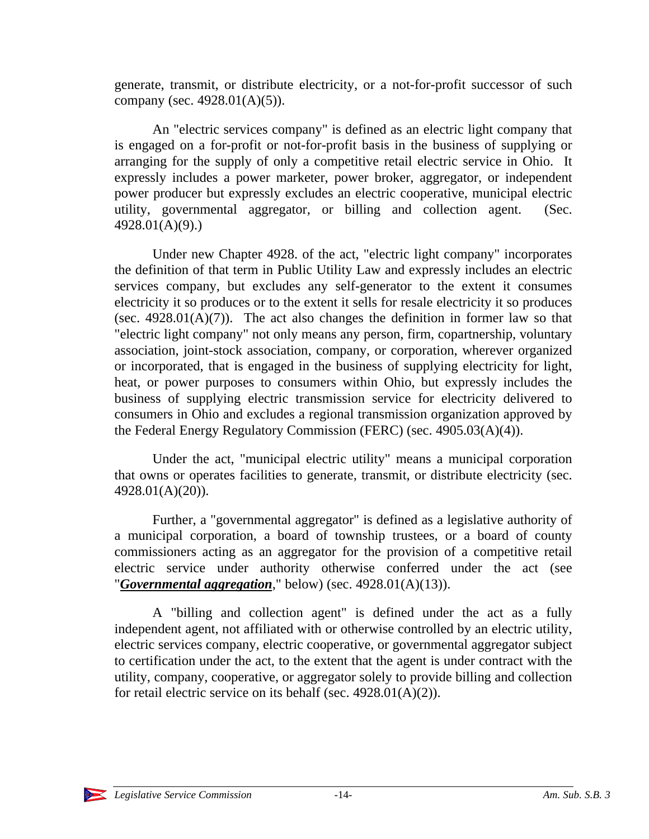generate, transmit, or distribute electricity, or a not-for-profit successor of such company (sec. 4928.01(A)(5)).

An "electric services company" is defined as an electric light company that is engaged on a for-profit or not-for-profit basis in the business of supplying or arranging for the supply of only a competitive retail electric service in Ohio. It expressly includes a power marketer, power broker, aggregator, or independent power producer but expressly excludes an electric cooperative, municipal electric utility, governmental aggregator, or billing and collection agent. (Sec. 4928.01(A)(9).)

Under new Chapter 4928. of the act, "electric light company" incorporates the definition of that term in Public Utility Law and expressly includes an electric services company, but excludes any self-generator to the extent it consumes electricity it so produces or to the extent it sells for resale electricity it so produces (sec.  $4928.01(A)(7)$ ). The act also changes the definition in former law so that "electric light company" not only means any person, firm, copartnership, voluntary association, joint-stock association, company, or corporation, wherever organized or incorporated, that is engaged in the business of supplying electricity for light, heat, or power purposes to consumers within Ohio, but expressly includes the business of supplying electric transmission service for electricity delivered to consumers in Ohio and excludes a regional transmission organization approved by the Federal Energy Regulatory Commission (FERC) (sec. 4905.03(A)(4)).

Under the act, "municipal electric utility" means a municipal corporation that owns or operates facilities to generate, transmit, or distribute electricity (sec. 4928.01(A)(20)).

Further, a "governmental aggregator" is defined as a legislative authority of a municipal corporation, a board of township trustees, or a board of county commissioners acting as an aggregator for the provision of a competitive retail electric service under authority otherwise conferred under the act (see "*Governmental aggregation*," below) (sec. 4928.01(A)(13)).

A "billing and collection agent" is defined under the act as a fully independent agent, not affiliated with or otherwise controlled by an electric utility, electric services company, electric cooperative, or governmental aggregator subject to certification under the act, to the extent that the agent is under contract with the utility, company, cooperative, or aggregator solely to provide billing and collection for retail electric service on its behalf (sec. 4928.01(A)(2)).

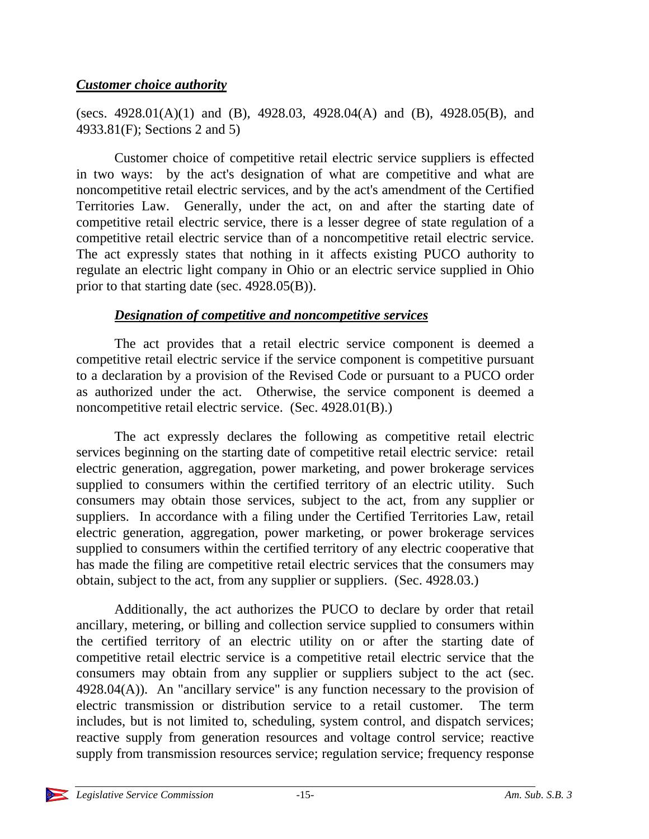### *Customer choice authority*

(secs. 4928.01(A)(1) and (B), 4928.03, 4928.04(A) and (B), 4928.05(B), and 4933.81(F); Sections 2 and 5)

Customer choice of competitive retail electric service suppliers is effected in two ways: by the act's designation of what are competitive and what are noncompetitive retail electric services, and by the act's amendment of the Certified Territories Law. Generally, under the act, on and after the starting date of competitive retail electric service, there is a lesser degree of state regulation of a competitive retail electric service than of a noncompetitive retail electric service. The act expressly states that nothing in it affects existing PUCO authority to regulate an electric light company in Ohio or an electric service supplied in Ohio prior to that starting date (sec. 4928.05(B)).

# *Designation of competitive and noncompetitive services*

The act provides that a retail electric service component is deemed a competitive retail electric service if the service component is competitive pursuant to a declaration by a provision of the Revised Code or pursuant to a PUCO order as authorized under the act. Otherwise, the service component is deemed a noncompetitive retail electric service. (Sec. 4928.01(B).)

The act expressly declares the following as competitive retail electric services beginning on the starting date of competitive retail electric service: retail electric generation, aggregation, power marketing, and power brokerage services supplied to consumers within the certified territory of an electric utility. Such consumers may obtain those services, subject to the act, from any supplier or suppliers. In accordance with a filing under the Certified Territories Law, retail electric generation, aggregation, power marketing, or power brokerage services supplied to consumers within the certified territory of any electric cooperative that has made the filing are competitive retail electric services that the consumers may obtain, subject to the act, from any supplier or suppliers. (Sec. 4928.03.)

Additionally, the act authorizes the PUCO to declare by order that retail ancillary, metering, or billing and collection service supplied to consumers within the certified territory of an electric utility on or after the starting date of competitive retail electric service is a competitive retail electric service that the consumers may obtain from any supplier or suppliers subject to the act (sec.  $4928.04(A)$ ). An "ancillary service" is any function necessary to the provision of electric transmission or distribution service to a retail customer. The term includes, but is not limited to, scheduling, system control, and dispatch services; reactive supply from generation resources and voltage control service; reactive supply from transmission resources service; regulation service; frequency response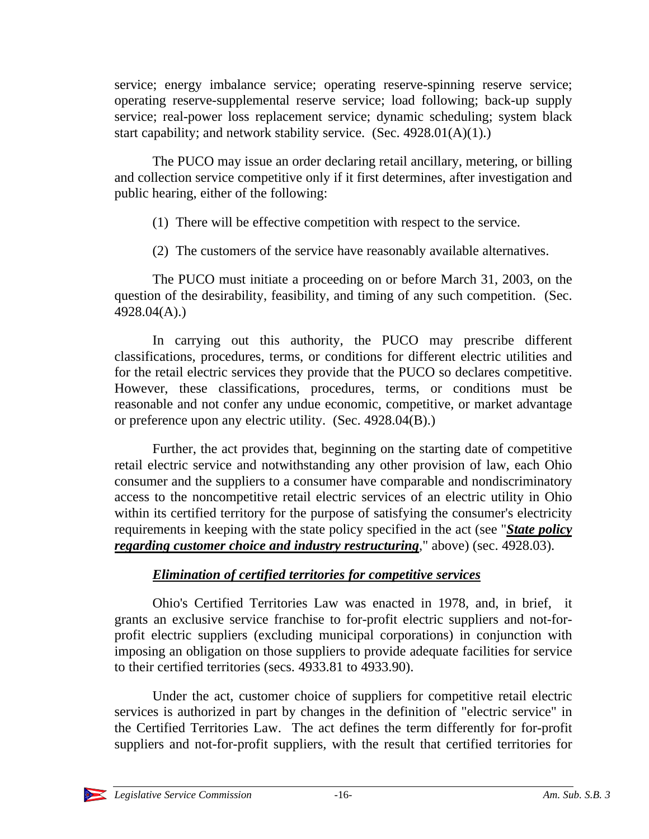service; energy imbalance service; operating reserve-spinning reserve service; operating reserve-supplemental reserve service; load following; back-up supply service; real-power loss replacement service; dynamic scheduling; system black start capability; and network stability service. (Sec. 4928.01(A)(1).)

The PUCO may issue an order declaring retail ancillary, metering, or billing and collection service competitive only if it first determines, after investigation and public hearing, either of the following:

- (1) There will be effective competition with respect to the service.
- (2) The customers of the service have reasonably available alternatives.

The PUCO must initiate a proceeding on or before March 31, 2003, on the question of the desirability, feasibility, and timing of any such competition. (Sec. 4928.04(A).)

In carrying out this authority, the PUCO may prescribe different classifications, procedures, terms, or conditions for different electric utilities and for the retail electric services they provide that the PUCO so declares competitive. However, these classifications, procedures, terms, or conditions must be reasonable and not confer any undue economic, competitive, or market advantage or preference upon any electric utility. (Sec. 4928.04(B).)

Further, the act provides that, beginning on the starting date of competitive retail electric service and notwithstanding any other provision of law, each Ohio consumer and the suppliers to a consumer have comparable and nondiscriminatory access to the noncompetitive retail electric services of an electric utility in Ohio within its certified territory for the purpose of satisfying the consumer's electricity requirements in keeping with the state policy specified in the act (see "*State policy regarding customer choice and industry restructuring*," above) (sec. 4928.03).

# *Elimination of certified territories for competitive services*

Ohio's Certified Territories Law was enacted in 1978, and, in brief, it grants an exclusive service franchise to for-profit electric suppliers and not-forprofit electric suppliers (excluding municipal corporations) in conjunction with imposing an obligation on those suppliers to provide adequate facilities for service to their certified territories (secs. 4933.81 to 4933.90).

Under the act, customer choice of suppliers for competitive retail electric services is authorized in part by changes in the definition of "electric service" in the Certified Territories Law. The act defines the term differently for for-profit suppliers and not-for-profit suppliers, with the result that certified territories for

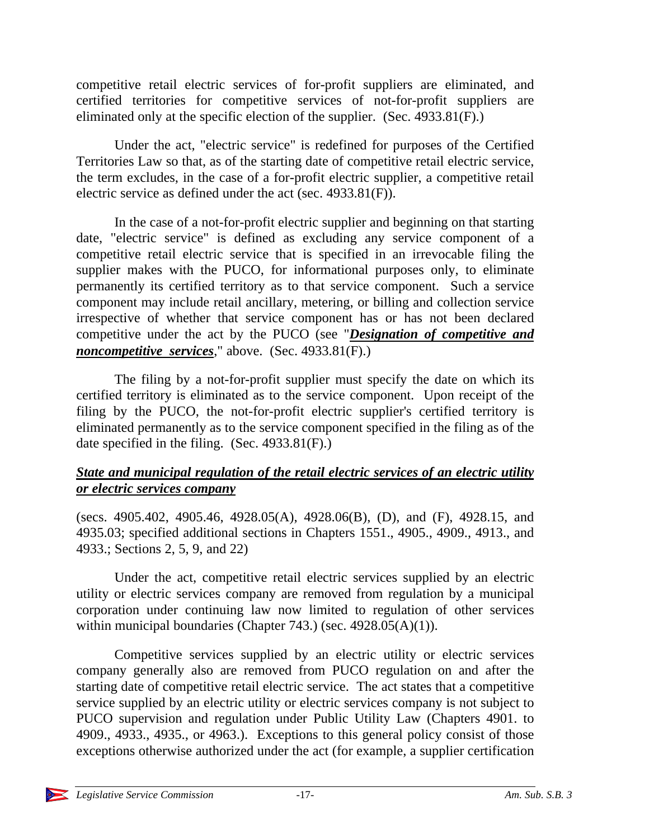competitive retail electric services of for-profit suppliers are eliminated, and certified territories for competitive services of not-for-profit suppliers are eliminated only at the specific election of the supplier. (Sec. 4933.81(F).)

Under the act, "electric service" is redefined for purposes of the Certified Territories Law so that, as of the starting date of competitive retail electric service, the term excludes, in the case of a for-profit electric supplier, a competitive retail electric service as defined under the act (sec. 4933.81(F)).

In the case of a not-for-profit electric supplier and beginning on that starting date, "electric service" is defined as excluding any service component of a competitive retail electric service that is specified in an irrevocable filing the supplier makes with the PUCO, for informational purposes only, to eliminate permanently its certified territory as to that service component. Such a service component may include retail ancillary, metering, or billing and collection service irrespective of whether that service component has or has not been declared competitive under the act by the PUCO (see "*Designation of competitive and noncompetitive services*," above. (Sec. 4933.81(F).)

The filing by a not-for-profit supplier must specify the date on which its certified territory is eliminated as to the service component. Upon receipt of the filing by the PUCO, the not-for-profit electric supplier's certified territory is eliminated permanently as to the service component specified in the filing as of the date specified in the filing. (Sec. 4933.81(F).)

# *State and municipal regulation of the retail electric services of an electric utility or electric services company*

(secs. 4905.402, 4905.46, 4928.05(A), 4928.06(B), (D), and (F), 4928.15, and 4935.03; specified additional sections in Chapters 1551., 4905., 4909., 4913., and 4933.; Sections 2, 5, 9, and 22)

Under the act, competitive retail electric services supplied by an electric utility or electric services company are removed from regulation by a municipal corporation under continuing law now limited to regulation of other services within municipal boundaries (Chapter 743.) (sec. 4928.05(A)(1)).

Competitive services supplied by an electric utility or electric services company generally also are removed from PUCO regulation on and after the starting date of competitive retail electric service. The act states that a competitive service supplied by an electric utility or electric services company is not subject to PUCO supervision and regulation under Public Utility Law (Chapters 4901. to 4909., 4933., 4935., or 4963.). Exceptions to this general policy consist of those exceptions otherwise authorized under the act (for example, a supplier certification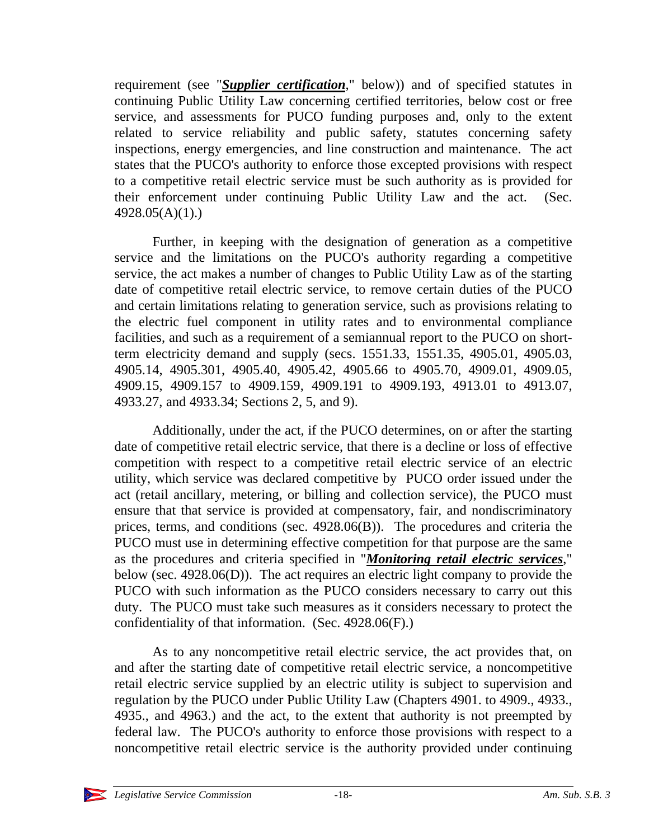requirement (see "*Supplier certification*," below)) and of specified statutes in continuing Public Utility Law concerning certified territories, below cost or free service, and assessments for PUCO funding purposes and, only to the extent related to service reliability and public safety, statutes concerning safety inspections, energy emergencies, and line construction and maintenance. The act states that the PUCO's authority to enforce those excepted provisions with respect to a competitive retail electric service must be such authority as is provided for their enforcement under continuing Public Utility Law and the act. (Sec. 4928.05(A)(1).)

Further, in keeping with the designation of generation as a competitive service and the limitations on the PUCO's authority regarding a competitive service, the act makes a number of changes to Public Utility Law as of the starting date of competitive retail electric service, to remove certain duties of the PUCO and certain limitations relating to generation service, such as provisions relating to the electric fuel component in utility rates and to environmental compliance facilities, and such as a requirement of a semiannual report to the PUCO on shortterm electricity demand and supply (secs. 1551.33, 1551.35, 4905.01, 4905.03, 4905.14, 4905.301, 4905.40, 4905.42, 4905.66 to 4905.70, 4909.01, 4909.05, 4909.15, 4909.157 to 4909.159, 4909.191 to 4909.193, 4913.01 to 4913.07, 4933.27, and 4933.34; Sections 2, 5, and 9).

Additionally, under the act, if the PUCO determines, on or after the starting date of competitive retail electric service, that there is a decline or loss of effective competition with respect to a competitive retail electric service of an electric utility, which service was declared competitive by PUCO order issued under the act (retail ancillary, metering, or billing and collection service), the PUCO must ensure that that service is provided at compensatory, fair, and nondiscriminatory prices, terms, and conditions (sec. 4928.06(B)). The procedures and criteria the PUCO must use in determining effective competition for that purpose are the same as the procedures and criteria specified in "*Monitoring retail electric services*," below (sec. 4928.06(D)). The act requires an electric light company to provide the PUCO with such information as the PUCO considers necessary to carry out this duty. The PUCO must take such measures as it considers necessary to protect the confidentiality of that information. (Sec. 4928.06(F).)

As to any noncompetitive retail electric service, the act provides that, on and after the starting date of competitive retail electric service, a noncompetitive retail electric service supplied by an electric utility is subject to supervision and regulation by the PUCO under Public Utility Law (Chapters 4901. to 4909., 4933., 4935., and 4963.) and the act, to the extent that authority is not preempted by federal law. The PUCO's authority to enforce those provisions with respect to a noncompetitive retail electric service is the authority provided under continuing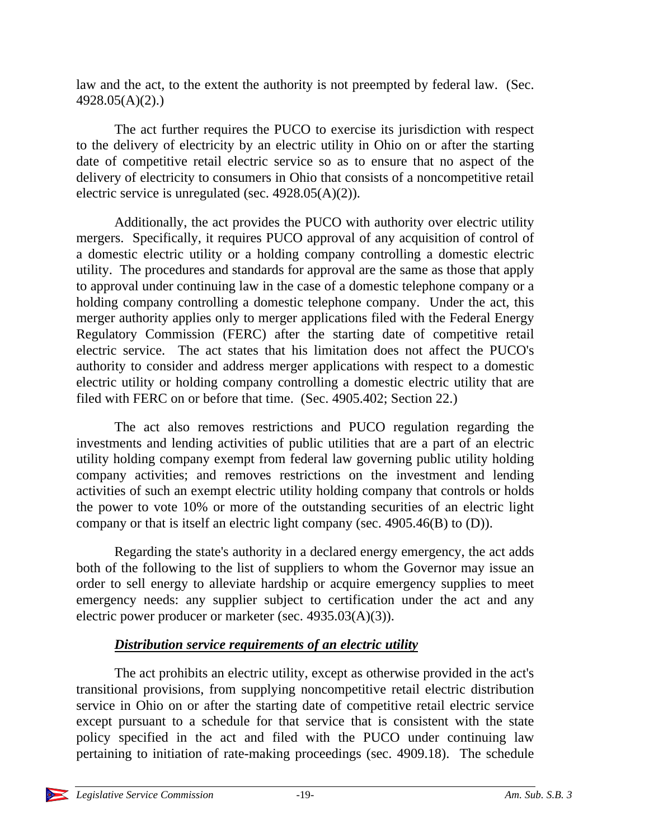law and the act, to the extent the authority is not preempted by federal law. (Sec. 4928.05(A)(2).)

The act further requires the PUCO to exercise its jurisdiction with respect to the delivery of electricity by an electric utility in Ohio on or after the starting date of competitive retail electric service so as to ensure that no aspect of the delivery of electricity to consumers in Ohio that consists of a noncompetitive retail electric service is unregulated (sec. 4928.05(A)(2)).

Additionally, the act provides the PUCO with authority over electric utility mergers. Specifically, it requires PUCO approval of any acquisition of control of a domestic electric utility or a holding company controlling a domestic electric utility. The procedures and standards for approval are the same as those that apply to approval under continuing law in the case of a domestic telephone company or a holding company controlling a domestic telephone company. Under the act, this merger authority applies only to merger applications filed with the Federal Energy Regulatory Commission (FERC) after the starting date of competitive retail electric service. The act states that his limitation does not affect the PUCO's authority to consider and address merger applications with respect to a domestic electric utility or holding company controlling a domestic electric utility that are filed with FERC on or before that time. (Sec. 4905.402; Section 22.)

The act also removes restrictions and PUCO regulation regarding the investments and lending activities of public utilities that are a part of an electric utility holding company exempt from federal law governing public utility holding company activities; and removes restrictions on the investment and lending activities of such an exempt electric utility holding company that controls or holds the power to vote 10% or more of the outstanding securities of an electric light company or that is itself an electric light company (sec. 4905.46(B) to (D)).

Regarding the state's authority in a declared energy emergency, the act adds both of the following to the list of suppliers to whom the Governor may issue an order to sell energy to alleviate hardship or acquire emergency supplies to meet emergency needs: any supplier subject to certification under the act and any electric power producer or marketer (sec. 4935.03(A)(3)).

# *Distribution service requirements of an electric utility*

The act prohibits an electric utility, except as otherwise provided in the act's transitional provisions, from supplying noncompetitive retail electric distribution service in Ohio on or after the starting date of competitive retail electric service except pursuant to a schedule for that service that is consistent with the state policy specified in the act and filed with the PUCO under continuing law pertaining to initiation of rate-making proceedings (sec. 4909.18). The schedule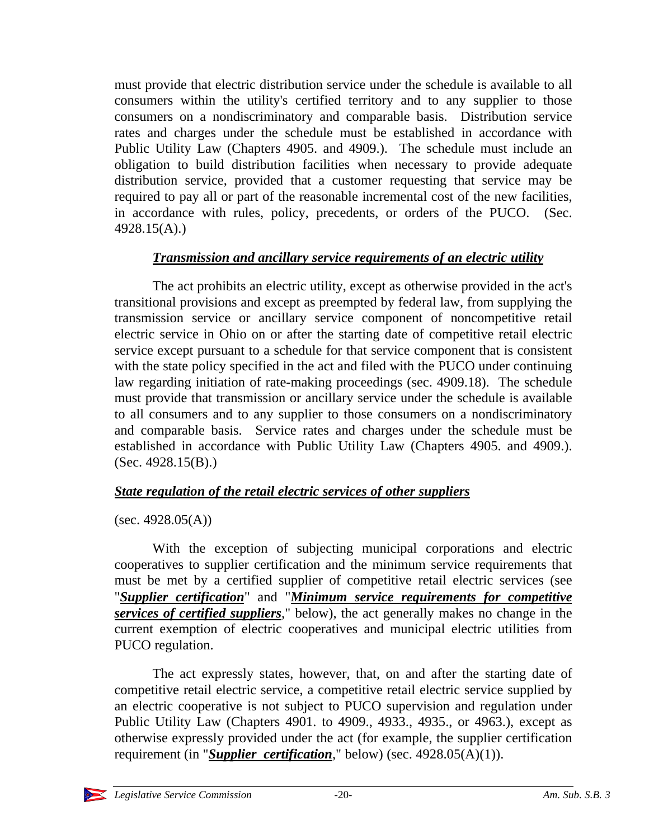must provide that electric distribution service under the schedule is available to all consumers within the utility's certified territory and to any supplier to those consumers on a nondiscriminatory and comparable basis. Distribution service rates and charges under the schedule must be established in accordance with Public Utility Law (Chapters 4905. and 4909.). The schedule must include an obligation to build distribution facilities when necessary to provide adequate distribution service, provided that a customer requesting that service may be required to pay all or part of the reasonable incremental cost of the new facilities, in accordance with rules, policy, precedents, or orders of the PUCO. (Sec. 4928.15(A).)

# *Transmission and ancillary service requirements of an electric utility*

The act prohibits an electric utility, except as otherwise provided in the act's transitional provisions and except as preempted by federal law, from supplying the transmission service or ancillary service component of noncompetitive retail electric service in Ohio on or after the starting date of competitive retail electric service except pursuant to a schedule for that service component that is consistent with the state policy specified in the act and filed with the PUCO under continuing law regarding initiation of rate-making proceedings (sec. 4909.18). The schedule must provide that transmission or ancillary service under the schedule is available to all consumers and to any supplier to those consumers on a nondiscriminatory and comparable basis. Service rates and charges under the schedule must be established in accordance with Public Utility Law (Chapters 4905. and 4909.). (Sec. 4928.15(B).)

# *State regulation of the retail electric services of other suppliers*

 $(sec. 4928.05(A))$ 

With the exception of subjecting municipal corporations and electric cooperatives to supplier certification and the minimum service requirements that must be met by a certified supplier of competitive retail electric services (see "*Supplier certification*" and "*Minimum service requirements for competitive services of certified suppliers*," below), the act generally makes no change in the current exemption of electric cooperatives and municipal electric utilities from PUCO regulation.

The act expressly states, however, that, on and after the starting date of competitive retail electric service, a competitive retail electric service supplied by an electric cooperative is not subject to PUCO supervision and regulation under Public Utility Law (Chapters 4901. to 4909., 4933., 4935., or 4963.), except as otherwise expressly provided under the act (for example, the supplier certification requirement (in "*Supplier certification*," below) (sec. 4928.05(A)(1)).

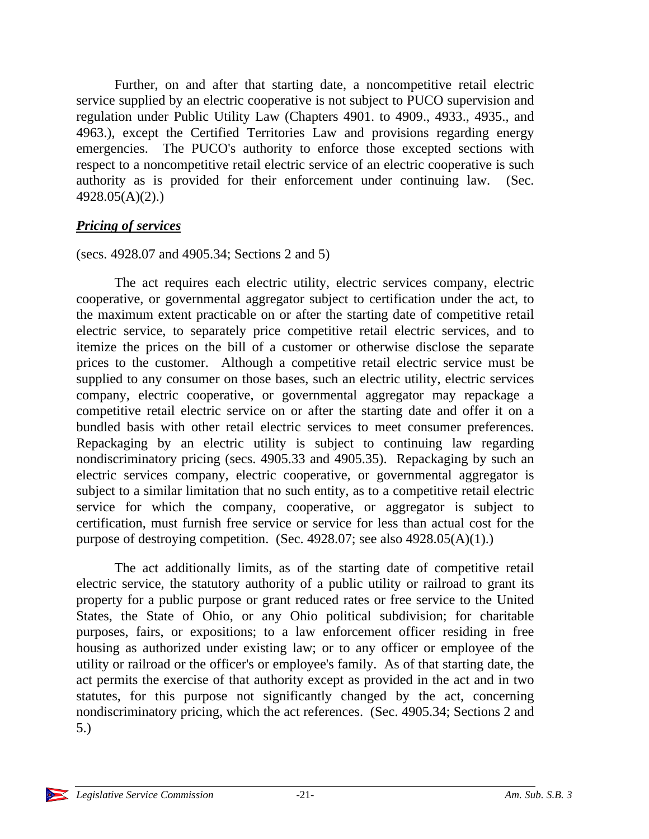Further, on and after that starting date, a noncompetitive retail electric service supplied by an electric cooperative is not subject to PUCO supervision and regulation under Public Utility Law (Chapters 4901. to 4909., 4933., 4935., and 4963.), except the Certified Territories Law and provisions regarding energy emergencies. The PUCO's authority to enforce those excepted sections with respect to a noncompetitive retail electric service of an electric cooperative is such authority as is provided for their enforcement under continuing law. (Sec. 4928.05(A)(2).)

### *Pricing of services*

#### (secs. 4928.07 and 4905.34; Sections 2 and 5)

The act requires each electric utility, electric services company, electric cooperative, or governmental aggregator subject to certification under the act, to the maximum extent practicable on or after the starting date of competitive retail electric service, to separately price competitive retail electric services, and to itemize the prices on the bill of a customer or otherwise disclose the separate prices to the customer. Although a competitive retail electric service must be supplied to any consumer on those bases, such an electric utility, electric services company, electric cooperative, or governmental aggregator may repackage a competitive retail electric service on or after the starting date and offer it on a bundled basis with other retail electric services to meet consumer preferences. Repackaging by an electric utility is subject to continuing law regarding nondiscriminatory pricing (secs. 4905.33 and 4905.35). Repackaging by such an electric services company, electric cooperative, or governmental aggregator is subject to a similar limitation that no such entity, as to a competitive retail electric service for which the company, cooperative, or aggregator is subject to certification, must furnish free service or service for less than actual cost for the purpose of destroying competition. (Sec. 4928.07; see also 4928.05(A)(1).)

The act additionally limits, as of the starting date of competitive retail electric service, the statutory authority of a public utility or railroad to grant its property for a public purpose or grant reduced rates or free service to the United States, the State of Ohio, or any Ohio political subdivision; for charitable purposes, fairs, or expositions; to a law enforcement officer residing in free housing as authorized under existing law; or to any officer or employee of the utility or railroad or the officer's or employee's family. As of that starting date, the act permits the exercise of that authority except as provided in the act and in two statutes, for this purpose not significantly changed by the act, concerning nondiscriminatory pricing, which the act references. (Sec. 4905.34; Sections 2 and 5.)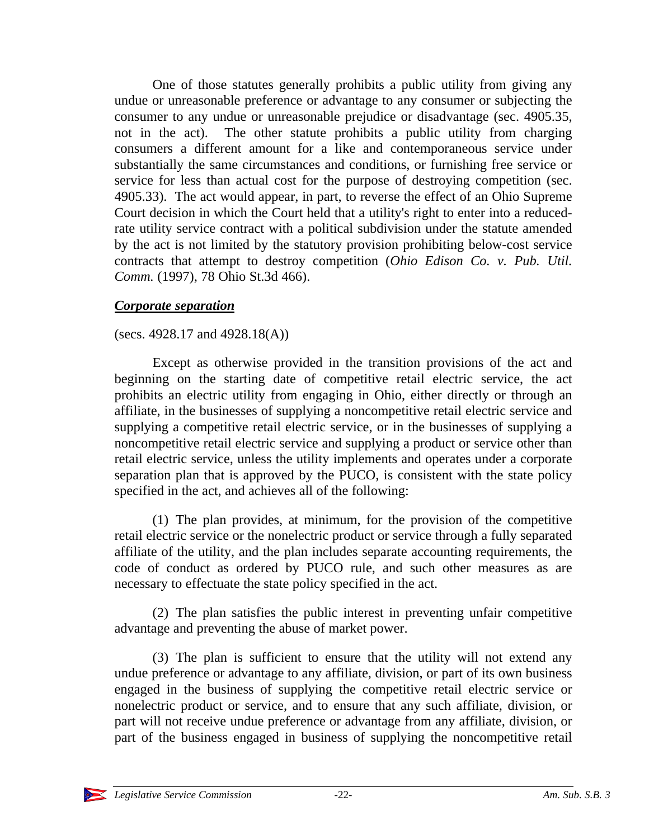One of those statutes generally prohibits a public utility from giving any undue or unreasonable preference or advantage to any consumer or subjecting the consumer to any undue or unreasonable prejudice or disadvantage (sec. 4905.35, not in the act). The other statute prohibits a public utility from charging consumers a different amount for a like and contemporaneous service under substantially the same circumstances and conditions, or furnishing free service or service for less than actual cost for the purpose of destroying competition (sec. 4905.33). The act would appear, in part, to reverse the effect of an Ohio Supreme Court decision in which the Court held that a utility's right to enter into a reducedrate utility service contract with a political subdivision under the statute amended by the act is not limited by the statutory provision prohibiting below-cost service contracts that attempt to destroy competition (*Ohio Edison Co. v. Pub. Util. Comm.* (1997), 78 Ohio St.3d 466).

#### *Corporate separation*

#### (secs. 4928.17 and 4928.18(A))

Except as otherwise provided in the transition provisions of the act and beginning on the starting date of competitive retail electric service, the act prohibits an electric utility from engaging in Ohio, either directly or through an affiliate, in the businesses of supplying a noncompetitive retail electric service and supplying a competitive retail electric service, or in the businesses of supplying a noncompetitive retail electric service and supplying a product or service other than retail electric service, unless the utility implements and operates under a corporate separation plan that is approved by the PUCO, is consistent with the state policy specified in the act, and achieves all of the following:

(1) The plan provides, at minimum, for the provision of the competitive retail electric service or the nonelectric product or service through a fully separated affiliate of the utility, and the plan includes separate accounting requirements, the code of conduct as ordered by PUCO rule, and such other measures as are necessary to effectuate the state policy specified in the act.

(2) The plan satisfies the public interest in preventing unfair competitive advantage and preventing the abuse of market power.

(3) The plan is sufficient to ensure that the utility will not extend any undue preference or advantage to any affiliate, division, or part of its own business engaged in the business of supplying the competitive retail electric service or nonelectric product or service, and to ensure that any such affiliate, division, or part will not receive undue preference or advantage from any affiliate, division, or part of the business engaged in business of supplying the noncompetitive retail

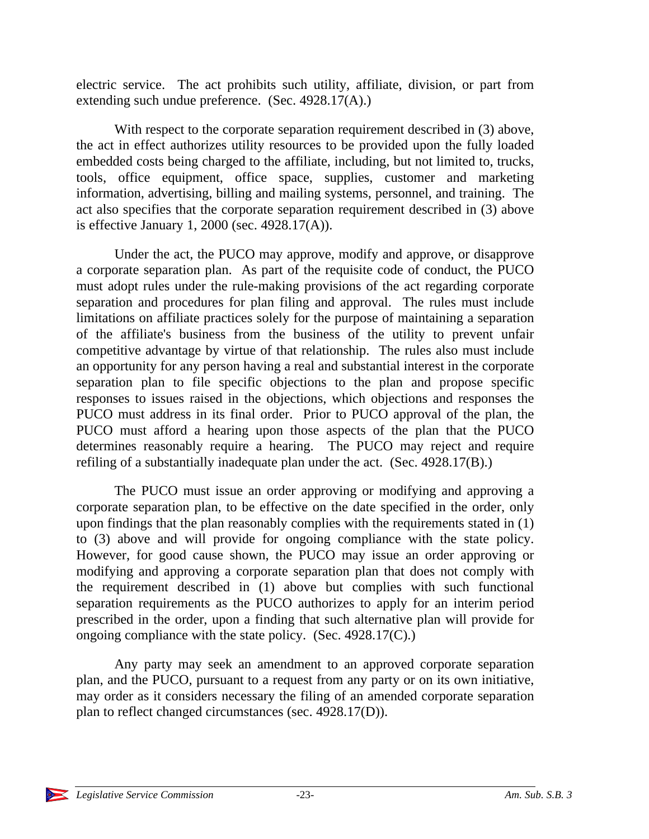electric service. The act prohibits such utility, affiliate, division, or part from extending such undue preference. (Sec. 4928.17(A).)

With respect to the corporate separation requirement described in (3) above, the act in effect authorizes utility resources to be provided upon the fully loaded embedded costs being charged to the affiliate, including, but not limited to, trucks, tools, office equipment, office space, supplies, customer and marketing information, advertising, billing and mailing systems, personnel, and training. The act also specifies that the corporate separation requirement described in (3) above is effective January 1, 2000 (sec. 4928.17(A)).

Under the act, the PUCO may approve, modify and approve, or disapprove a corporate separation plan. As part of the requisite code of conduct, the PUCO must adopt rules under the rule-making provisions of the act regarding corporate separation and procedures for plan filing and approval. The rules must include limitations on affiliate practices solely for the purpose of maintaining a separation of the affiliate's business from the business of the utility to prevent unfair competitive advantage by virtue of that relationship. The rules also must include an opportunity for any person having a real and substantial interest in the corporate separation plan to file specific objections to the plan and propose specific responses to issues raised in the objections, which objections and responses the PUCO must address in its final order. Prior to PUCO approval of the plan, the PUCO must afford a hearing upon those aspects of the plan that the PUCO determines reasonably require a hearing. The PUCO may reject and require refiling of a substantially inadequate plan under the act. (Sec. 4928.17(B).)

The PUCO must issue an order approving or modifying and approving a corporate separation plan, to be effective on the date specified in the order, only upon findings that the plan reasonably complies with the requirements stated in (1) to (3) above and will provide for ongoing compliance with the state policy. However, for good cause shown, the PUCO may issue an order approving or modifying and approving a corporate separation plan that does not comply with the requirement described in (1) above but complies with such functional separation requirements as the PUCO authorizes to apply for an interim period prescribed in the order, upon a finding that such alternative plan will provide for ongoing compliance with the state policy. (Sec. 4928.17(C).)

Any party may seek an amendment to an approved corporate separation plan, and the PUCO, pursuant to a request from any party or on its own initiative, may order as it considers necessary the filing of an amended corporate separation plan to reflect changed circumstances (sec. 4928.17(D)).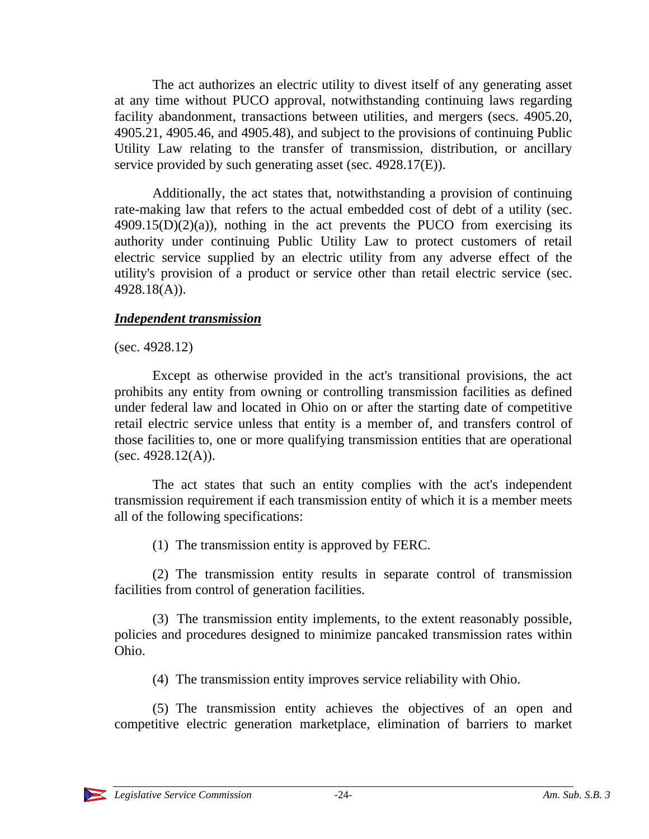The act authorizes an electric utility to divest itself of any generating asset at any time without PUCO approval, notwithstanding continuing laws regarding facility abandonment, transactions between utilities, and mergers (secs. 4905.20, 4905.21, 4905.46, and 4905.48), and subject to the provisions of continuing Public Utility Law relating to the transfer of transmission, distribution, or ancillary service provided by such generating asset (sec. 4928.17(E)).

Additionally, the act states that, notwithstanding a provision of continuing rate-making law that refers to the actual embedded cost of debt of a utility (sec.  $4909.15(D)(2)(a)$ , nothing in the act prevents the PUCO from exercising its authority under continuing Public Utility Law to protect customers of retail electric service supplied by an electric utility from any adverse effect of the utility's provision of a product or service other than retail electric service (sec. 4928.18(A)).

#### *Independent transmission*

(sec. 4928.12)

Except as otherwise provided in the act's transitional provisions, the act prohibits any entity from owning or controlling transmission facilities as defined under federal law and located in Ohio on or after the starting date of competitive retail electric service unless that entity is a member of, and transfers control of those facilities to, one or more qualifying transmission entities that are operational (sec.  $4928.12(A)$ ).

The act states that such an entity complies with the act's independent transmission requirement if each transmission entity of which it is a member meets all of the following specifications:

(1) The transmission entity is approved by FERC.

(2) The transmission entity results in separate control of transmission facilities from control of generation facilities.

(3) The transmission entity implements, to the extent reasonably possible, policies and procedures designed to minimize pancaked transmission rates within Ohio.

(4) The transmission entity improves service reliability with Ohio.

(5) The transmission entity achieves the objectives of an open and competitive electric generation marketplace, elimination of barriers to market

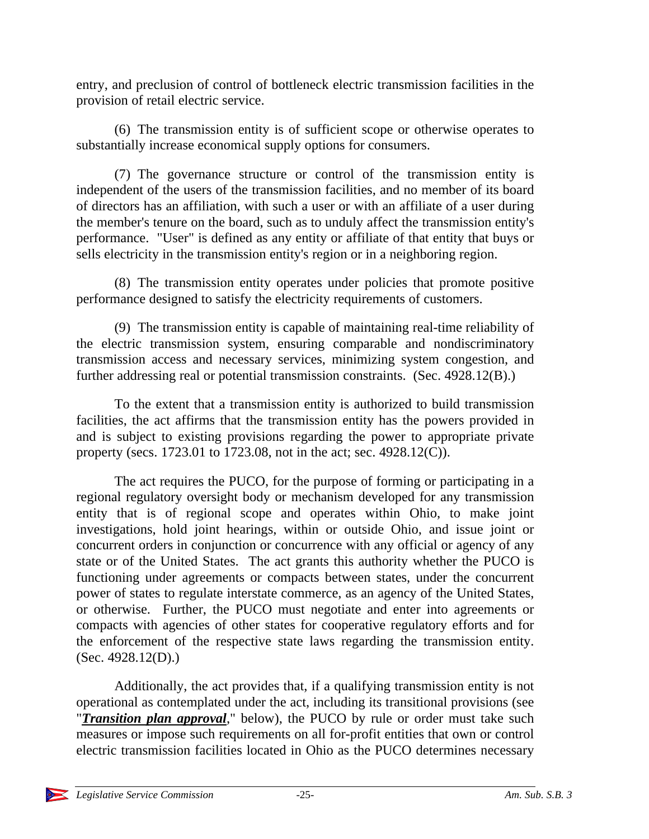entry, and preclusion of control of bottleneck electric transmission facilities in the provision of retail electric service.

(6) The transmission entity is of sufficient scope or otherwise operates to substantially increase economical supply options for consumers.

(7) The governance structure or control of the transmission entity is independent of the users of the transmission facilities, and no member of its board of directors has an affiliation, with such a user or with an affiliate of a user during the member's tenure on the board, such as to unduly affect the transmission entity's performance. "User" is defined as any entity or affiliate of that entity that buys or sells electricity in the transmission entity's region or in a neighboring region.

(8) The transmission entity operates under policies that promote positive performance designed to satisfy the electricity requirements of customers.

(9) The transmission entity is capable of maintaining real-time reliability of the electric transmission system, ensuring comparable and nondiscriminatory transmission access and necessary services, minimizing system congestion, and further addressing real or potential transmission constraints. (Sec. 4928.12(B).)

To the extent that a transmission entity is authorized to build transmission facilities, the act affirms that the transmission entity has the powers provided in and is subject to existing provisions regarding the power to appropriate private property (secs. 1723.01 to 1723.08, not in the act; sec. 4928.12(C)).

The act requires the PUCO, for the purpose of forming or participating in a regional regulatory oversight body or mechanism developed for any transmission entity that is of regional scope and operates within Ohio, to make joint investigations, hold joint hearings, within or outside Ohio, and issue joint or concurrent orders in conjunction or concurrence with any official or agency of any state or of the United States. The act grants this authority whether the PUCO is functioning under agreements or compacts between states, under the concurrent power of states to regulate interstate commerce, as an agency of the United States, or otherwise. Further, the PUCO must negotiate and enter into agreements or compacts with agencies of other states for cooperative regulatory efforts and for the enforcement of the respective state laws regarding the transmission entity. (Sec. 4928.12(D).)

Additionally, the act provides that, if a qualifying transmission entity is not operational as contemplated under the act, including its transitional provisions (see "*Transition plan approval*," below), the PUCO by rule or order must take such measures or impose such requirements on all for-profit entities that own or control electric transmission facilities located in Ohio as the PUCO determines necessary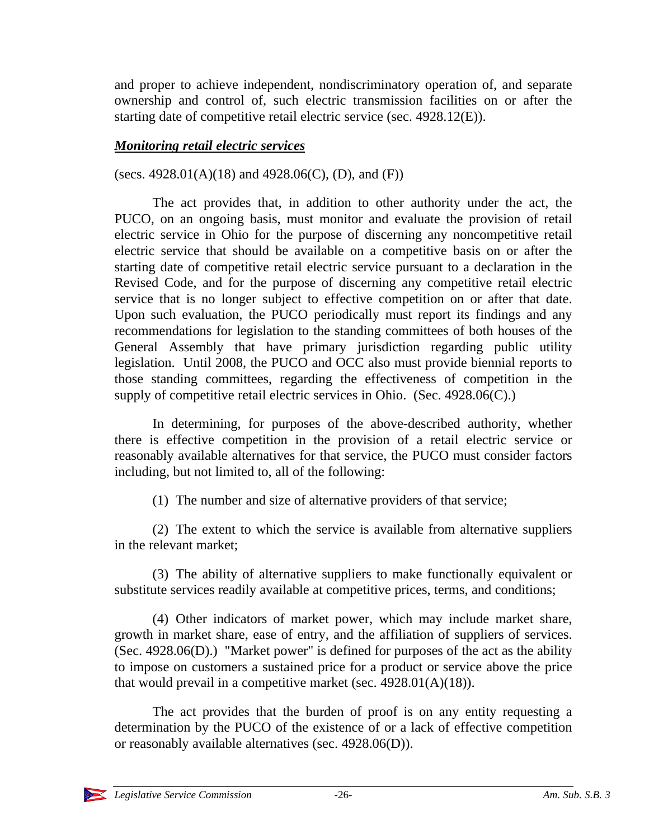and proper to achieve independent, nondiscriminatory operation of, and separate ownership and control of, such electric transmission facilities on or after the starting date of competitive retail electric service (sec. 4928.12(E)).

# *Monitoring retail electric services*

(secs. 4928.01(A)(18) and 4928.06(C), (D), and (F))

The act provides that, in addition to other authority under the act, the PUCO, on an ongoing basis, must monitor and evaluate the provision of retail electric service in Ohio for the purpose of discerning any noncompetitive retail electric service that should be available on a competitive basis on or after the starting date of competitive retail electric service pursuant to a declaration in the Revised Code, and for the purpose of discerning any competitive retail electric service that is no longer subject to effective competition on or after that date. Upon such evaluation, the PUCO periodically must report its findings and any recommendations for legislation to the standing committees of both houses of the General Assembly that have primary jurisdiction regarding public utility legislation. Until 2008, the PUCO and OCC also must provide biennial reports to those standing committees, regarding the effectiveness of competition in the supply of competitive retail electric services in Ohio. (Sec. 4928.06(C).)

In determining, for purposes of the above-described authority, whether there is effective competition in the provision of a retail electric service or reasonably available alternatives for that service, the PUCO must consider factors including, but not limited to, all of the following:

(1) The number and size of alternative providers of that service;

(2) The extent to which the service is available from alternative suppliers in the relevant market;

(3) The ability of alternative suppliers to make functionally equivalent or substitute services readily available at competitive prices, terms, and conditions;

(4) Other indicators of market power, which may include market share, growth in market share, ease of entry, and the affiliation of suppliers of services. (Sec. 4928.06(D).) "Market power" is defined for purposes of the act as the ability to impose on customers a sustained price for a product or service above the price that would prevail in a competitive market (sec. 4928.01(A)(18)).

The act provides that the burden of proof is on any entity requesting a determination by the PUCO of the existence of or a lack of effective competition or reasonably available alternatives (sec. 4928.06(D)).

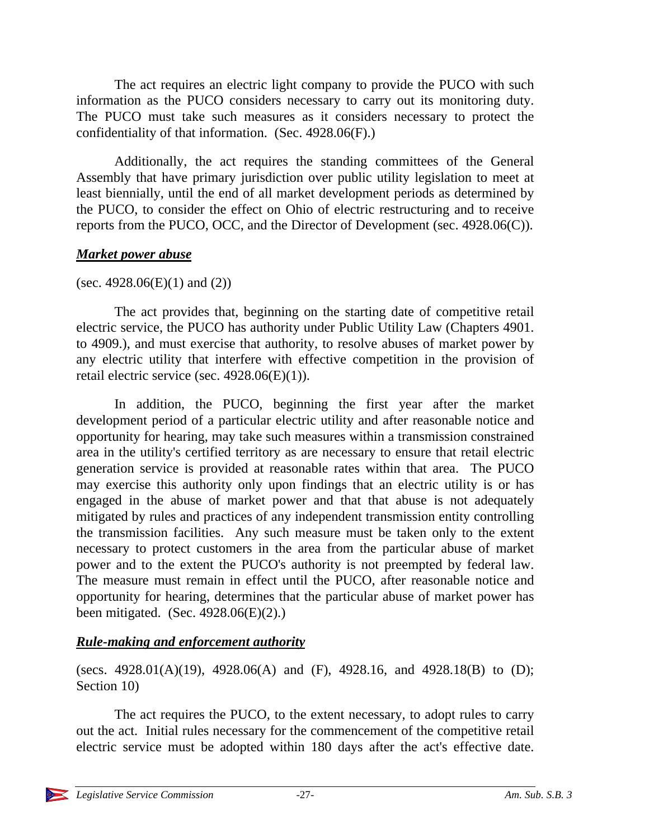The act requires an electric light company to provide the PUCO with such information as the PUCO considers necessary to carry out its monitoring duty. The PUCO must take such measures as it considers necessary to protect the confidentiality of that information. (Sec. 4928.06(F).)

Additionally, the act requires the standing committees of the General Assembly that have primary jurisdiction over public utility legislation to meet at least biennially, until the end of all market development periods as determined by the PUCO, to consider the effect on Ohio of electric restructuring and to receive reports from the PUCO, OCC, and the Director of Development (sec. 4928.06(C)).

### *Market power abuse*

# (sec. 4928.06(E)(1) and (2))

The act provides that, beginning on the starting date of competitive retail electric service, the PUCO has authority under Public Utility Law (Chapters 4901. to 4909.), and must exercise that authority, to resolve abuses of market power by any electric utility that interfere with effective competition in the provision of retail electric service (sec. 4928.06(E)(1)).

In addition, the PUCO, beginning the first year after the market development period of a particular electric utility and after reasonable notice and opportunity for hearing, may take such measures within a transmission constrained area in the utility's certified territory as are necessary to ensure that retail electric generation service is provided at reasonable rates within that area. The PUCO may exercise this authority only upon findings that an electric utility is or has engaged in the abuse of market power and that that abuse is not adequately mitigated by rules and practices of any independent transmission entity controlling the transmission facilities. Any such measure must be taken only to the extent necessary to protect customers in the area from the particular abuse of market power and to the extent the PUCO's authority is not preempted by federal law. The measure must remain in effect until the PUCO, after reasonable notice and opportunity for hearing, determines that the particular abuse of market power has been mitigated. (Sec.  $4928.06(E)(2)$ .)

# *Rule-making and enforcement authority*

(secs. 4928.01(A)(19), 4928.06(A) and (F), 4928.16, and 4928.18(B) to (D); Section 10)

The act requires the PUCO, to the extent necessary, to adopt rules to carry out the act. Initial rules necessary for the commencement of the competitive retail electric service must be adopted within 180 days after the act's effective date.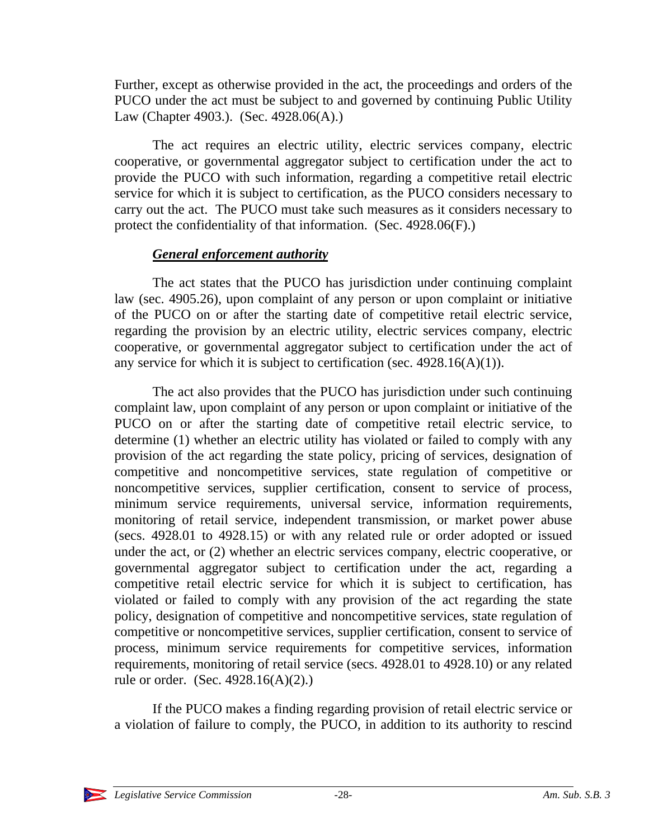Further, except as otherwise provided in the act, the proceedings and orders of the PUCO under the act must be subject to and governed by continuing Public Utility Law (Chapter 4903.). (Sec. 4928.06(A).)

The act requires an electric utility, electric services company, electric cooperative, or governmental aggregator subject to certification under the act to provide the PUCO with such information, regarding a competitive retail electric service for which it is subject to certification, as the PUCO considers necessary to carry out the act. The PUCO must take such measures as it considers necessary to protect the confidentiality of that information. (Sec. 4928.06(F).)

### *General enforcement authority*

The act states that the PUCO has jurisdiction under continuing complaint law (sec. 4905.26), upon complaint of any person or upon complaint or initiative of the PUCO on or after the starting date of competitive retail electric service, regarding the provision by an electric utility, electric services company, electric cooperative, or governmental aggregator subject to certification under the act of any service for which it is subject to certification (sec.  $4928.16(A)(1)$ ).

The act also provides that the PUCO has jurisdiction under such continuing complaint law, upon complaint of any person or upon complaint or initiative of the PUCO on or after the starting date of competitive retail electric service, to determine (1) whether an electric utility has violated or failed to comply with any provision of the act regarding the state policy, pricing of services, designation of competitive and noncompetitive services, state regulation of competitive or noncompetitive services, supplier certification, consent to service of process, minimum service requirements, universal service, information requirements, monitoring of retail service, independent transmission, or market power abuse (secs. 4928.01 to 4928.15) or with any related rule or order adopted or issued under the act, or (2) whether an electric services company, electric cooperative, or governmental aggregator subject to certification under the act, regarding a competitive retail electric service for which it is subject to certification, has violated or failed to comply with any provision of the act regarding the state policy, designation of competitive and noncompetitive services, state regulation of competitive or noncompetitive services, supplier certification, consent to service of process, minimum service requirements for competitive services, information requirements, monitoring of retail service (secs. 4928.01 to 4928.10) or any related rule or order. (Sec. 4928.16(A)(2).)

If the PUCO makes a finding regarding provision of retail electric service or a violation of failure to comply, the PUCO, in addition to its authority to rescind

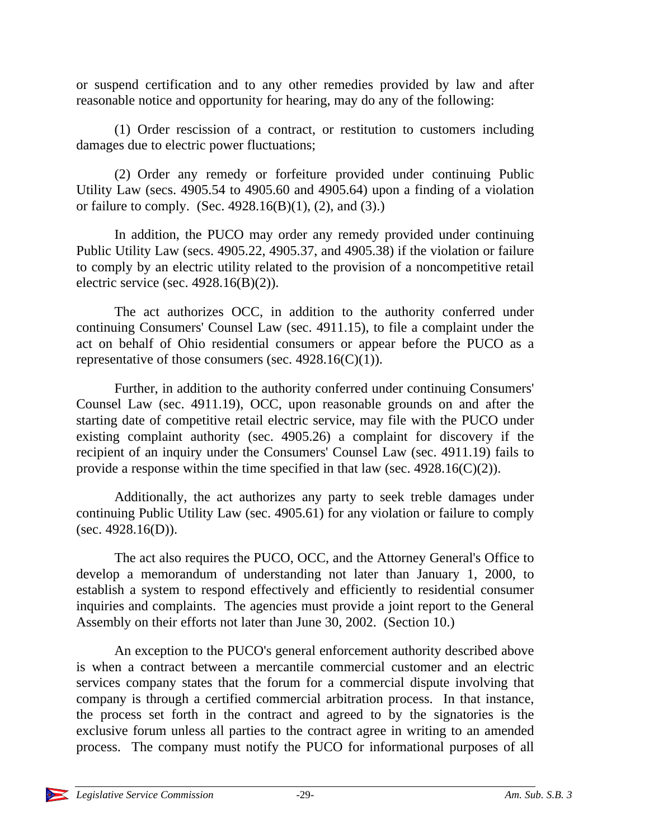or suspend certification and to any other remedies provided by law and after reasonable notice and opportunity for hearing, may do any of the following:

(1) Order rescission of a contract, or restitution to customers including damages due to electric power fluctuations;

(2) Order any remedy or forfeiture provided under continuing Public Utility Law (secs. 4905.54 to 4905.60 and 4905.64) upon a finding of a violation or failure to comply. (Sec.  $4928.16(B)(1)$ , (2), and (3).)

In addition, the PUCO may order any remedy provided under continuing Public Utility Law (secs. 4905.22, 4905.37, and 4905.38) if the violation or failure to comply by an electric utility related to the provision of a noncompetitive retail electric service (sec.  $4928.16(B)(2)$ ).

The act authorizes OCC, in addition to the authority conferred under continuing Consumers' Counsel Law (sec. 4911.15), to file a complaint under the act on behalf of Ohio residential consumers or appear before the PUCO as a representative of those consumers (sec.  $4928.16(C)(1)$ ).

Further, in addition to the authority conferred under continuing Consumers' Counsel Law (sec. 4911.19), OCC, upon reasonable grounds on and after the starting date of competitive retail electric service, may file with the PUCO under existing complaint authority (sec. 4905.26) a complaint for discovery if the recipient of an inquiry under the Consumers' Counsel Law (sec. 4911.19) fails to provide a response within the time specified in that law (sec. 4928.16(C)(2)).

Additionally, the act authorizes any party to seek treble damages under continuing Public Utility Law (sec. 4905.61) for any violation or failure to comply (sec.  $4928.16(D)$ ).

The act also requires the PUCO, OCC, and the Attorney General's Office to develop a memorandum of understanding not later than January 1, 2000, to establish a system to respond effectively and efficiently to residential consumer inquiries and complaints. The agencies must provide a joint report to the General Assembly on their efforts not later than June 30, 2002. (Section 10.)

An exception to the PUCO's general enforcement authority described above is when a contract between a mercantile commercial customer and an electric services company states that the forum for a commercial dispute involving that company is through a certified commercial arbitration process. In that instance, the process set forth in the contract and agreed to by the signatories is the exclusive forum unless all parties to the contract agree in writing to an amended process. The company must notify the PUCO for informational purposes of all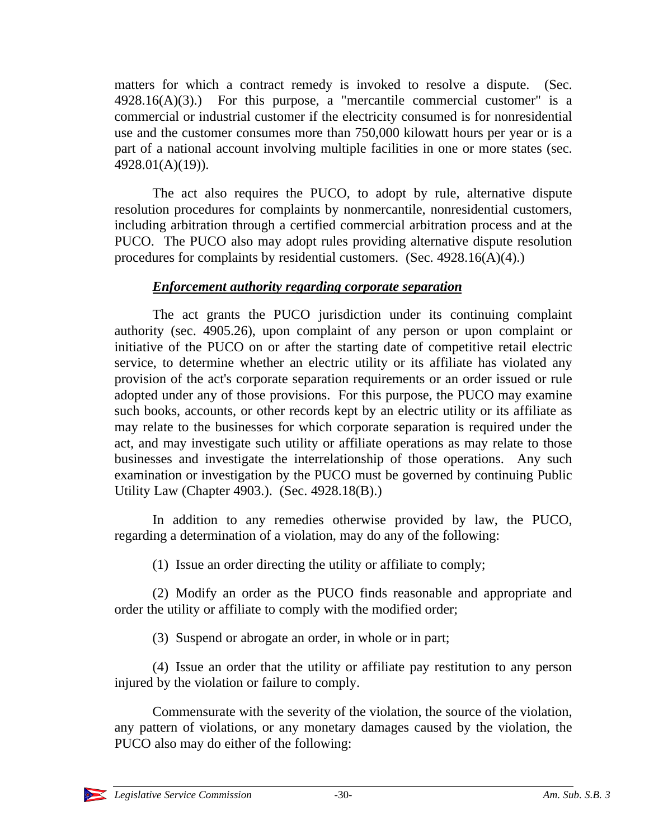matters for which a contract remedy is invoked to resolve a dispute. (Sec.  $4928.16(A)(3)$ .) For this purpose, a "mercantile commercial customer" is a commercial or industrial customer if the electricity consumed is for nonresidential use and the customer consumes more than 750,000 kilowatt hours per year or is a part of a national account involving multiple facilities in one or more states (sec. 4928.01(A)(19)).

The act also requires the PUCO, to adopt by rule, alternative dispute resolution procedures for complaints by nonmercantile, nonresidential customers, including arbitration through a certified commercial arbitration process and at the PUCO. The PUCO also may adopt rules providing alternative dispute resolution procedures for complaints by residential customers. (Sec. 4928.16(A)(4).)

### *Enforcement authority regarding corporate separation*

The act grants the PUCO jurisdiction under its continuing complaint authority (sec. 4905.26), upon complaint of any person or upon complaint or initiative of the PUCO on or after the starting date of competitive retail electric service, to determine whether an electric utility or its affiliate has violated any provision of the act's corporate separation requirements or an order issued or rule adopted under any of those provisions. For this purpose, the PUCO may examine such books, accounts, or other records kept by an electric utility or its affiliate as may relate to the businesses for which corporate separation is required under the act, and may investigate such utility or affiliate operations as may relate to those businesses and investigate the interrelationship of those operations. Any such examination or investigation by the PUCO must be governed by continuing Public Utility Law (Chapter 4903.). (Sec. 4928.18(B).)

In addition to any remedies otherwise provided by law, the PUCO, regarding a determination of a violation, may do any of the following:

(1) Issue an order directing the utility or affiliate to comply;

(2) Modify an order as the PUCO finds reasonable and appropriate and order the utility or affiliate to comply with the modified order;

(3) Suspend or abrogate an order, in whole or in part;

(4) Issue an order that the utility or affiliate pay restitution to any person injured by the violation or failure to comply.

Commensurate with the severity of the violation, the source of the violation, any pattern of violations, or any monetary damages caused by the violation, the PUCO also may do either of the following:

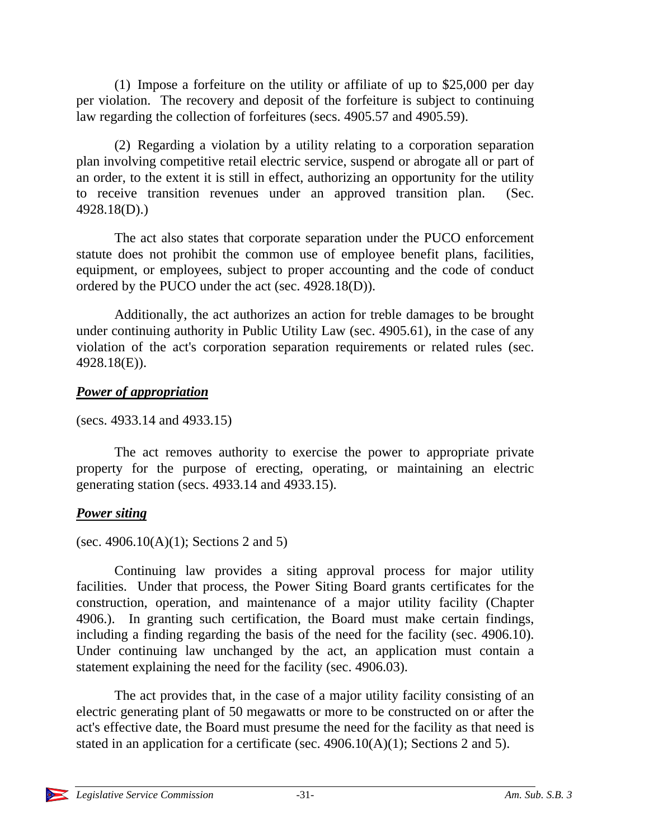(1) Impose a forfeiture on the utility or affiliate of up to \$25,000 per day per violation. The recovery and deposit of the forfeiture is subject to continuing law regarding the collection of forfeitures (secs. 4905.57 and 4905.59).

(2) Regarding a violation by a utility relating to a corporation separation plan involving competitive retail electric service, suspend or abrogate all or part of an order, to the extent it is still in effect, authorizing an opportunity for the utility to receive transition revenues under an approved transition plan. (Sec. 4928.18(D).)

The act also states that corporate separation under the PUCO enforcement statute does not prohibit the common use of employee benefit plans, facilities, equipment, or employees, subject to proper accounting and the code of conduct ordered by the PUCO under the act (sec. 4928.18(D)).

Additionally, the act authorizes an action for treble damages to be brought under continuing authority in Public Utility Law (sec. 4905.61), in the case of any violation of the act's corporation separation requirements or related rules (sec. 4928.18(E)).

#### *Power of appropriation*

(secs. 4933.14 and 4933.15)

The act removes authority to exercise the power to appropriate private property for the purpose of erecting, operating, or maintaining an electric generating station (secs. 4933.14 and 4933.15).

# *Power siting*

(sec. 4906.10(A)(1); Sections 2 and 5)

Continuing law provides a siting approval process for major utility facilities. Under that process, the Power Siting Board grants certificates for the construction, operation, and maintenance of a major utility facility (Chapter 4906.). In granting such certification, the Board must make certain findings, including a finding regarding the basis of the need for the facility (sec. 4906.10). Under continuing law unchanged by the act, an application must contain a statement explaining the need for the facility (sec. 4906.03).

The act provides that, in the case of a major utility facility consisting of an electric generating plant of 50 megawatts or more to be constructed on or after the act's effective date, the Board must presume the need for the facility as that need is stated in an application for a certificate (sec. 4906.10(A)(1); Sections 2 and 5).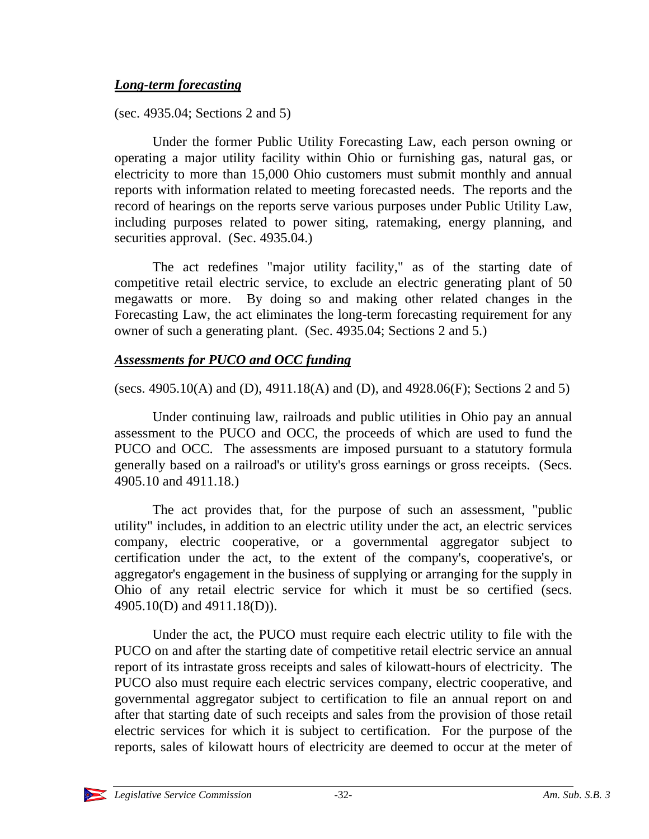### *Long-term forecasting*

(sec. 4935.04; Sections 2 and 5)

Under the former Public Utility Forecasting Law, each person owning or operating a major utility facility within Ohio or furnishing gas, natural gas, or electricity to more than 15,000 Ohio customers must submit monthly and annual reports with information related to meeting forecasted needs. The reports and the record of hearings on the reports serve various purposes under Public Utility Law, including purposes related to power siting, ratemaking, energy planning, and securities approval. (Sec. 4935.04.)

The act redefines "major utility facility," as of the starting date of competitive retail electric service, to exclude an electric generating plant of 50 megawatts or more. By doing so and making other related changes in the Forecasting Law, the act eliminates the long-term forecasting requirement for any owner of such a generating plant. (Sec. 4935.04; Sections 2 and 5.)

# *Assessments for PUCO and OCC funding*

(secs. 4905.10(A) and (D), 4911.18(A) and (D), and 4928.06(F); Sections 2 and 5)

Under continuing law, railroads and public utilities in Ohio pay an annual assessment to the PUCO and OCC, the proceeds of which are used to fund the PUCO and OCC. The assessments are imposed pursuant to a statutory formula generally based on a railroad's or utility's gross earnings or gross receipts. (Secs. 4905.10 and 4911.18.)

The act provides that, for the purpose of such an assessment, "public utility" includes, in addition to an electric utility under the act, an electric services company, electric cooperative, or a governmental aggregator subject to certification under the act, to the extent of the company's, cooperative's, or aggregator's engagement in the business of supplying or arranging for the supply in Ohio of any retail electric service for which it must be so certified (secs. 4905.10(D) and 4911.18(D)).

Under the act, the PUCO must require each electric utility to file with the PUCO on and after the starting date of competitive retail electric service an annual report of its intrastate gross receipts and sales of kilowatt-hours of electricity. The PUCO also must require each electric services company, electric cooperative, and governmental aggregator subject to certification to file an annual report on and after that starting date of such receipts and sales from the provision of those retail electric services for which it is subject to certification. For the purpose of the reports, sales of kilowatt hours of electricity are deemed to occur at the meter of

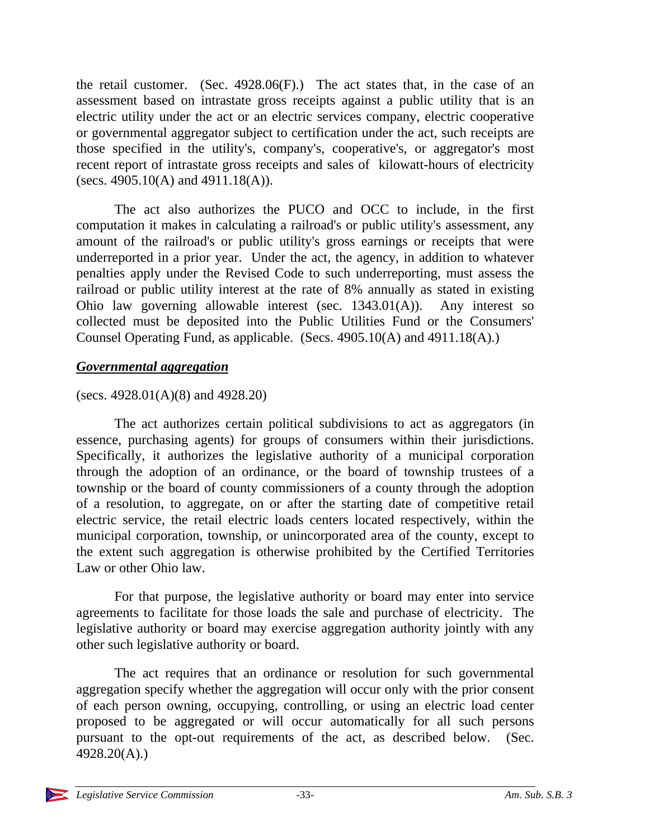the retail customer. (Sec. 4928.06(F).) The act states that, in the case of an assessment based on intrastate gross receipts against a public utility that is an electric utility under the act or an electric services company, electric cooperative or governmental aggregator subject to certification under the act, such receipts are those specified in the utility's, company's, cooperative's, or aggregator's most recent report of intrastate gross receipts and sales of kilowatt-hours of electricity (secs. 4905.10(A) and 4911.18(A)).

The act also authorizes the PUCO and OCC to include, in the first computation it makes in calculating a railroad's or public utility's assessment, any amount of the railroad's or public utility's gross earnings or receipts that were underreported in a prior year. Under the act, the agency, in addition to whatever penalties apply under the Revised Code to such underreporting, must assess the railroad or public utility interest at the rate of 8% annually as stated in existing Ohio law governing allowable interest (sec. 1343.01(A)). Any interest so collected must be deposited into the Public Utilities Fund or the Consumers' Counsel Operating Fund, as applicable. (Secs. 4905.10(A) and 4911.18(A).)

#### *Governmental aggregation*

#### (secs. 4928.01(A)(8) and 4928.20)

The act authorizes certain political subdivisions to act as aggregators (in essence, purchasing agents) for groups of consumers within their jurisdictions. Specifically, it authorizes the legislative authority of a municipal corporation through the adoption of an ordinance, or the board of township trustees of a township or the board of county commissioners of a county through the adoption of a resolution, to aggregate, on or after the starting date of competitive retail electric service, the retail electric loads centers located respectively, within the municipal corporation, township, or unincorporated area of the county, except to the extent such aggregation is otherwise prohibited by the Certified Territories Law or other Ohio law.

For that purpose, the legislative authority or board may enter into service agreements to facilitate for those loads the sale and purchase of electricity. The legislative authority or board may exercise aggregation authority jointly with any other such legislative authority or board.

The act requires that an ordinance or resolution for such governmental aggregation specify whether the aggregation will occur only with the prior consent of each person owning, occupying, controlling, or using an electric load center proposed to be aggregated or will occur automatically for all such persons pursuant to the opt-out requirements of the act, as described below. (Sec. 4928.20(A).)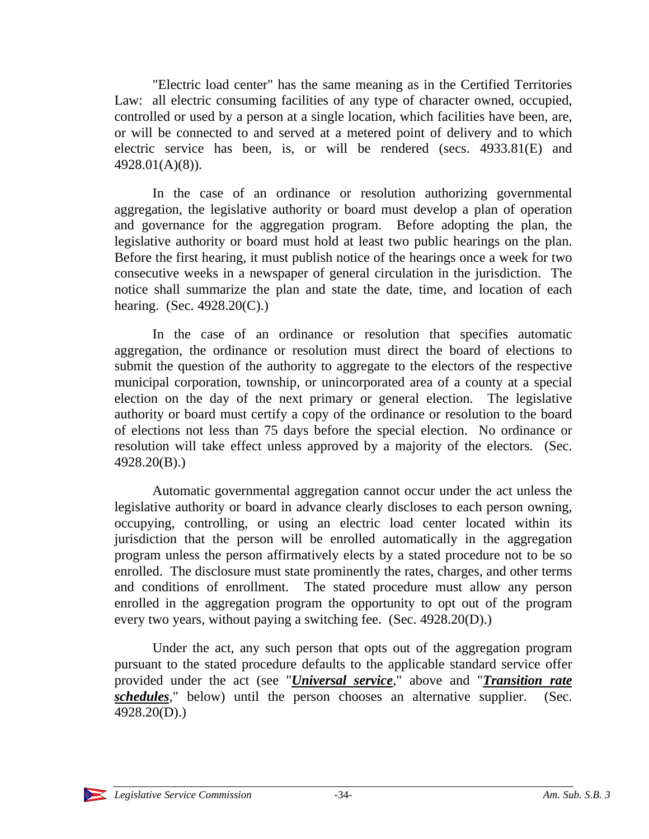"Electric load center" has the same meaning as in the Certified Territories Law: all electric consuming facilities of any type of character owned, occupied, controlled or used by a person at a single location, which facilities have been, are, or will be connected to and served at a metered point of delivery and to which electric service has been, is, or will be rendered (secs. 4933.81(E) and 4928.01(A)(8)).

In the case of an ordinance or resolution authorizing governmental aggregation, the legislative authority or board must develop a plan of operation and governance for the aggregation program. Before adopting the plan, the legislative authority or board must hold at least two public hearings on the plan. Before the first hearing, it must publish notice of the hearings once a week for two consecutive weeks in a newspaper of general circulation in the jurisdiction. The notice shall summarize the plan and state the date, time, and location of each hearing. (Sec. 4928.20(C).)

In the case of an ordinance or resolution that specifies automatic aggregation, the ordinance or resolution must direct the board of elections to submit the question of the authority to aggregate to the electors of the respective municipal corporation, township, or unincorporated area of a county at a special election on the day of the next primary or general election. The legislative authority or board must certify a copy of the ordinance or resolution to the board of elections not less than 75 days before the special election. No ordinance or resolution will take effect unless approved by a majority of the electors. (Sec. 4928.20(B).)

Automatic governmental aggregation cannot occur under the act unless the legislative authority or board in advance clearly discloses to each person owning, occupying, controlling, or using an electric load center located within its jurisdiction that the person will be enrolled automatically in the aggregation program unless the person affirmatively elects by a stated procedure not to be so enrolled. The disclosure must state prominently the rates, charges, and other terms and conditions of enrollment. The stated procedure must allow any person enrolled in the aggregation program the opportunity to opt out of the program every two years, without paying a switching fee. (Sec. 4928.20(D).)

Under the act, any such person that opts out of the aggregation program pursuant to the stated procedure defaults to the applicable standard service offer provided under the act (see "*Universal service*," above and "*Transition rate schedules*," below) until the person chooses an alternative supplier. (Sec. 4928.20(D).)

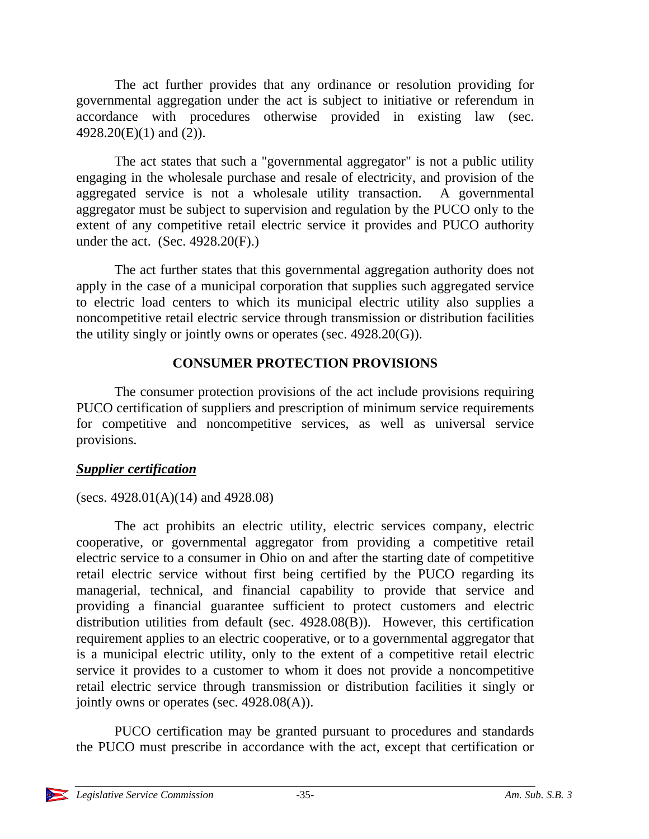The act further provides that any ordinance or resolution providing for governmental aggregation under the act is subject to initiative or referendum in accordance with procedures otherwise provided in existing law (sec. 4928.20(E)(1) and (2)).

The act states that such a "governmental aggregator" is not a public utility engaging in the wholesale purchase and resale of electricity, and provision of the aggregated service is not a wholesale utility transaction. A governmental aggregator must be subject to supervision and regulation by the PUCO only to the extent of any competitive retail electric service it provides and PUCO authority under the act. (Sec. 4928.20(F).)

The act further states that this governmental aggregation authority does not apply in the case of a municipal corporation that supplies such aggregated service to electric load centers to which its municipal electric utility also supplies a noncompetitive retail electric service through transmission or distribution facilities the utility singly or jointly owns or operates (sec. 4928.20(G)).

# **CONSUMER PROTECTION PROVISIONS**

The consumer protection provisions of the act include provisions requiring PUCO certification of suppliers and prescription of minimum service requirements for competitive and noncompetitive services, as well as universal service provisions.

# *Supplier certification*

# (secs. 4928.01(A)(14) and 4928.08)

The act prohibits an electric utility, electric services company, electric cooperative, or governmental aggregator from providing a competitive retail electric service to a consumer in Ohio on and after the starting date of competitive retail electric service without first being certified by the PUCO regarding its managerial, technical, and financial capability to provide that service and providing a financial guarantee sufficient to protect customers and electric distribution utilities from default (sec. 4928.08(B)). However, this certification requirement applies to an electric cooperative, or to a governmental aggregator that is a municipal electric utility, only to the extent of a competitive retail electric service it provides to a customer to whom it does not provide a noncompetitive retail electric service through transmission or distribution facilities it singly or jointly owns or operates (sec. 4928.08(A)).

PUCO certification may be granted pursuant to procedures and standards the PUCO must prescribe in accordance with the act, except that certification or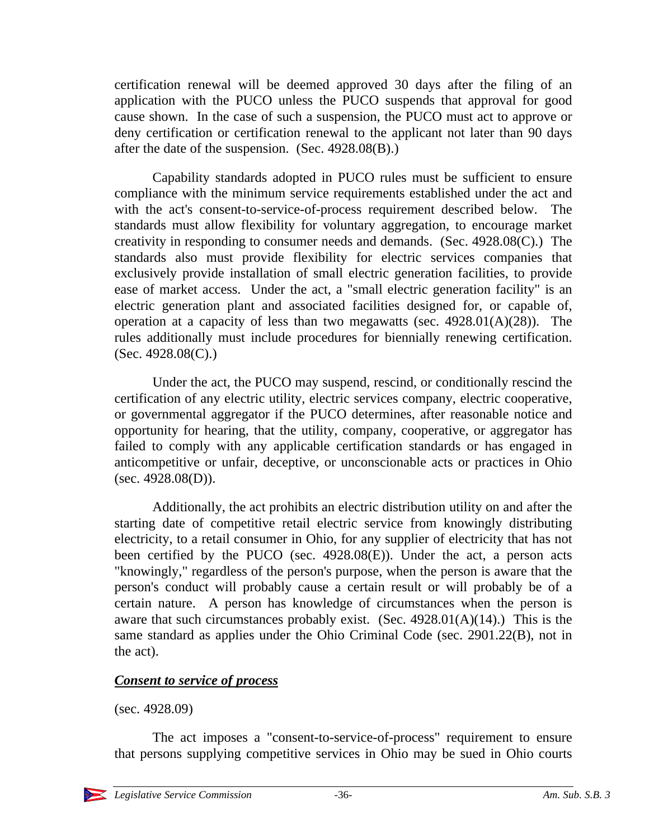certification renewal will be deemed approved 30 days after the filing of an application with the PUCO unless the PUCO suspends that approval for good cause shown. In the case of such a suspension, the PUCO must act to approve or deny certification or certification renewal to the applicant not later than 90 days after the date of the suspension. (Sec. 4928.08(B).)

Capability standards adopted in PUCO rules must be sufficient to ensure compliance with the minimum service requirements established under the act and with the act's consent-to-service-of-process requirement described below. The standards must allow flexibility for voluntary aggregation, to encourage market creativity in responding to consumer needs and demands. (Sec. 4928.08(C).) The standards also must provide flexibility for electric services companies that exclusively provide installation of small electric generation facilities, to provide ease of market access. Under the act, a "small electric generation facility" is an electric generation plant and associated facilities designed for, or capable of, operation at a capacity of less than two megawatts (sec.  $4928.01(A)(28)$ ). The rules additionally must include procedures for biennially renewing certification.  $(Sec. 4928.08(C))$ 

Under the act, the PUCO may suspend, rescind, or conditionally rescind the certification of any electric utility, electric services company, electric cooperative, or governmental aggregator if the PUCO determines, after reasonable notice and opportunity for hearing, that the utility, company, cooperative, or aggregator has failed to comply with any applicable certification standards or has engaged in anticompetitive or unfair, deceptive, or unconscionable acts or practices in Ohio  $(sec. 4928.08(D)).$ 

Additionally, the act prohibits an electric distribution utility on and after the starting date of competitive retail electric service from knowingly distributing electricity, to a retail consumer in Ohio, for any supplier of electricity that has not been certified by the PUCO (sec. 4928.08(E)). Under the act, a person acts "knowingly," regardless of the person's purpose, when the person is aware that the person's conduct will probably cause a certain result or will probably be of a certain nature. A person has knowledge of circumstances when the person is aware that such circumstances probably exist. (Sec.  $4928.01(A)(14)$ .) This is the same standard as applies under the Ohio Criminal Code (sec. 2901.22(B), not in the act).

# *Consent to service of process*

(sec. 4928.09)

The act imposes a "consent-to-service-of-process" requirement to ensure that persons supplying competitive services in Ohio may be sued in Ohio courts

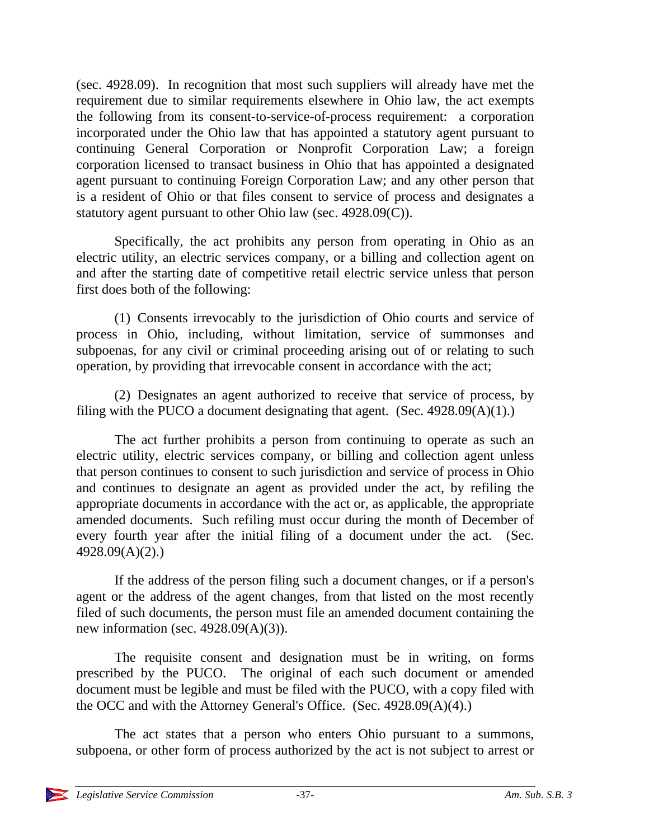(sec. 4928.09). In recognition that most such suppliers will already have met the requirement due to similar requirements elsewhere in Ohio law, the act exempts the following from its consent-to-service-of-process requirement: a corporation incorporated under the Ohio law that has appointed a statutory agent pursuant to continuing General Corporation or Nonprofit Corporation Law; a foreign corporation licensed to transact business in Ohio that has appointed a designated agent pursuant to continuing Foreign Corporation Law; and any other person that is a resident of Ohio or that files consent to service of process and designates a statutory agent pursuant to other Ohio law (sec. 4928.09(C)).

Specifically, the act prohibits any person from operating in Ohio as an electric utility, an electric services company, or a billing and collection agent on and after the starting date of competitive retail electric service unless that person first does both of the following:

(1) Consents irrevocably to the jurisdiction of Ohio courts and service of process in Ohio, including, without limitation, service of summonses and subpoenas, for any civil or criminal proceeding arising out of or relating to such operation, by providing that irrevocable consent in accordance with the act;

(2) Designates an agent authorized to receive that service of process, by filing with the PUCO a document designating that agent. (Sec.  $4928.09(A)(1)$ .)

The act further prohibits a person from continuing to operate as such an electric utility, electric services company, or billing and collection agent unless that person continues to consent to such jurisdiction and service of process in Ohio and continues to designate an agent as provided under the act, by refiling the appropriate documents in accordance with the act or, as applicable, the appropriate amended documents. Such refiling must occur during the month of December of every fourth year after the initial filing of a document under the act. (Sec. 4928.09(A)(2).)

If the address of the person filing such a document changes, or if a person's agent or the address of the agent changes, from that listed on the most recently filed of such documents, the person must file an amended document containing the new information (sec.  $4928.09(A)(3)$ ).

The requisite consent and designation must be in writing, on forms prescribed by the PUCO. The original of each such document or amended document must be legible and must be filed with the PUCO, with a copy filed with the OCC and with the Attorney General's Office. (Sec. 4928.09(A)(4).)

The act states that a person who enters Ohio pursuant to a summons, subpoena, or other form of process authorized by the act is not subject to arrest or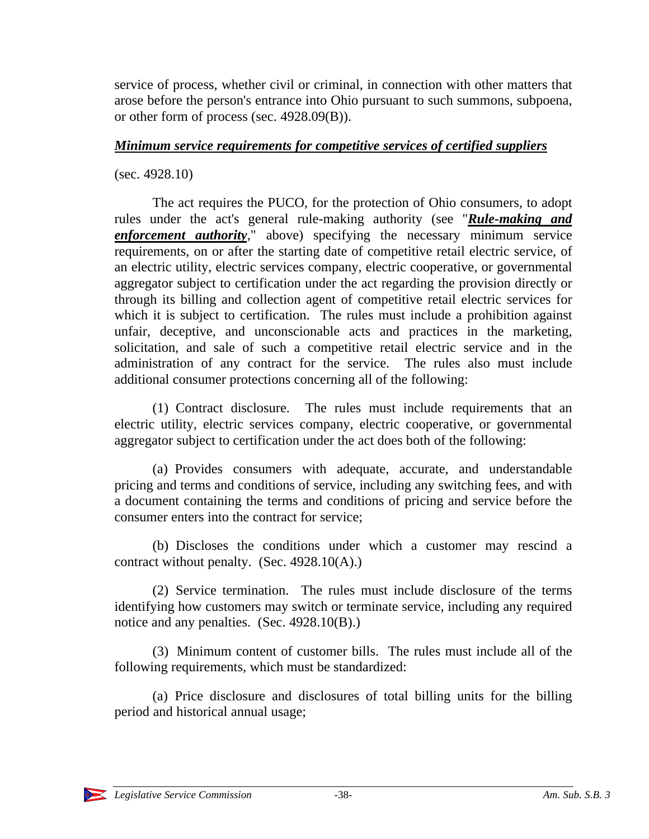service of process, whether civil or criminal, in connection with other matters that arose before the person's entrance into Ohio pursuant to such summons, subpoena, or other form of process (sec. 4928.09(B)).

### *Minimum service requirements for competitive services of certified suppliers*

(sec. 4928.10)

The act requires the PUCO, for the protection of Ohio consumers, to adopt rules under the act's general rule-making authority (see "*Rule-making and enforcement authority*," above) specifying the necessary minimum service requirements, on or after the starting date of competitive retail electric service, of an electric utility, electric services company, electric cooperative, or governmental aggregator subject to certification under the act regarding the provision directly or through its billing and collection agent of competitive retail electric services for which it is subject to certification. The rules must include a prohibition against unfair, deceptive, and unconscionable acts and practices in the marketing, solicitation, and sale of such a competitive retail electric service and in the administration of any contract for the service. The rules also must include additional consumer protections concerning all of the following:

(1) Contract disclosure. The rules must include requirements that an electric utility, electric services company, electric cooperative, or governmental aggregator subject to certification under the act does both of the following:

(a) Provides consumers with adequate, accurate, and understandable pricing and terms and conditions of service, including any switching fees, and with a document containing the terms and conditions of pricing and service before the consumer enters into the contract for service;

(b) Discloses the conditions under which a customer may rescind a contract without penalty. (Sec.  $4928.10(A)$ .)

(2) Service termination. The rules must include disclosure of the terms identifying how customers may switch or terminate service, including any required notice and any penalties. (Sec. 4928.10(B).)

(3) Minimum content of customer bills. The rules must include all of the following requirements, which must be standardized:

(a) Price disclosure and disclosures of total billing units for the billing period and historical annual usage;

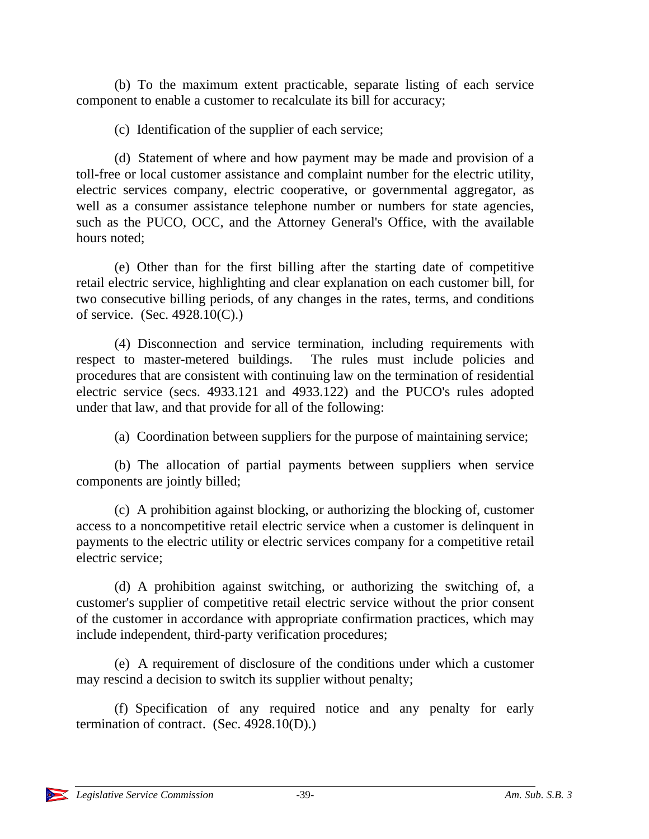(b) To the maximum extent practicable, separate listing of each service component to enable a customer to recalculate its bill for accuracy;

(c) Identification of the supplier of each service;

(d) Statement of where and how payment may be made and provision of a toll-free or local customer assistance and complaint number for the electric utility, electric services company, electric cooperative, or governmental aggregator, as well as a consumer assistance telephone number or numbers for state agencies, such as the PUCO, OCC, and the Attorney General's Office, with the available hours noted;

(e) Other than for the first billing after the starting date of competitive retail electric service, highlighting and clear explanation on each customer bill, for two consecutive billing periods, of any changes in the rates, terms, and conditions of service. (Sec. 4928.10(C).)

(4) Disconnection and service termination, including requirements with respect to master-metered buildings. The rules must include policies and procedures that are consistent with continuing law on the termination of residential electric service (secs. 4933.121 and 4933.122) and the PUCO's rules adopted under that law, and that provide for all of the following:

(a) Coordination between suppliers for the purpose of maintaining service;

(b) The allocation of partial payments between suppliers when service components are jointly billed;

(c) A prohibition against blocking, or authorizing the blocking of, customer access to a noncompetitive retail electric service when a customer is delinquent in payments to the electric utility or electric services company for a competitive retail electric service;

(d) A prohibition against switching, or authorizing the switching of, a customer's supplier of competitive retail electric service without the prior consent of the customer in accordance with appropriate confirmation practices, which may include independent, third-party verification procedures;

(e) A requirement of disclosure of the conditions under which a customer may rescind a decision to switch its supplier without penalty;

(f) Specification of any required notice and any penalty for early termination of contract. (Sec. 4928.10(D).)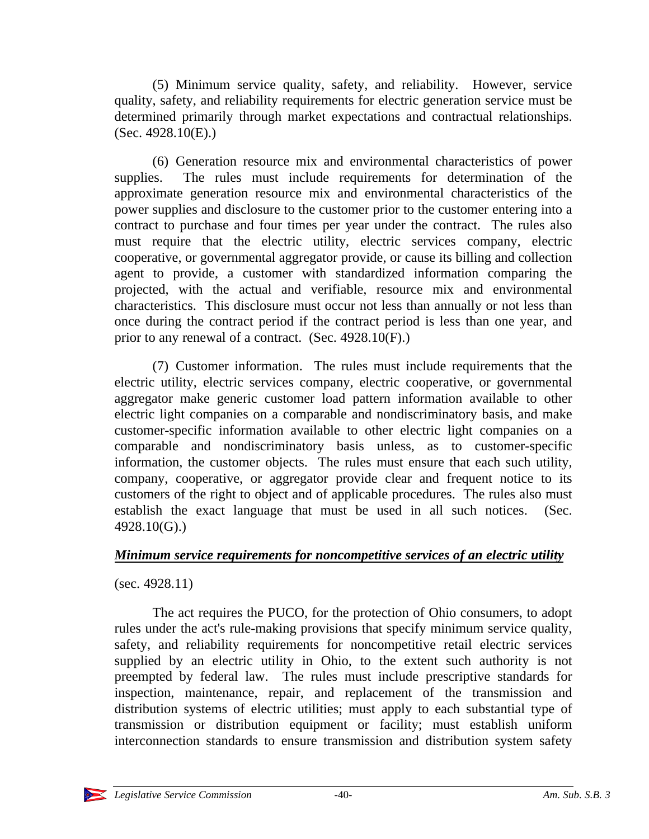(5) Minimum service quality, safety, and reliability. However, service quality, safety, and reliability requirements for electric generation service must be determined primarily through market expectations and contractual relationships. (Sec. 4928.10(E).)

(6) Generation resource mix and environmental characteristics of power supplies. The rules must include requirements for determination of the approximate generation resource mix and environmental characteristics of the power supplies and disclosure to the customer prior to the customer entering into a contract to purchase and four times per year under the contract. The rules also must require that the electric utility, electric services company, electric cooperative, or governmental aggregator provide, or cause its billing and collection agent to provide, a customer with standardized information comparing the projected, with the actual and verifiable, resource mix and environmental characteristics. This disclosure must occur not less than annually or not less than once during the contract period if the contract period is less than one year, and prior to any renewal of a contract. (Sec. 4928.10(F).)

(7) Customer information. The rules must include requirements that the electric utility, electric services company, electric cooperative, or governmental aggregator make generic customer load pattern information available to other electric light companies on a comparable and nondiscriminatory basis, and make customer-specific information available to other electric light companies on a comparable and nondiscriminatory basis unless, as to customer-specific information, the customer objects. The rules must ensure that each such utility, company, cooperative, or aggregator provide clear and frequent notice to its customers of the right to object and of applicable procedures. The rules also must establish the exact language that must be used in all such notices. (Sec. 4928.10(G).)

# *Minimum service requirements for noncompetitive services of an electric utility*

(sec. 4928.11)

The act requires the PUCO, for the protection of Ohio consumers, to adopt rules under the act's rule-making provisions that specify minimum service quality, safety, and reliability requirements for noncompetitive retail electric services supplied by an electric utility in Ohio, to the extent such authority is not preempted by federal law. The rules must include prescriptive standards for inspection, maintenance, repair, and replacement of the transmission and distribution systems of electric utilities; must apply to each substantial type of transmission or distribution equipment or facility; must establish uniform interconnection standards to ensure transmission and distribution system safety

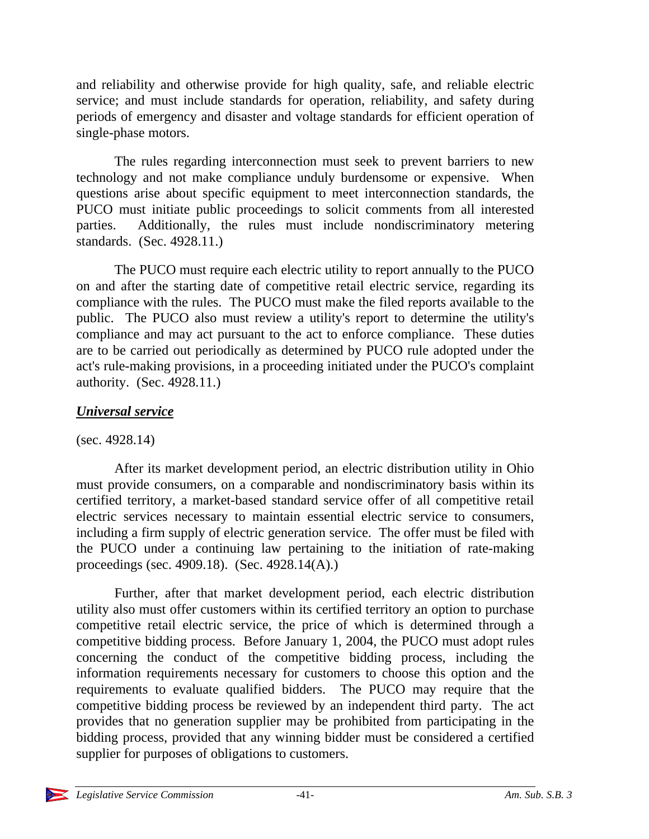and reliability and otherwise provide for high quality, safe, and reliable electric service; and must include standards for operation, reliability, and safety during periods of emergency and disaster and voltage standards for efficient operation of single-phase motors.

The rules regarding interconnection must seek to prevent barriers to new technology and not make compliance unduly burdensome or expensive. When questions arise about specific equipment to meet interconnection standards, the PUCO must initiate public proceedings to solicit comments from all interested parties. Additionally, the rules must include nondiscriminatory metering standards. (Sec. 4928.11.)

The PUCO must require each electric utility to report annually to the PUCO on and after the starting date of competitive retail electric service, regarding its compliance with the rules. The PUCO must make the filed reports available to the public. The PUCO also must review a utility's report to determine the utility's compliance and may act pursuant to the act to enforce compliance. These duties are to be carried out periodically as determined by PUCO rule adopted under the act's rule-making provisions, in a proceeding initiated under the PUCO's complaint authority. (Sec. 4928.11.)

# *Universal service*

(sec. 4928.14)

After its market development period, an electric distribution utility in Ohio must provide consumers, on a comparable and nondiscriminatory basis within its certified territory, a market-based standard service offer of all competitive retail electric services necessary to maintain essential electric service to consumers, including a firm supply of electric generation service. The offer must be filed with the PUCO under a continuing law pertaining to the initiation of rate-making proceedings (sec. 4909.18). (Sec. 4928.14(A).)

Further, after that market development period, each electric distribution utility also must offer customers within its certified territory an option to purchase competitive retail electric service, the price of which is determined through a competitive bidding process. Before January 1, 2004, the PUCO must adopt rules concerning the conduct of the competitive bidding process, including the information requirements necessary for customers to choose this option and the requirements to evaluate qualified bidders. The PUCO may require that the competitive bidding process be reviewed by an independent third party. The act provides that no generation supplier may be prohibited from participating in the bidding process, provided that any winning bidder must be considered a certified supplier for purposes of obligations to customers.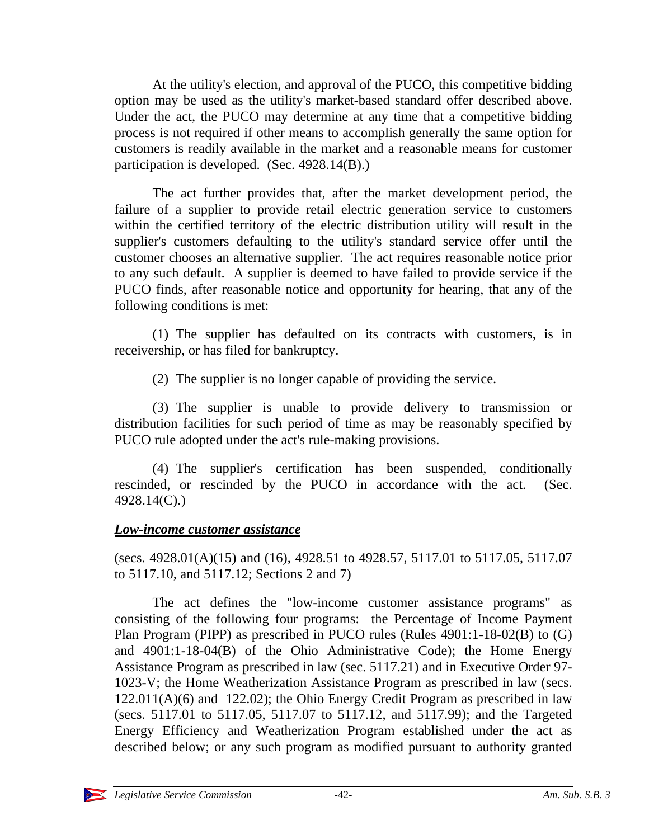At the utility's election, and approval of the PUCO, this competitive bidding option may be used as the utility's market-based standard offer described above. Under the act, the PUCO may determine at any time that a competitive bidding process is not required if other means to accomplish generally the same option for customers is readily available in the market and a reasonable means for customer participation is developed. (Sec. 4928.14(B).)

The act further provides that, after the market development period, the failure of a supplier to provide retail electric generation service to customers within the certified territory of the electric distribution utility will result in the supplier's customers defaulting to the utility's standard service offer until the customer chooses an alternative supplier. The act requires reasonable notice prior to any such default. A supplier is deemed to have failed to provide service if the PUCO finds, after reasonable notice and opportunity for hearing, that any of the following conditions is met:

(1) The supplier has defaulted on its contracts with customers, is in receivership, or has filed for bankruptcy.

(2) The supplier is no longer capable of providing the service.

(3) The supplier is unable to provide delivery to transmission or distribution facilities for such period of time as may be reasonably specified by PUCO rule adopted under the act's rule-making provisions.

(4) The supplier's certification has been suspended, conditionally rescinded, or rescinded by the PUCO in accordance with the act. (Sec. 4928.14(C).)

# *Low-income customer assistance*

(secs. 4928.01(A)(15) and (16), 4928.51 to 4928.57, 5117.01 to 5117.05, 5117.07 to 5117.10, and 5117.12; Sections 2 and 7)

The act defines the "low-income customer assistance programs" as consisting of the following four programs: the Percentage of Income Payment Plan Program (PIPP) as prescribed in PUCO rules (Rules 4901:1-18-02(B) to (G) and 4901:1-18-04(B) of the Ohio Administrative Code); the Home Energy Assistance Program as prescribed in law (sec. 5117.21) and in Executive Order 97- 1023-V; the Home Weatherization Assistance Program as prescribed in law (secs. 122.011(A)(6) and 122.02); the Ohio Energy Credit Program as prescribed in law (secs. 5117.01 to 5117.05, 5117.07 to 5117.12, and 5117.99); and the Targeted Energy Efficiency and Weatherization Program established under the act as described below; or any such program as modified pursuant to authority granted

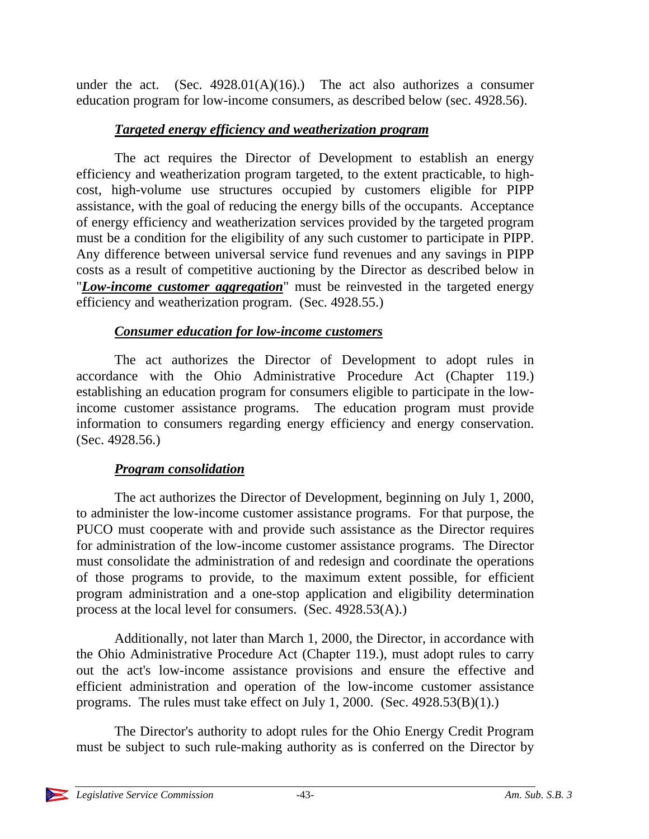under the act. (Sec.  $4928.01(A)(16)$ .) The act also authorizes a consumer education program for low-income consumers, as described below (sec. 4928.56).

# *Targeted energy efficiency and weatherization program*

The act requires the Director of Development to establish an energy efficiency and weatherization program targeted, to the extent practicable, to highcost, high-volume use structures occupied by customers eligible for PIPP assistance, with the goal of reducing the energy bills of the occupants. Acceptance of energy efficiency and weatherization services provided by the targeted program must be a condition for the eligibility of any such customer to participate in PIPP. Any difference between universal service fund revenues and any savings in PIPP costs as a result of competitive auctioning by the Director as described below in "*Low-income customer aggregation*" must be reinvested in the targeted energy efficiency and weatherization program. (Sec. 4928.55.)

# *Consumer education for low-income customers*

The act authorizes the Director of Development to adopt rules in accordance with the Ohio Administrative Procedure Act (Chapter 119.) establishing an education program for consumers eligible to participate in the lowincome customer assistance programs. The education program must provide information to consumers regarding energy efficiency and energy conservation. (Sec. 4928.56.)

# *Program consolidation*

The act authorizes the Director of Development, beginning on July 1, 2000, to administer the low-income customer assistance programs. For that purpose, the PUCO must cooperate with and provide such assistance as the Director requires for administration of the low-income customer assistance programs. The Director must consolidate the administration of and redesign and coordinate the operations of those programs to provide, to the maximum extent possible, for efficient program administration and a one-stop application and eligibility determination process at the local level for consumers. (Sec. 4928.53(A).)

Additionally, not later than March 1, 2000, the Director, in accordance with the Ohio Administrative Procedure Act (Chapter 119.), must adopt rules to carry out the act's low-income assistance provisions and ensure the effective and efficient administration and operation of the low-income customer assistance programs. The rules must take effect on July 1, 2000. (Sec. 4928.53(B)(1).)

The Director's authority to adopt rules for the Ohio Energy Credit Program must be subject to such rule-making authority as is conferred on the Director by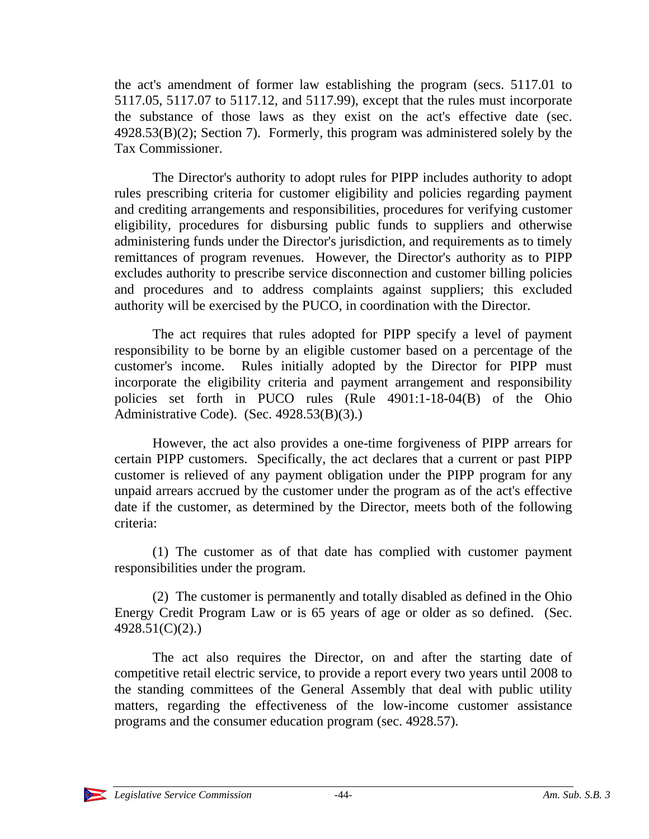the act's amendment of former law establishing the program (secs. 5117.01 to 5117.05, 5117.07 to 5117.12, and 5117.99), except that the rules must incorporate the substance of those laws as they exist on the act's effective date (sec. 4928.53(B)(2); Section 7). Formerly, this program was administered solely by the Tax Commissioner.

The Director's authority to adopt rules for PIPP includes authority to adopt rules prescribing criteria for customer eligibility and policies regarding payment and crediting arrangements and responsibilities, procedures for verifying customer eligibility, procedures for disbursing public funds to suppliers and otherwise administering funds under the Director's jurisdiction, and requirements as to timely remittances of program revenues. However, the Director's authority as to PIPP excludes authority to prescribe service disconnection and customer billing policies and procedures and to address complaints against suppliers; this excluded authority will be exercised by the PUCO, in coordination with the Director.

The act requires that rules adopted for PIPP specify a level of payment responsibility to be borne by an eligible customer based on a percentage of the customer's income. Rules initially adopted by the Director for PIPP must incorporate the eligibility criteria and payment arrangement and responsibility policies set forth in PUCO rules (Rule 4901:1-18-04(B) of the Ohio Administrative Code). (Sec. 4928.53(B)(3).)

However, the act also provides a one-time forgiveness of PIPP arrears for certain PIPP customers. Specifically, the act declares that a current or past PIPP customer is relieved of any payment obligation under the PIPP program for any unpaid arrears accrued by the customer under the program as of the act's effective date if the customer, as determined by the Director, meets both of the following criteria:

(1) The customer as of that date has complied with customer payment responsibilities under the program.

(2) The customer is permanently and totally disabled as defined in the Ohio Energy Credit Program Law or is 65 years of age or older as so defined. (Sec. 4928.51(C)(2).)

The act also requires the Director, on and after the starting date of competitive retail electric service, to provide a report every two years until 2008 to the standing committees of the General Assembly that deal with public utility matters, regarding the effectiveness of the low-income customer assistance programs and the consumer education program (sec. 4928.57).

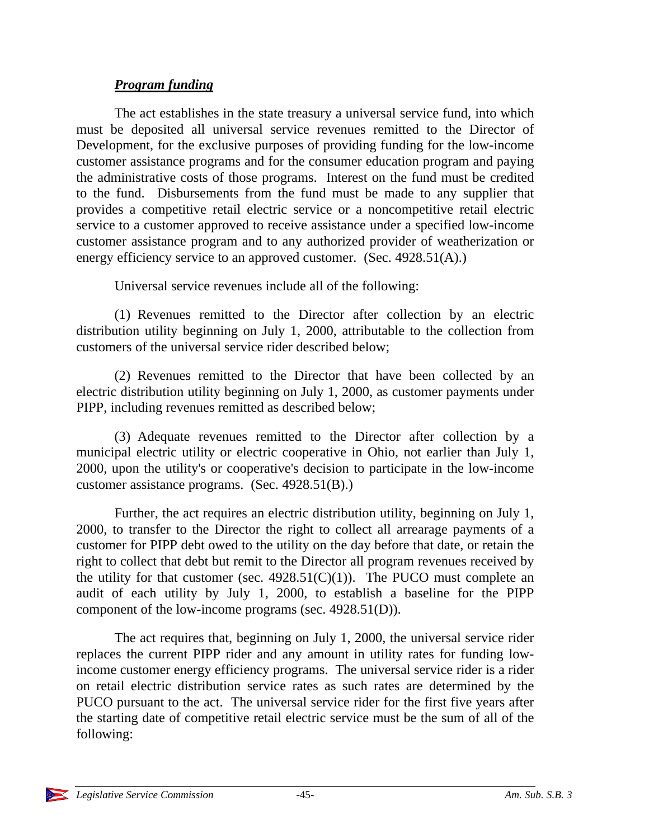# *Program funding*

The act establishes in the state treasury a universal service fund, into which must be deposited all universal service revenues remitted to the Director of Development, for the exclusive purposes of providing funding for the low-income customer assistance programs and for the consumer education program and paying the administrative costs of those programs. Interest on the fund must be credited to the fund. Disbursements from the fund must be made to any supplier that provides a competitive retail electric service or a noncompetitive retail electric service to a customer approved to receive assistance under a specified low-income customer assistance program and to any authorized provider of weatherization or energy efficiency service to an approved customer. (Sec. 4928.51(A).)

Universal service revenues include all of the following:

(1) Revenues remitted to the Director after collection by an electric distribution utility beginning on July 1, 2000, attributable to the collection from customers of the universal service rider described below;

(2) Revenues remitted to the Director that have been collected by an electric distribution utility beginning on July 1, 2000, as customer payments under PIPP, including revenues remitted as described below;

(3) Adequate revenues remitted to the Director after collection by a municipal electric utility or electric cooperative in Ohio, not earlier than July 1, 2000, upon the utility's or cooperative's decision to participate in the low-income customer assistance programs. (Sec. 4928.51(B).)

Further, the act requires an electric distribution utility, beginning on July 1, 2000, to transfer to the Director the right to collect all arrearage payments of a customer for PIPP debt owed to the utility on the day before that date, or retain the right to collect that debt but remit to the Director all program revenues received by the utility for that customer (sec.  $4928.51(C)(1)$ ). The PUCO must complete an audit of each utility by July 1, 2000, to establish a baseline for the PIPP component of the low-income programs (sec. 4928.51(D)).

The act requires that, beginning on July 1, 2000, the universal service rider replaces the current PIPP rider and any amount in utility rates for funding lowincome customer energy efficiency programs. The universal service rider is a rider on retail electric distribution service rates as such rates are determined by the PUCO pursuant to the act. The universal service rider for the first five years after the starting date of competitive retail electric service must be the sum of all of the following: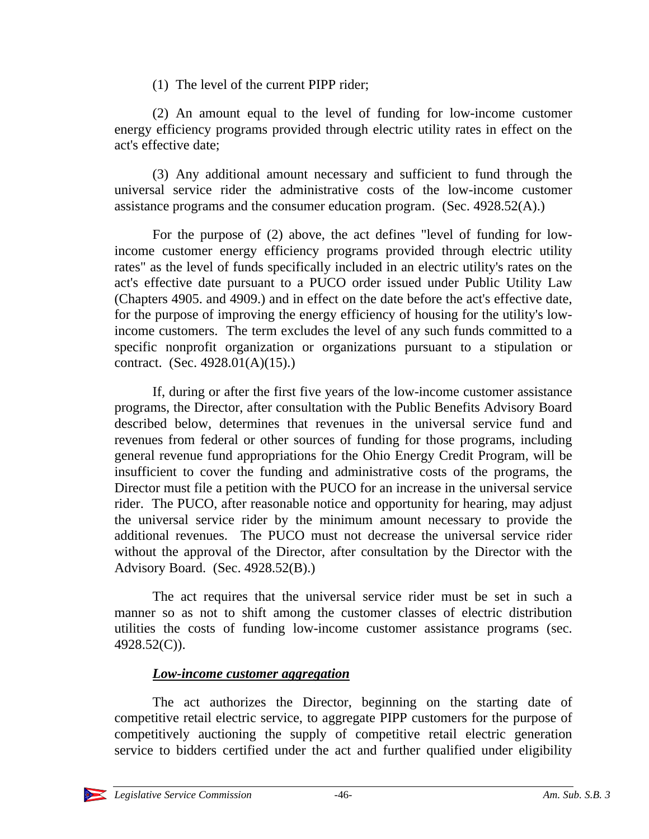(1) The level of the current PIPP rider;

(2) An amount equal to the level of funding for low-income customer energy efficiency programs provided through electric utility rates in effect on the act's effective date;

(3) Any additional amount necessary and sufficient to fund through the universal service rider the administrative costs of the low-income customer assistance programs and the consumer education program. (Sec. 4928.52(A).)

For the purpose of (2) above, the act defines "level of funding for lowincome customer energy efficiency programs provided through electric utility rates" as the level of funds specifically included in an electric utility's rates on the act's effective date pursuant to a PUCO order issued under Public Utility Law (Chapters 4905. and 4909.) and in effect on the date before the act's effective date, for the purpose of improving the energy efficiency of housing for the utility's lowincome customers. The term excludes the level of any such funds committed to a specific nonprofit organization or organizations pursuant to a stipulation or contract. (Sec. 4928.01(A)(15).)

If, during or after the first five years of the low-income customer assistance programs, the Director, after consultation with the Public Benefits Advisory Board described below, determines that revenues in the universal service fund and revenues from federal or other sources of funding for those programs, including general revenue fund appropriations for the Ohio Energy Credit Program, will be insufficient to cover the funding and administrative costs of the programs, the Director must file a petition with the PUCO for an increase in the universal service rider. The PUCO, after reasonable notice and opportunity for hearing, may adjust the universal service rider by the minimum amount necessary to provide the additional revenues. The PUCO must not decrease the universal service rider without the approval of the Director, after consultation by the Director with the Advisory Board. (Sec. 4928.52(B).)

The act requires that the universal service rider must be set in such a manner so as not to shift among the customer classes of electric distribution utilities the costs of funding low-income customer assistance programs (sec. 4928.52(C)).

# *Low-income customer aggregation*

The act authorizes the Director, beginning on the starting date of competitive retail electric service, to aggregate PIPP customers for the purpose of competitively auctioning the supply of competitive retail electric generation service to bidders certified under the act and further qualified under eligibility

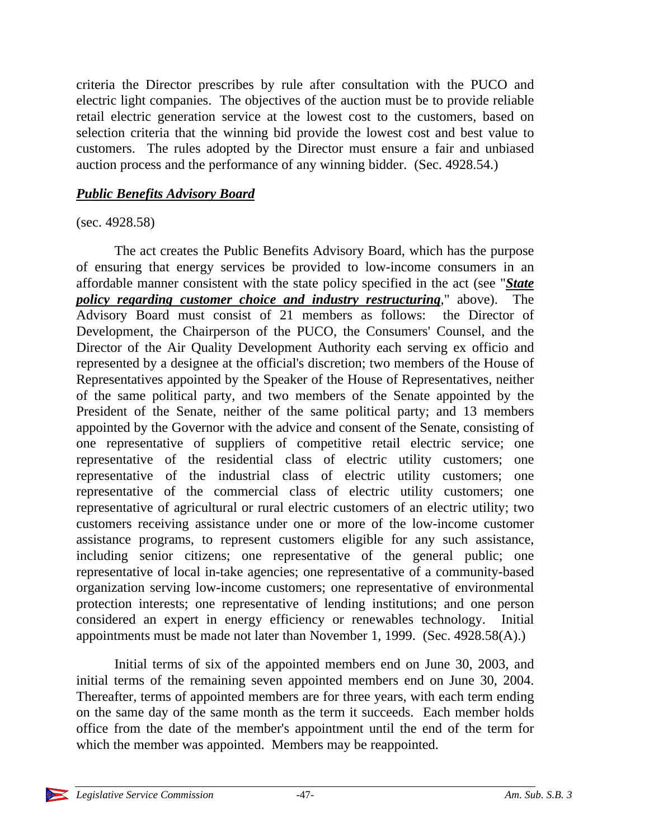criteria the Director prescribes by rule after consultation with the PUCO and electric light companies. The objectives of the auction must be to provide reliable retail electric generation service at the lowest cost to the customers, based on selection criteria that the winning bid provide the lowest cost and best value to customers. The rules adopted by the Director must ensure a fair and unbiased auction process and the performance of any winning bidder. (Sec. 4928.54.)

## *Public Benefits Advisory Board*

#### (sec. 4928.58)

The act creates the Public Benefits Advisory Board, which has the purpose of ensuring that energy services be provided to low-income consumers in an affordable manner consistent with the state policy specified in the act (see "*State policy regarding customer choice and industry restructuring*," above). The Advisory Board must consist of 21 members as follows: the Director of Development, the Chairperson of the PUCO, the Consumers' Counsel, and the Director of the Air Quality Development Authority each serving ex officio and represented by a designee at the official's discretion; two members of the House of Representatives appointed by the Speaker of the House of Representatives, neither of the same political party, and two members of the Senate appointed by the President of the Senate, neither of the same political party; and 13 members appointed by the Governor with the advice and consent of the Senate, consisting of one representative of suppliers of competitive retail electric service; one representative of the residential class of electric utility customers; one representative of the industrial class of electric utility customers; one representative of the commercial class of electric utility customers; one representative of agricultural or rural electric customers of an electric utility; two customers receiving assistance under one or more of the low-income customer assistance programs, to represent customers eligible for any such assistance, including senior citizens; one representative of the general public; one representative of local in-take agencies; one representative of a community-based organization serving low-income customers; one representative of environmental protection interests; one representative of lending institutions; and one person considered an expert in energy efficiency or renewables technology. Initial appointments must be made not later than November 1, 1999. (Sec. 4928.58(A).)

Initial terms of six of the appointed members end on June 30, 2003, and initial terms of the remaining seven appointed members end on June 30, 2004. Thereafter, terms of appointed members are for three years, with each term ending on the same day of the same month as the term it succeeds. Each member holds office from the date of the member's appointment until the end of the term for which the member was appointed. Members may be reappointed.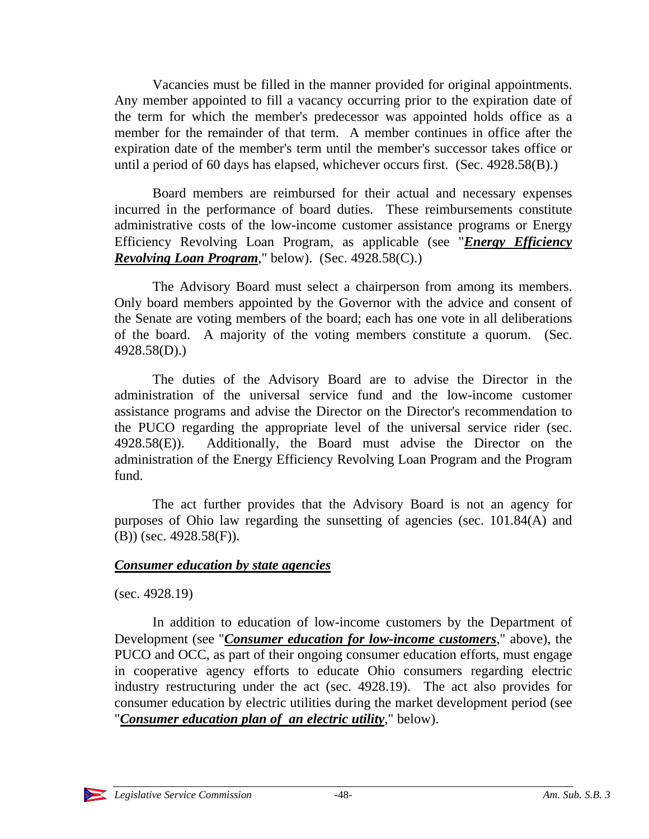Vacancies must be filled in the manner provided for original appointments. Any member appointed to fill a vacancy occurring prior to the expiration date of the term for which the member's predecessor was appointed holds office as a member for the remainder of that term. A member continues in office after the expiration date of the member's term until the member's successor takes office or until a period of 60 days has elapsed, whichever occurs first. (Sec. 4928.58(B).)

Board members are reimbursed for their actual and necessary expenses incurred in the performance of board duties. These reimbursements constitute administrative costs of the low-income customer assistance programs or Energy Efficiency Revolving Loan Program, as applicable (see "*Energy Efficiency Revolving Loan Program*," below). (Sec. 4928.58(C).)

The Advisory Board must select a chairperson from among its members. Only board members appointed by the Governor with the advice and consent of the Senate are voting members of the board; each has one vote in all deliberations of the board. A majority of the voting members constitute a quorum. (Sec. 4928.58(D).)

The duties of the Advisory Board are to advise the Director in the administration of the universal service fund and the low-income customer assistance programs and advise the Director on the Director's recommendation to the PUCO regarding the appropriate level of the universal service rider (sec. 4928.58(E)). Additionally, the Board must advise the Director on the administration of the Energy Efficiency Revolving Loan Program and the Program fund.

The act further provides that the Advisory Board is not an agency for purposes of Ohio law regarding the sunsetting of agencies (sec. 101.84(A) and (B)) (sec. 4928.58(F)).

#### *Consumer education by state agencies*

(sec. 4928.19)

In addition to education of low-income customers by the Department of Development (see "*Consumer education for low-income customers*," above), the PUCO and OCC, as part of their ongoing consumer education efforts, must engage in cooperative agency efforts to educate Ohio consumers regarding electric industry restructuring under the act (sec. 4928.19). The act also provides for consumer education by electric utilities during the market development period (see "*Consumer education plan of an electric utility*," below).

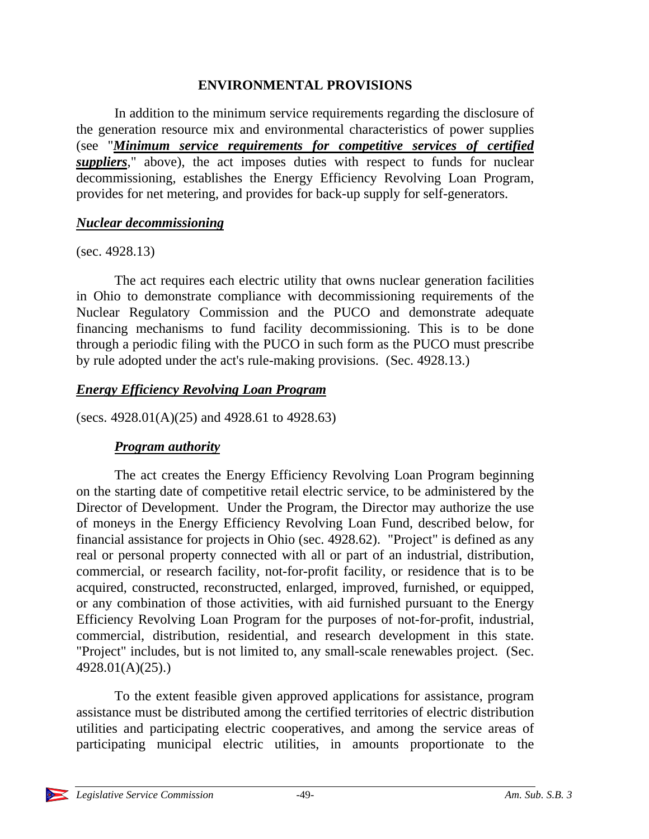#### **ENVIRONMENTAL PROVISIONS**

In addition to the minimum service requirements regarding the disclosure of the generation resource mix and environmental characteristics of power supplies (see "*Minimum service requirements for competitive services of certified suppliers*," above), the act imposes duties with respect to funds for nuclear decommissioning, establishes the Energy Efficiency Revolving Loan Program, provides for net metering, and provides for back-up supply for self-generators.

#### *Nuclear decommissioning*

(sec. 4928.13)

The act requires each electric utility that owns nuclear generation facilities in Ohio to demonstrate compliance with decommissioning requirements of the Nuclear Regulatory Commission and the PUCO and demonstrate adequate financing mechanisms to fund facility decommissioning. This is to be done through a periodic filing with the PUCO in such form as the PUCO must prescribe by rule adopted under the act's rule-making provisions. (Sec. 4928.13.)

#### *Energy Efficiency Revolving Loan Program*

(secs. 4928.01(A)(25) and 4928.61 to 4928.63)

#### *Program authority*

The act creates the Energy Efficiency Revolving Loan Program beginning on the starting date of competitive retail electric service, to be administered by the Director of Development. Under the Program, the Director may authorize the use of moneys in the Energy Efficiency Revolving Loan Fund, described below, for financial assistance for projects in Ohio (sec. 4928.62). "Project" is defined as any real or personal property connected with all or part of an industrial, distribution, commercial, or research facility, not-for-profit facility, or residence that is to be acquired, constructed, reconstructed, enlarged, improved, furnished, or equipped, or any combination of those activities, with aid furnished pursuant to the Energy Efficiency Revolving Loan Program for the purposes of not-for-profit, industrial, commercial, distribution, residential, and research development in this state. "Project" includes, but is not limited to, any small-scale renewables project. (Sec. 4928.01(A)(25).)

To the extent feasible given approved applications for assistance, program assistance must be distributed among the certified territories of electric distribution utilities and participating electric cooperatives, and among the service areas of participating municipal electric utilities, in amounts proportionate to the

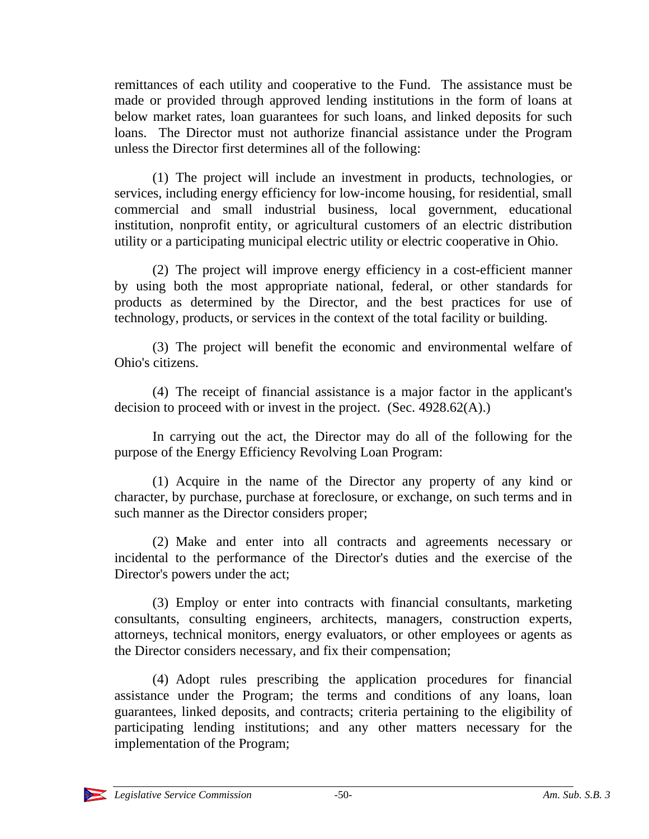remittances of each utility and cooperative to the Fund. The assistance must be made or provided through approved lending institutions in the form of loans at below market rates, loan guarantees for such loans, and linked deposits for such loans. The Director must not authorize financial assistance under the Program unless the Director first determines all of the following:

(1) The project will include an investment in products, technologies, or services, including energy efficiency for low-income housing, for residential, small commercial and small industrial business, local government, educational institution, nonprofit entity, or agricultural customers of an electric distribution utility or a participating municipal electric utility or electric cooperative in Ohio.

(2) The project will improve energy efficiency in a cost-efficient manner by using both the most appropriate national, federal, or other standards for products as determined by the Director, and the best practices for use of technology, products, or services in the context of the total facility or building.

(3) The project will benefit the economic and environmental welfare of Ohio's citizens.

(4) The receipt of financial assistance is a major factor in the applicant's decision to proceed with or invest in the project. (Sec. 4928.62(A).)

In carrying out the act, the Director may do all of the following for the purpose of the Energy Efficiency Revolving Loan Program:

(1) Acquire in the name of the Director any property of any kind or character, by purchase, purchase at foreclosure, or exchange, on such terms and in such manner as the Director considers proper;

(2) Make and enter into all contracts and agreements necessary or incidental to the performance of the Director's duties and the exercise of the Director's powers under the act;

(3) Employ or enter into contracts with financial consultants, marketing consultants, consulting engineers, architects, managers, construction experts, attorneys, technical monitors, energy evaluators, or other employees or agents as the Director considers necessary, and fix their compensation;

(4) Adopt rules prescribing the application procedures for financial assistance under the Program; the terms and conditions of any loans, loan guarantees, linked deposits, and contracts; criteria pertaining to the eligibility of participating lending institutions; and any other matters necessary for the implementation of the Program;

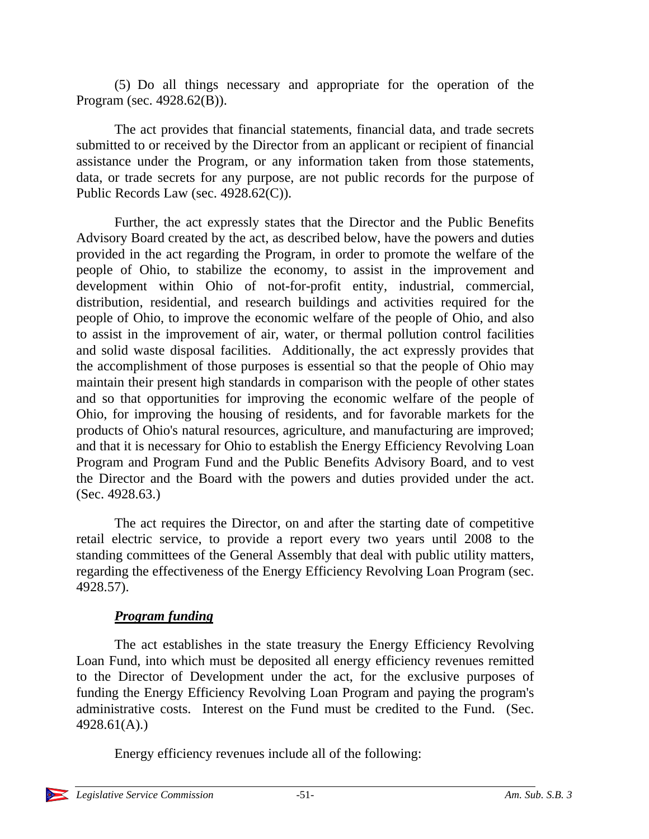(5) Do all things necessary and appropriate for the operation of the Program (sec. 4928.62(B)).

The act provides that financial statements, financial data, and trade secrets submitted to or received by the Director from an applicant or recipient of financial assistance under the Program, or any information taken from those statements, data, or trade secrets for any purpose, are not public records for the purpose of Public Records Law (sec. 4928.62(C)).

Further, the act expressly states that the Director and the Public Benefits Advisory Board created by the act, as described below, have the powers and duties provided in the act regarding the Program, in order to promote the welfare of the people of Ohio, to stabilize the economy, to assist in the improvement and development within Ohio of not-for-profit entity, industrial, commercial, distribution, residential, and research buildings and activities required for the people of Ohio, to improve the economic welfare of the people of Ohio, and also to assist in the improvement of air, water, or thermal pollution control facilities and solid waste disposal facilities. Additionally, the act expressly provides that the accomplishment of those purposes is essential so that the people of Ohio may maintain their present high standards in comparison with the people of other states and so that opportunities for improving the economic welfare of the people of Ohio, for improving the housing of residents, and for favorable markets for the products of Ohio's natural resources, agriculture, and manufacturing are improved; and that it is necessary for Ohio to establish the Energy Efficiency Revolving Loan Program and Program Fund and the Public Benefits Advisory Board, and to vest the Director and the Board with the powers and duties provided under the act. (Sec. 4928.63.)

The act requires the Director, on and after the starting date of competitive retail electric service, to provide a report every two years until 2008 to the standing committees of the General Assembly that deal with public utility matters, regarding the effectiveness of the Energy Efficiency Revolving Loan Program (sec. 4928.57).

# *Program funding*

The act establishes in the state treasury the Energy Efficiency Revolving Loan Fund, into which must be deposited all energy efficiency revenues remitted to the Director of Development under the act, for the exclusive purposes of funding the Energy Efficiency Revolving Loan Program and paying the program's administrative costs. Interest on the Fund must be credited to the Fund. (Sec. 4928.61(A).)

Energy efficiency revenues include all of the following: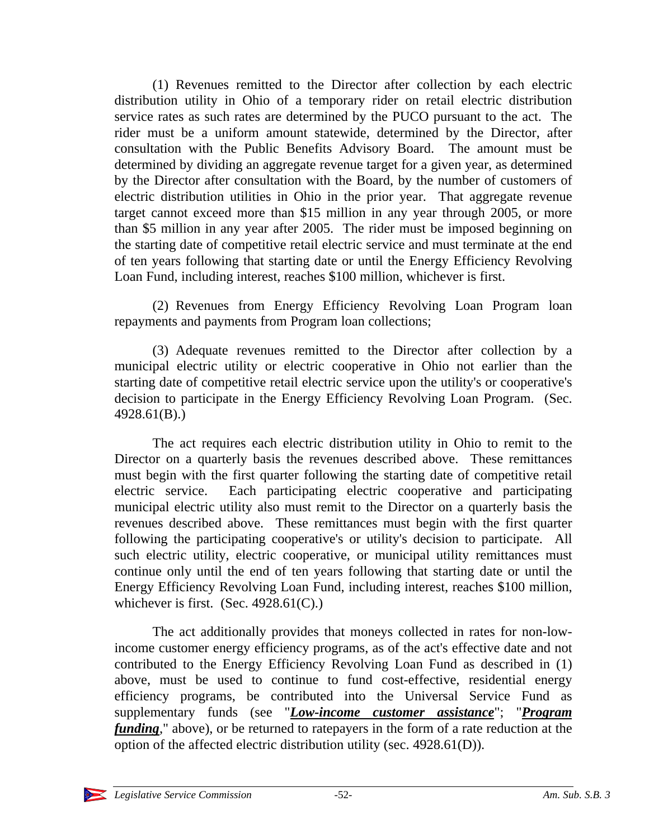(1) Revenues remitted to the Director after collection by each electric distribution utility in Ohio of a temporary rider on retail electric distribution service rates as such rates are determined by the PUCO pursuant to the act. The rider must be a uniform amount statewide, determined by the Director, after consultation with the Public Benefits Advisory Board. The amount must be determined by dividing an aggregate revenue target for a given year, as determined by the Director after consultation with the Board, by the number of customers of electric distribution utilities in Ohio in the prior year. That aggregate revenue target cannot exceed more than \$15 million in any year through 2005, or more than \$5 million in any year after 2005. The rider must be imposed beginning on the starting date of competitive retail electric service and must terminate at the end of ten years following that starting date or until the Energy Efficiency Revolving Loan Fund, including interest, reaches \$100 million, whichever is first.

(2) Revenues from Energy Efficiency Revolving Loan Program loan repayments and payments from Program loan collections;

(3) Adequate revenues remitted to the Director after collection by a municipal electric utility or electric cooperative in Ohio not earlier than the starting date of competitive retail electric service upon the utility's or cooperative's decision to participate in the Energy Efficiency Revolving Loan Program. (Sec. 4928.61(B).)

The act requires each electric distribution utility in Ohio to remit to the Director on a quarterly basis the revenues described above. These remittances must begin with the first quarter following the starting date of competitive retail electric service. Each participating electric cooperative and participating municipal electric utility also must remit to the Director on a quarterly basis the revenues described above. These remittances must begin with the first quarter following the participating cooperative's or utility's decision to participate. All such electric utility, electric cooperative, or municipal utility remittances must continue only until the end of ten years following that starting date or until the Energy Efficiency Revolving Loan Fund, including interest, reaches \$100 million, whichever is first. (Sec.  $4928.61(C)$ .)

The act additionally provides that moneys collected in rates for non-lowincome customer energy efficiency programs, as of the act's effective date and not contributed to the Energy Efficiency Revolving Loan Fund as described in (1) above, must be used to continue to fund cost-effective, residential energy efficiency programs, be contributed into the Universal Service Fund as supplementary funds (see "*Low-income customer assistance*"; "*Program funding*," above), or be returned to ratepayers in the form of a rate reduction at the option of the affected electric distribution utility (sec. 4928.61(D)).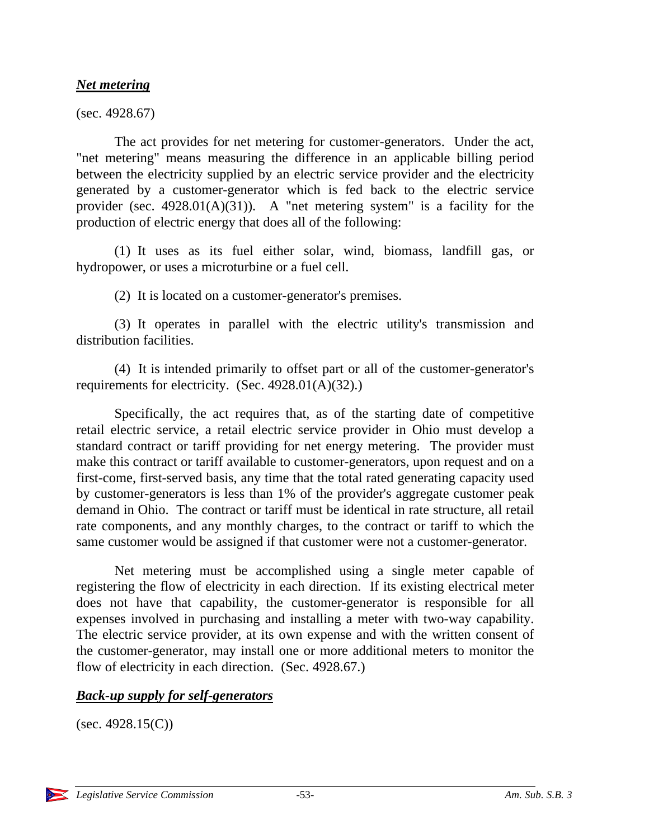#### *Net metering*

(sec. 4928.67)

The act provides for net metering for customer-generators. Under the act, "net metering" means measuring the difference in an applicable billing period between the electricity supplied by an electric service provider and the electricity generated by a customer-generator which is fed back to the electric service provider (sec. 4928.01(A)(31)). A "net metering system" is a facility for the production of electric energy that does all of the following:

(1) It uses as its fuel either solar, wind, biomass, landfill gas, or hydropower, or uses a microturbine or a fuel cell.

(2) It is located on a customer-generator's premises.

(3) It operates in parallel with the electric utility's transmission and distribution facilities.

(4) It is intended primarily to offset part or all of the customer-generator's requirements for electricity. (Sec. 4928.01(A)(32).)

Specifically, the act requires that, as of the starting date of competitive retail electric service, a retail electric service provider in Ohio must develop a standard contract or tariff providing for net energy metering. The provider must make this contract or tariff available to customer-generators, upon request and on a first-come, first-served basis, any time that the total rated generating capacity used by customer-generators is less than 1% of the provider's aggregate customer peak demand in Ohio. The contract or tariff must be identical in rate structure, all retail rate components, and any monthly charges, to the contract or tariff to which the same customer would be assigned if that customer were not a customer-generator.

Net metering must be accomplished using a single meter capable of registering the flow of electricity in each direction. If its existing electrical meter does not have that capability, the customer-generator is responsible for all expenses involved in purchasing and installing a meter with two-way capability. The electric service provider, at its own expense and with the written consent of the customer-generator, may install one or more additional meters to monitor the flow of electricity in each direction. (Sec. 4928.67.)

#### *Back-up supply for self-generators*

 $(sec. 4928.15(C))$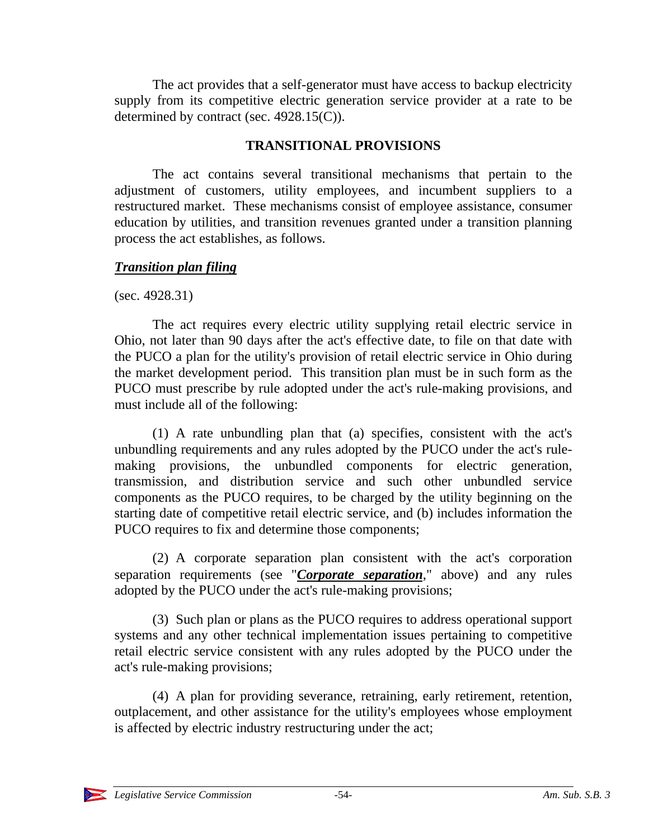The act provides that a self-generator must have access to backup electricity supply from its competitive electric generation service provider at a rate to be determined by contract (sec. 4928.15(C)).

# **TRANSITIONAL PROVISIONS**

The act contains several transitional mechanisms that pertain to the adjustment of customers, utility employees, and incumbent suppliers to a restructured market. These mechanisms consist of employee assistance, consumer education by utilities, and transition revenues granted under a transition planning process the act establishes, as follows.

# *Transition plan filing*

(sec. 4928.31)

The act requires every electric utility supplying retail electric service in Ohio, not later than 90 days after the act's effective date, to file on that date with the PUCO a plan for the utility's provision of retail electric service in Ohio during the market development period. This transition plan must be in such form as the PUCO must prescribe by rule adopted under the act's rule-making provisions, and must include all of the following:

(1) A rate unbundling plan that (a) specifies, consistent with the act's unbundling requirements and any rules adopted by the PUCO under the act's rulemaking provisions, the unbundled components for electric generation, transmission, and distribution service and such other unbundled service components as the PUCO requires, to be charged by the utility beginning on the starting date of competitive retail electric service, and (b) includes information the PUCO requires to fix and determine those components;

(2) A corporate separation plan consistent with the act's corporation separation requirements (see "*Corporate separation*," above) and any rules adopted by the PUCO under the act's rule-making provisions;

(3) Such plan or plans as the PUCO requires to address operational support systems and any other technical implementation issues pertaining to competitive retail electric service consistent with any rules adopted by the PUCO under the act's rule-making provisions;

(4) A plan for providing severance, retraining, early retirement, retention, outplacement, and other assistance for the utility's employees whose employment is affected by electric industry restructuring under the act;

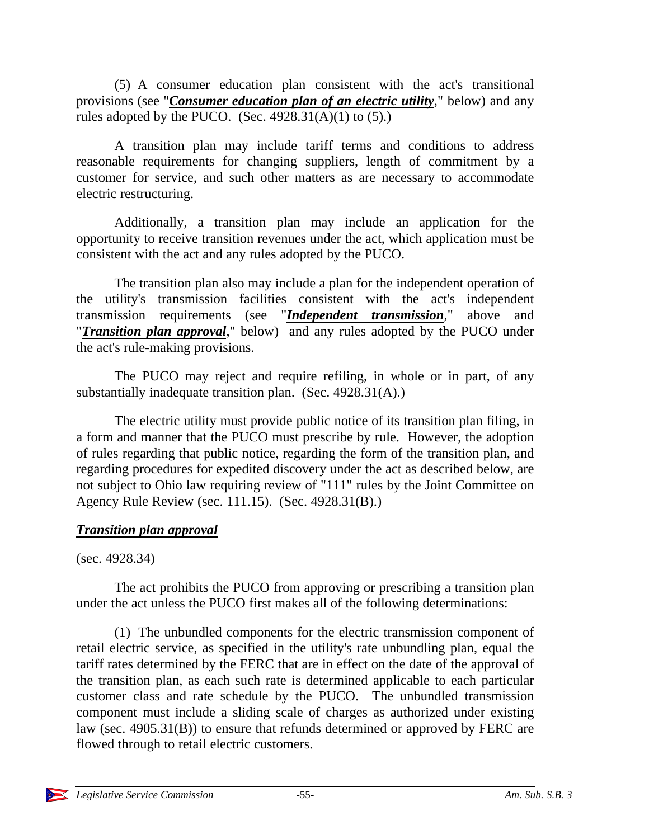(5) A consumer education plan consistent with the act's transitional provisions (see "*Consumer education plan of an electric utility*," below) and any rules adopted by the PUCO. (Sec.  $4928.31(A)(1)$  to (5).)

A transition plan may include tariff terms and conditions to address reasonable requirements for changing suppliers, length of commitment by a customer for service, and such other matters as are necessary to accommodate electric restructuring.

Additionally, a transition plan may include an application for the opportunity to receive transition revenues under the act, which application must be consistent with the act and any rules adopted by the PUCO.

The transition plan also may include a plan for the independent operation of the utility's transmission facilities consistent with the act's independent transmission requirements (see "*Independent transmission*," above and "*Transition plan approval*," below) and any rules adopted by the PUCO under the act's rule-making provisions.

The PUCO may reject and require refiling, in whole or in part, of any substantially inadequate transition plan. (Sec. 4928.31(A).)

The electric utility must provide public notice of its transition plan filing, in a form and manner that the PUCO must prescribe by rule. However, the adoption of rules regarding that public notice, regarding the form of the transition plan, and regarding procedures for expedited discovery under the act as described below, are not subject to Ohio law requiring review of "111" rules by the Joint Committee on Agency Rule Review (sec. 111.15). (Sec. 4928.31(B).)

# *Transition plan approval*

(sec. 4928.34)

The act prohibits the PUCO from approving or prescribing a transition plan under the act unless the PUCO first makes all of the following determinations:

(1) The unbundled components for the electric transmission component of retail electric service, as specified in the utility's rate unbundling plan, equal the tariff rates determined by the FERC that are in effect on the date of the approval of the transition plan, as each such rate is determined applicable to each particular customer class and rate schedule by the PUCO. The unbundled transmission component must include a sliding scale of charges as authorized under existing law (sec. 4905.31(B)) to ensure that refunds determined or approved by FERC are flowed through to retail electric customers.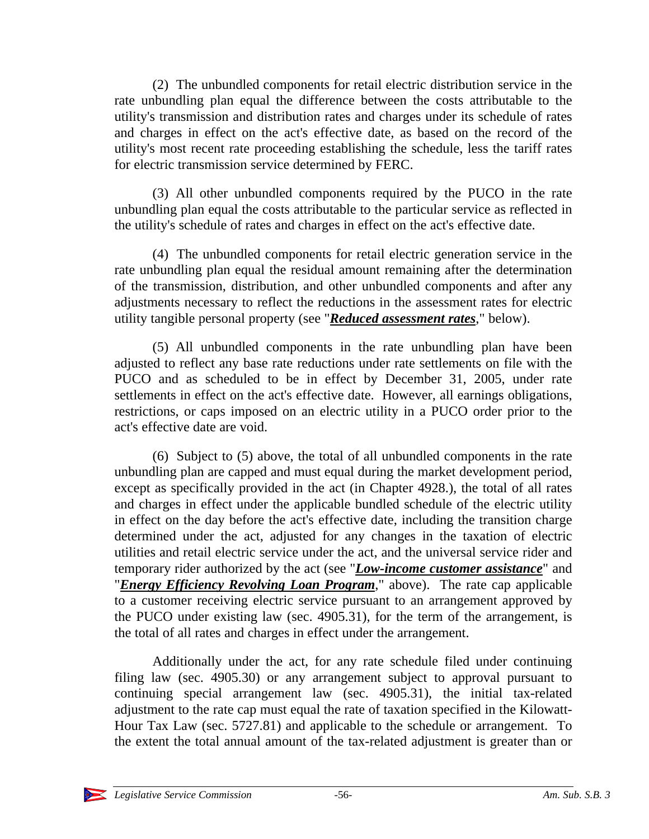(2) The unbundled components for retail electric distribution service in the rate unbundling plan equal the difference between the costs attributable to the utility's transmission and distribution rates and charges under its schedule of rates and charges in effect on the act's effective date, as based on the record of the utility's most recent rate proceeding establishing the schedule, less the tariff rates for electric transmission service determined by FERC.

(3) All other unbundled components required by the PUCO in the rate unbundling plan equal the costs attributable to the particular service as reflected in the utility's schedule of rates and charges in effect on the act's effective date.

(4) The unbundled components for retail electric generation service in the rate unbundling plan equal the residual amount remaining after the determination of the transmission, distribution, and other unbundled components and after any adjustments necessary to reflect the reductions in the assessment rates for electric utility tangible personal property (see "*Reduced assessment rates*," below).

(5) All unbundled components in the rate unbundling plan have been adjusted to reflect any base rate reductions under rate settlements on file with the PUCO and as scheduled to be in effect by December 31, 2005, under rate settlements in effect on the act's effective date. However, all earnings obligations, restrictions, or caps imposed on an electric utility in a PUCO order prior to the act's effective date are void.

(6) Subject to (5) above, the total of all unbundled components in the rate unbundling plan are capped and must equal during the market development period, except as specifically provided in the act (in Chapter 4928.), the total of all rates and charges in effect under the applicable bundled schedule of the electric utility in effect on the day before the act's effective date, including the transition charge determined under the act, adjusted for any changes in the taxation of electric utilities and retail electric service under the act, and the universal service rider and temporary rider authorized by the act (see "*Low-income customer assistance*" and "*Energy Efficiency Revolving Loan Program*," above). The rate cap applicable to a customer receiving electric service pursuant to an arrangement approved by the PUCO under existing law (sec. 4905.31), for the term of the arrangement, is the total of all rates and charges in effect under the arrangement.

Additionally under the act, for any rate schedule filed under continuing filing law (sec. 4905.30) or any arrangement subject to approval pursuant to continuing special arrangement law (sec. 4905.31), the initial tax-related adjustment to the rate cap must equal the rate of taxation specified in the Kilowatt-Hour Tax Law (sec. 5727.81) and applicable to the schedule or arrangement. To the extent the total annual amount of the tax-related adjustment is greater than or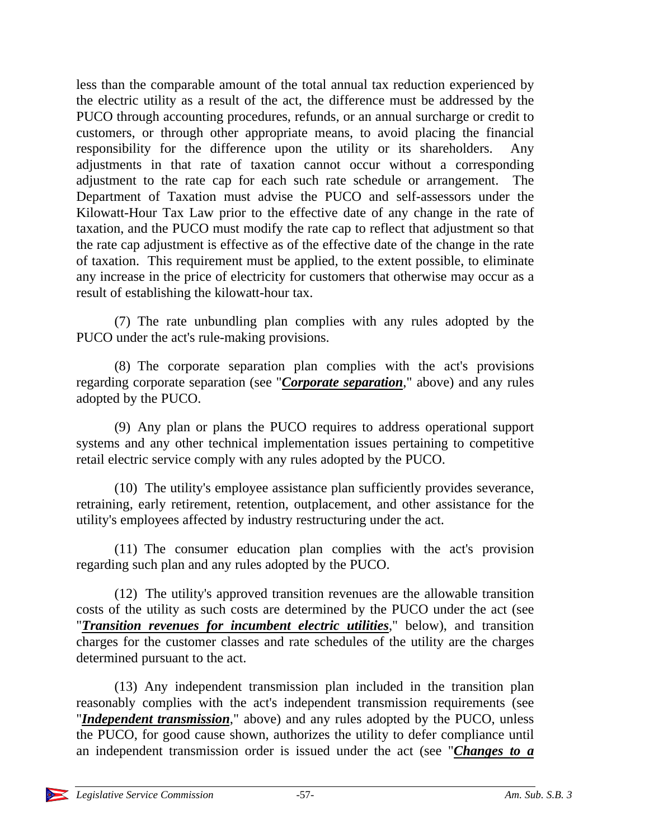less than the comparable amount of the total annual tax reduction experienced by the electric utility as a result of the act, the difference must be addressed by the PUCO through accounting procedures, refunds, or an annual surcharge or credit to customers, or through other appropriate means, to avoid placing the financial responsibility for the difference upon the utility or its shareholders. Any adjustments in that rate of taxation cannot occur without a corresponding adjustment to the rate cap for each such rate schedule or arrangement. The Department of Taxation must advise the PUCO and self-assessors under the Kilowatt-Hour Tax Law prior to the effective date of any change in the rate of taxation, and the PUCO must modify the rate cap to reflect that adjustment so that the rate cap adjustment is effective as of the effective date of the change in the rate of taxation. This requirement must be applied, to the extent possible, to eliminate any increase in the price of electricity for customers that otherwise may occur as a result of establishing the kilowatt-hour tax.

(7) The rate unbundling plan complies with any rules adopted by the PUCO under the act's rule-making provisions.

(8) The corporate separation plan complies with the act's provisions regarding corporate separation (see "*Corporate separation*," above) and any rules adopted by the PUCO.

(9) Any plan or plans the PUCO requires to address operational support systems and any other technical implementation issues pertaining to competitive retail electric service comply with any rules adopted by the PUCO.

(10) The utility's employee assistance plan sufficiently provides severance, retraining, early retirement, retention, outplacement, and other assistance for the utility's employees affected by industry restructuring under the act.

(11) The consumer education plan complies with the act's provision regarding such plan and any rules adopted by the PUCO.

(12) The utility's approved transition revenues are the allowable transition costs of the utility as such costs are determined by the PUCO under the act (see "*Transition revenues for incumbent electric utilities*," below), and transition charges for the customer classes and rate schedules of the utility are the charges determined pursuant to the act.

(13) Any independent transmission plan included in the transition plan reasonably complies with the act's independent transmission requirements (see "*Independent transmission*," above) and any rules adopted by the PUCO, unless the PUCO, for good cause shown, authorizes the utility to defer compliance until an independent transmission order is issued under the act (see "*Changes to a*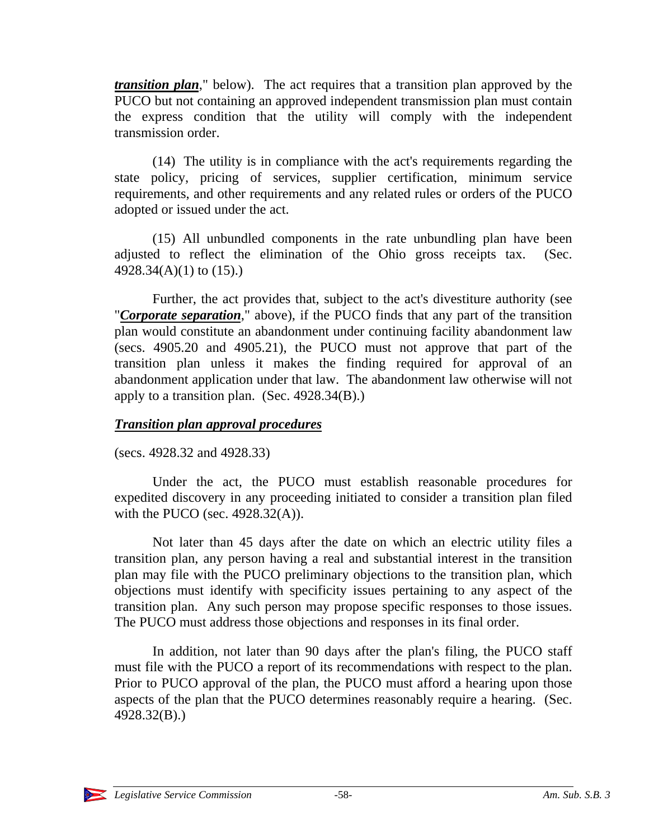*transition plan*," below). The act requires that a transition plan approved by the PUCO but not containing an approved independent transmission plan must contain the express condition that the utility will comply with the independent transmission order.

(14) The utility is in compliance with the act's requirements regarding the state policy, pricing of services, supplier certification, minimum service requirements, and other requirements and any related rules or orders of the PUCO adopted or issued under the act.

(15) All unbundled components in the rate unbundling plan have been adjusted to reflect the elimination of the Ohio gross receipts tax. (Sec. 4928.34(A)(1) to (15).)

Further, the act provides that, subject to the act's divestiture authority (see "*Corporate separation*," above), if the PUCO finds that any part of the transition plan would constitute an abandonment under continuing facility abandonment law (secs. 4905.20 and 4905.21), the PUCO must not approve that part of the transition plan unless it makes the finding required for approval of an abandonment application under that law. The abandonment law otherwise will not apply to a transition plan. (Sec. 4928.34(B).)

# *Transition plan approval procedures*

(secs. 4928.32 and 4928.33)

Under the act, the PUCO must establish reasonable procedures for expedited discovery in any proceeding initiated to consider a transition plan filed with the PUCO (sec.  $4928.32(A)$ ).

Not later than 45 days after the date on which an electric utility files a transition plan, any person having a real and substantial interest in the transition plan may file with the PUCO preliminary objections to the transition plan, which objections must identify with specificity issues pertaining to any aspect of the transition plan. Any such person may propose specific responses to those issues. The PUCO must address those objections and responses in its final order.

In addition, not later than 90 days after the plan's filing, the PUCO staff must file with the PUCO a report of its recommendations with respect to the plan. Prior to PUCO approval of the plan, the PUCO must afford a hearing upon those aspects of the plan that the PUCO determines reasonably require a hearing. (Sec. 4928.32(B).)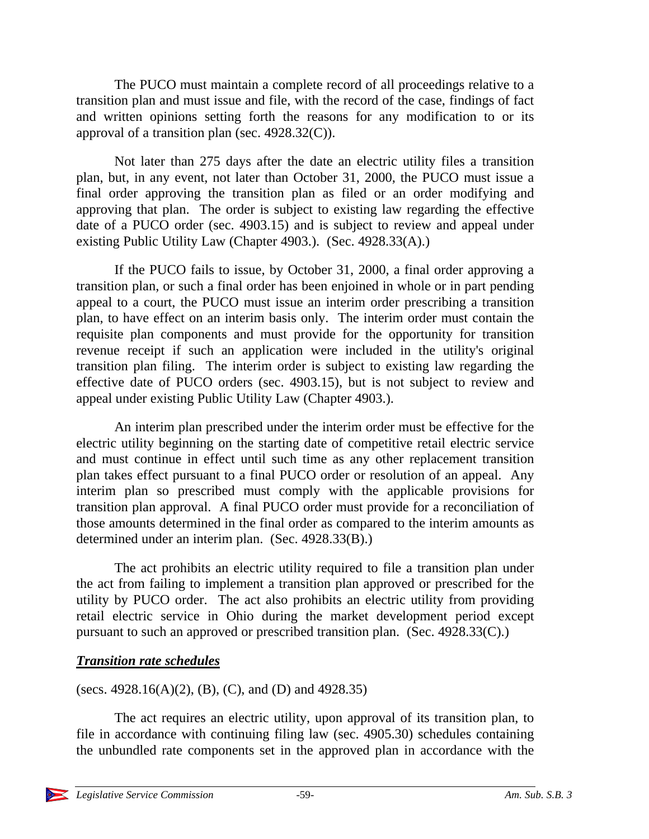The PUCO must maintain a complete record of all proceedings relative to a transition plan and must issue and file, with the record of the case, findings of fact and written opinions setting forth the reasons for any modification to or its approval of a transition plan (sec. 4928.32(C)).

Not later than 275 days after the date an electric utility files a transition plan, but, in any event, not later than October 31, 2000, the PUCO must issue a final order approving the transition plan as filed or an order modifying and approving that plan. The order is subject to existing law regarding the effective date of a PUCO order (sec. 4903.15) and is subject to review and appeal under existing Public Utility Law (Chapter 4903.). (Sec. 4928.33(A).)

If the PUCO fails to issue, by October 31, 2000, a final order approving a transition plan, or such a final order has been enjoined in whole or in part pending appeal to a court, the PUCO must issue an interim order prescribing a transition plan, to have effect on an interim basis only. The interim order must contain the requisite plan components and must provide for the opportunity for transition revenue receipt if such an application were included in the utility's original transition plan filing. The interim order is subject to existing law regarding the effective date of PUCO orders (sec. 4903.15), but is not subject to review and appeal under existing Public Utility Law (Chapter 4903.).

An interim plan prescribed under the interim order must be effective for the electric utility beginning on the starting date of competitive retail electric service and must continue in effect until such time as any other replacement transition plan takes effect pursuant to a final PUCO order or resolution of an appeal. Any interim plan so prescribed must comply with the applicable provisions for transition plan approval. A final PUCO order must provide for a reconciliation of those amounts determined in the final order as compared to the interim amounts as determined under an interim plan. (Sec. 4928.33(B).)

The act prohibits an electric utility required to file a transition plan under the act from failing to implement a transition plan approved or prescribed for the utility by PUCO order. The act also prohibits an electric utility from providing retail electric service in Ohio during the market development period except pursuant to such an approved or prescribed transition plan. (Sec. 4928.33(C).)

# *Transition rate schedules*

(secs. 4928.16(A)(2), (B), (C), and (D) and 4928.35)

The act requires an electric utility, upon approval of its transition plan, to file in accordance with continuing filing law (sec. 4905.30) schedules containing the unbundled rate components set in the approved plan in accordance with the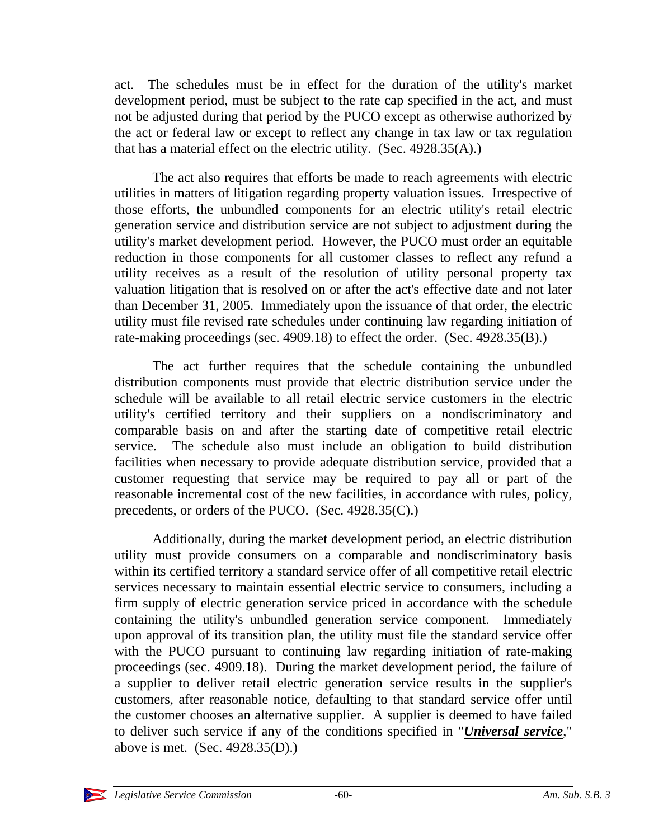act. The schedules must be in effect for the duration of the utility's market development period, must be subject to the rate cap specified in the act, and must not be adjusted during that period by the PUCO except as otherwise authorized by the act or federal law or except to reflect any change in tax law or tax regulation that has a material effect on the electric utility. (Sec. 4928.35(A).)

The act also requires that efforts be made to reach agreements with electric utilities in matters of litigation regarding property valuation issues. Irrespective of those efforts, the unbundled components for an electric utility's retail electric generation service and distribution service are not subject to adjustment during the utility's market development period. However, the PUCO must order an equitable reduction in those components for all customer classes to reflect any refund a utility receives as a result of the resolution of utility personal property tax valuation litigation that is resolved on or after the act's effective date and not later than December 31, 2005. Immediately upon the issuance of that order, the electric utility must file revised rate schedules under continuing law regarding initiation of rate-making proceedings (sec. 4909.18) to effect the order. (Sec. 4928.35(B).)

The act further requires that the schedule containing the unbundled distribution components must provide that electric distribution service under the schedule will be available to all retail electric service customers in the electric utility's certified territory and their suppliers on a nondiscriminatory and comparable basis on and after the starting date of competitive retail electric service. The schedule also must include an obligation to build distribution facilities when necessary to provide adequate distribution service, provided that a customer requesting that service may be required to pay all or part of the reasonable incremental cost of the new facilities, in accordance with rules, policy, precedents, or orders of the PUCO. (Sec. 4928.35(C).)

Additionally, during the market development period, an electric distribution utility must provide consumers on a comparable and nondiscriminatory basis within its certified territory a standard service offer of all competitive retail electric services necessary to maintain essential electric service to consumers, including a firm supply of electric generation service priced in accordance with the schedule containing the utility's unbundled generation service component. Immediately upon approval of its transition plan, the utility must file the standard service offer with the PUCO pursuant to continuing law regarding initiation of rate-making proceedings (sec. 4909.18). During the market development period, the failure of a supplier to deliver retail electric generation service results in the supplier's customers, after reasonable notice, defaulting to that standard service offer until the customer chooses an alternative supplier. A supplier is deemed to have failed to deliver such service if any of the conditions specified in "*Universal service*," above is met. (Sec. 4928.35(D).)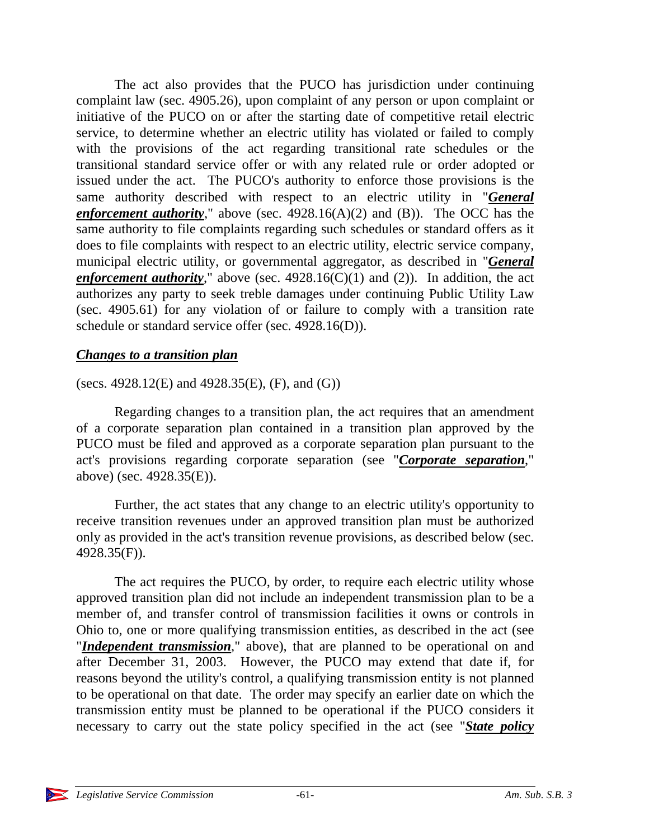The act also provides that the PUCO has jurisdiction under continuing complaint law (sec. 4905.26), upon complaint of any person or upon complaint or initiative of the PUCO on or after the starting date of competitive retail electric service, to determine whether an electric utility has violated or failed to comply with the provisions of the act regarding transitional rate schedules or the transitional standard service offer or with any related rule or order adopted or issued under the act. The PUCO's authority to enforce those provisions is the same authority described with respect to an electric utility in "*General enforcement authority*," above (sec. 4928.16(A)(2) and (B)). The OCC has the same authority to file complaints regarding such schedules or standard offers as it does to file complaints with respect to an electric utility, electric service company, municipal electric utility, or governmental aggregator, as described in "*General enforcement authority*," above (sec. 4928.16(C)(1) and (2)). In addition, the act authorizes any party to seek treble damages under continuing Public Utility Law (sec. 4905.61) for any violation of or failure to comply with a transition rate schedule or standard service offer (sec. 4928.16(D)).

#### *Changes to a transition plan*

(secs. 4928.12(E) and 4928.35(E),  $(F)$ , and  $(G)$ )

Regarding changes to a transition plan, the act requires that an amendment of a corporate separation plan contained in a transition plan approved by the PUCO must be filed and approved as a corporate separation plan pursuant to the act's provisions regarding corporate separation (see "*Corporate separation*," above) (sec. 4928.35(E)).

Further, the act states that any change to an electric utility's opportunity to receive transition revenues under an approved transition plan must be authorized only as provided in the act's transition revenue provisions, as described below (sec. 4928.35(F)).

The act requires the PUCO, by order, to require each electric utility whose approved transition plan did not include an independent transmission plan to be a member of, and transfer control of transmission facilities it owns or controls in Ohio to, one or more qualifying transmission entities, as described in the act (see "*Independent transmission*," above), that are planned to be operational on and after December 31, 2003. However, the PUCO may extend that date if, for reasons beyond the utility's control, a qualifying transmission entity is not planned to be operational on that date. The order may specify an earlier date on which the transmission entity must be planned to be operational if the PUCO considers it necessary to carry out the state policy specified in the act (see "*State policy*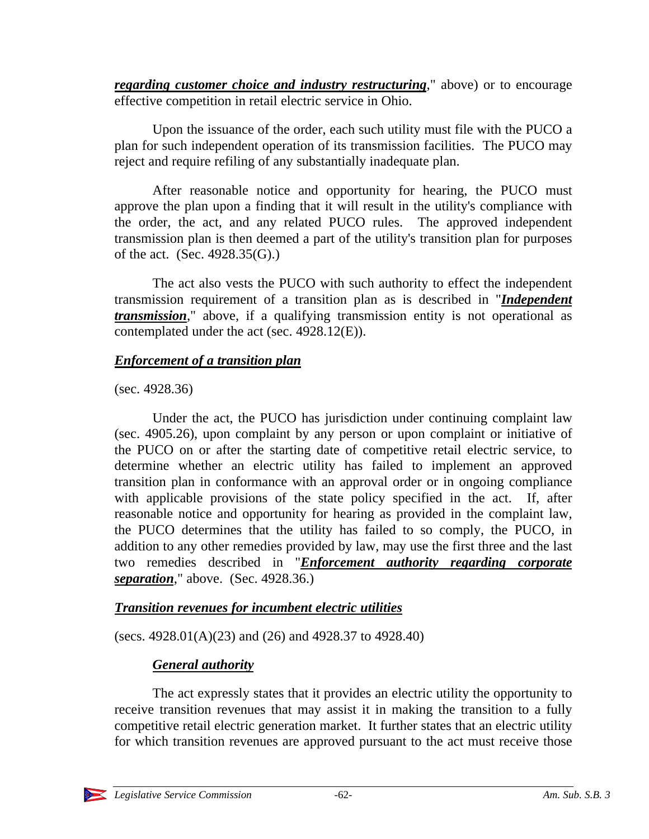*regarding customer choice and industry restructuring*," above) or to encourage effective competition in retail electric service in Ohio.

Upon the issuance of the order, each such utility must file with the PUCO a plan for such independent operation of its transmission facilities. The PUCO may reject and require refiling of any substantially inadequate plan.

After reasonable notice and opportunity for hearing, the PUCO must approve the plan upon a finding that it will result in the utility's compliance with the order, the act, and any related PUCO rules. The approved independent transmission plan is then deemed a part of the utility's transition plan for purposes of the act. (Sec. 4928.35(G).)

The act also vests the PUCO with such authority to effect the independent transmission requirement of a transition plan as is described in "*Independent transmission*," above, if a qualifying transmission entity is not operational as contemplated under the act (sec. 4928.12(E)).

# *Enforcement of a transition plan*

(sec. 4928.36)

Under the act, the PUCO has jurisdiction under continuing complaint law (sec. 4905.26), upon complaint by any person or upon complaint or initiative of the PUCO on or after the starting date of competitive retail electric service, to determine whether an electric utility has failed to implement an approved transition plan in conformance with an approval order or in ongoing compliance with applicable provisions of the state policy specified in the act. If, after reasonable notice and opportunity for hearing as provided in the complaint law, the PUCO determines that the utility has failed to so comply, the PUCO, in addition to any other remedies provided by law, may use the first three and the last two remedies described in "*Enforcement authority regarding corporate separation*," above. (Sec. 4928.36.)

# *Transition revenues for incumbent electric utilities*

(secs. 4928.01(A)(23) and (26) and 4928.37 to 4928.40)

# *General authority*

The act expressly states that it provides an electric utility the opportunity to receive transition revenues that may assist it in making the transition to a fully competitive retail electric generation market. It further states that an electric utility for which transition revenues are approved pursuant to the act must receive those

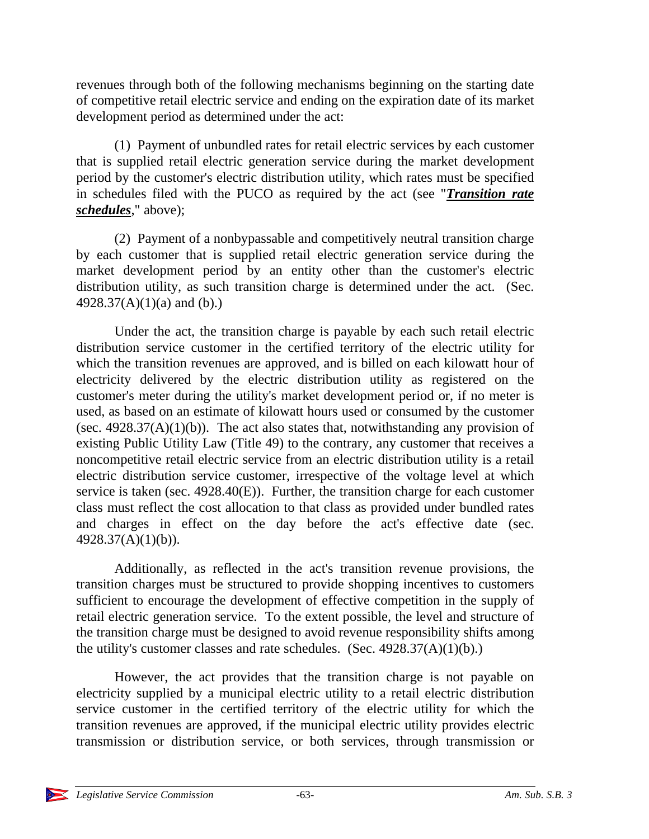revenues through both of the following mechanisms beginning on the starting date of competitive retail electric service and ending on the expiration date of its market development period as determined under the act:

(1) Payment of unbundled rates for retail electric services by each customer that is supplied retail electric generation service during the market development period by the customer's electric distribution utility, which rates must be specified in schedules filed with the PUCO as required by the act (see "*Transition rate schedules*," above);

(2) Payment of a nonbypassable and competitively neutral transition charge by each customer that is supplied retail electric generation service during the market development period by an entity other than the customer's electric distribution utility, as such transition charge is determined under the act. (Sec. 4928.37(A)(1)(a) and (b).)

Under the act, the transition charge is payable by each such retail electric distribution service customer in the certified territory of the electric utility for which the transition revenues are approved, and is billed on each kilowatt hour of electricity delivered by the electric distribution utility as registered on the customer's meter during the utility's market development period or, if no meter is used, as based on an estimate of kilowatt hours used or consumed by the customer (sec.  $4928.37(A)(1)(b)$ ). The act also states that, notwithstanding any provision of existing Public Utility Law (Title 49) to the contrary, any customer that receives a noncompetitive retail electric service from an electric distribution utility is a retail electric distribution service customer, irrespective of the voltage level at which service is taken (sec. 4928.40(E)). Further, the transition charge for each customer class must reflect the cost allocation to that class as provided under bundled rates and charges in effect on the day before the act's effective date (sec. 4928.37(A)(1)(b)).

Additionally, as reflected in the act's transition revenue provisions, the transition charges must be structured to provide shopping incentives to customers sufficient to encourage the development of effective competition in the supply of retail electric generation service. To the extent possible, the level and structure of the transition charge must be designed to avoid revenue responsibility shifts among the utility's customer classes and rate schedules. (Sec.  $4928.37(A)(1)(b)$ .)

However, the act provides that the transition charge is not payable on electricity supplied by a municipal electric utility to a retail electric distribution service customer in the certified territory of the electric utility for which the transition revenues are approved, if the municipal electric utility provides electric transmission or distribution service, or both services, through transmission or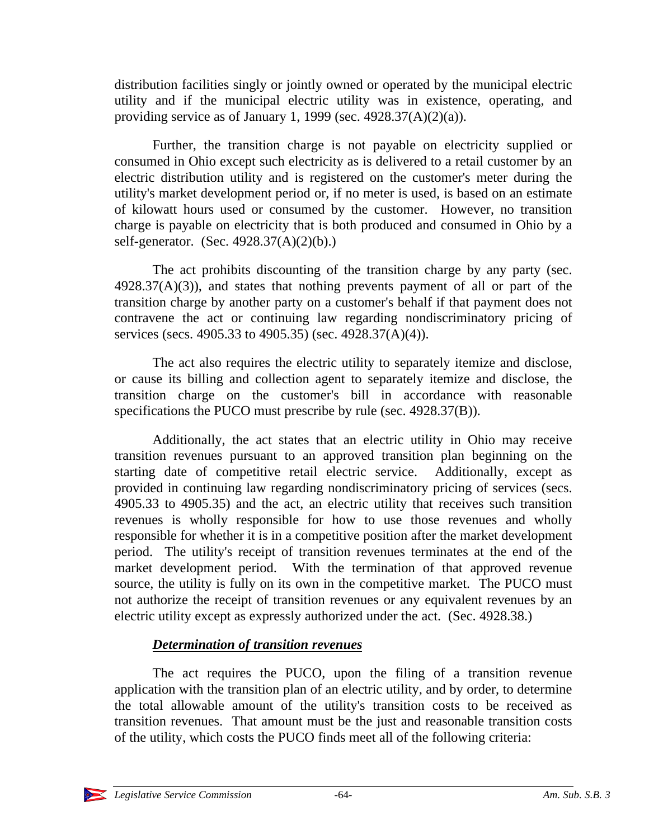distribution facilities singly or jointly owned or operated by the municipal electric utility and if the municipal electric utility was in existence, operating, and providing service as of January 1, 1999 (sec.  $4928.37(A)(2)(a)$ ).

Further, the transition charge is not payable on electricity supplied or consumed in Ohio except such electricity as is delivered to a retail customer by an electric distribution utility and is registered on the customer's meter during the utility's market development period or, if no meter is used, is based on an estimate of kilowatt hours used or consumed by the customer. However, no transition charge is payable on electricity that is both produced and consumed in Ohio by a self-generator. (Sec. 4928.37(A)(2)(b).)

The act prohibits discounting of the transition charge by any party (sec.  $4928.37(A)(3)$ , and states that nothing prevents payment of all or part of the transition charge by another party on a customer's behalf if that payment does not contravene the act or continuing law regarding nondiscriminatory pricing of services (secs. 4905.33 to 4905.35) (sec. 4928.37(A)(4)).

The act also requires the electric utility to separately itemize and disclose, or cause its billing and collection agent to separately itemize and disclose, the transition charge on the customer's bill in accordance with reasonable specifications the PUCO must prescribe by rule (sec. 4928.37(B)).

Additionally, the act states that an electric utility in Ohio may receive transition revenues pursuant to an approved transition plan beginning on the starting date of competitive retail electric service. Additionally, except as provided in continuing law regarding nondiscriminatory pricing of services (secs. 4905.33 to 4905.35) and the act, an electric utility that receives such transition revenues is wholly responsible for how to use those revenues and wholly responsible for whether it is in a competitive position after the market development period. The utility's receipt of transition revenues terminates at the end of the market development period. With the termination of that approved revenue source, the utility is fully on its own in the competitive market. The PUCO must not authorize the receipt of transition revenues or any equivalent revenues by an electric utility except as expressly authorized under the act. (Sec. 4928.38.)

# *Determination of transition revenues*

The act requires the PUCO, upon the filing of a transition revenue application with the transition plan of an electric utility, and by order, to determine the total allowable amount of the utility's transition costs to be received as transition revenues. That amount must be the just and reasonable transition costs of the utility, which costs the PUCO finds meet all of the following criteria:

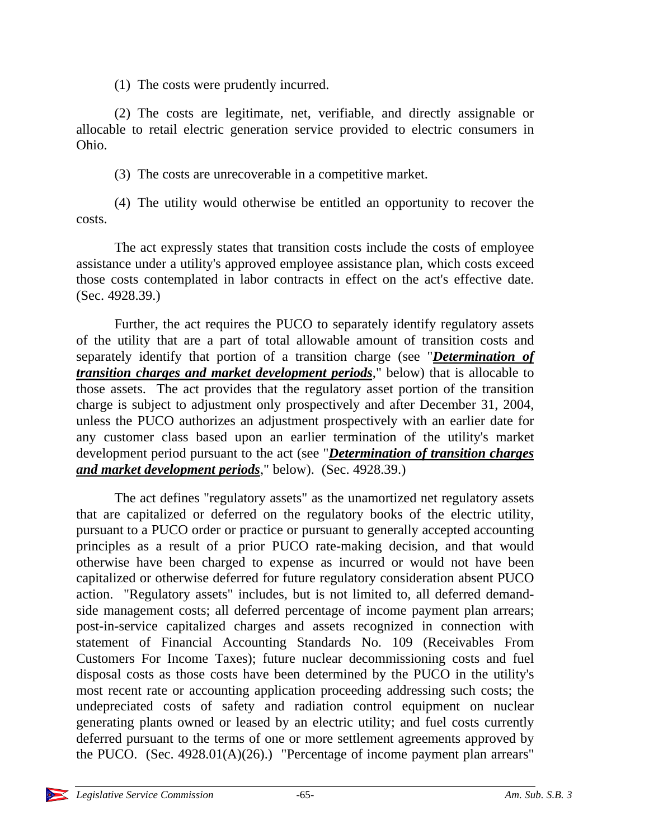(1) The costs were prudently incurred.

(2) The costs are legitimate, net, verifiable, and directly assignable or allocable to retail electric generation service provided to electric consumers in Ohio.

(3) The costs are unrecoverable in a competitive market.

(4) The utility would otherwise be entitled an opportunity to recover the costs.

The act expressly states that transition costs include the costs of employee assistance under a utility's approved employee assistance plan, which costs exceed those costs contemplated in labor contracts in effect on the act's effective date. (Sec. 4928.39.)

Further, the act requires the PUCO to separately identify regulatory assets of the utility that are a part of total allowable amount of transition costs and separately identify that portion of a transition charge (see "*Determination of transition charges and market development periods*," below) that is allocable to those assets. The act provides that the regulatory asset portion of the transition charge is subject to adjustment only prospectively and after December 31, 2004, unless the PUCO authorizes an adjustment prospectively with an earlier date for any customer class based upon an earlier termination of the utility's market development period pursuant to the act (see "*Determination of transition charges and market development periods*," below). (Sec. 4928.39.)

The act defines "regulatory assets" as the unamortized net regulatory assets that are capitalized or deferred on the regulatory books of the electric utility, pursuant to a PUCO order or practice or pursuant to generally accepted accounting principles as a result of a prior PUCO rate-making decision, and that would otherwise have been charged to expense as incurred or would not have been capitalized or otherwise deferred for future regulatory consideration absent PUCO action. "Regulatory assets" includes, but is not limited to, all deferred demandside management costs; all deferred percentage of income payment plan arrears; post-in-service capitalized charges and assets recognized in connection with statement of Financial Accounting Standards No. 109 (Receivables From Customers For Income Taxes); future nuclear decommissioning costs and fuel disposal costs as those costs have been determined by the PUCO in the utility's most recent rate or accounting application proceeding addressing such costs; the undepreciated costs of safety and radiation control equipment on nuclear generating plants owned or leased by an electric utility; and fuel costs currently deferred pursuant to the terms of one or more settlement agreements approved by the PUCO. (Sec.  $4928.01(A)(26)$ .) "Percentage of income payment plan arrears"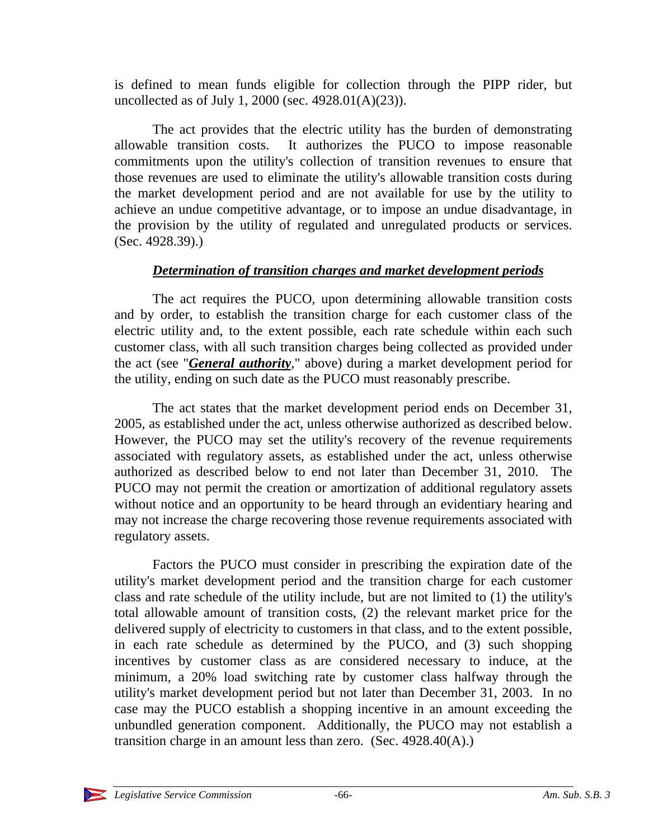is defined to mean funds eligible for collection through the PIPP rider, but uncollected as of July 1, 2000 (sec. 4928.01(A)(23)).

The act provides that the electric utility has the burden of demonstrating allowable transition costs. It authorizes the PUCO to impose reasonable commitments upon the utility's collection of transition revenues to ensure that those revenues are used to eliminate the utility's allowable transition costs during the market development period and are not available for use by the utility to achieve an undue competitive advantage, or to impose an undue disadvantage, in the provision by the utility of regulated and unregulated products or services. (Sec. 4928.39).)

# *Determination of transition charges and market development periods*

The act requires the PUCO, upon determining allowable transition costs and by order, to establish the transition charge for each customer class of the electric utility and, to the extent possible, each rate schedule within each such customer class, with all such transition charges being collected as provided under the act (see "*General authority*," above) during a market development period for the utility, ending on such date as the PUCO must reasonably prescribe.

The act states that the market development period ends on December 31, 2005, as established under the act, unless otherwise authorized as described below. However, the PUCO may set the utility's recovery of the revenue requirements associated with regulatory assets, as established under the act, unless otherwise authorized as described below to end not later than December 31, 2010. The PUCO may not permit the creation or amortization of additional regulatory assets without notice and an opportunity to be heard through an evidentiary hearing and may not increase the charge recovering those revenue requirements associated with regulatory assets.

Factors the PUCO must consider in prescribing the expiration date of the utility's market development period and the transition charge for each customer class and rate schedule of the utility include, but are not limited to (1) the utility's total allowable amount of transition costs, (2) the relevant market price for the delivered supply of electricity to customers in that class, and to the extent possible, in each rate schedule as determined by the PUCO, and (3) such shopping incentives by customer class as are considered necessary to induce, at the minimum, a 20% load switching rate by customer class halfway through the utility's market development period but not later than December 31, 2003. In no case may the PUCO establish a shopping incentive in an amount exceeding the unbundled generation component. Additionally, the PUCO may not establish a transition charge in an amount less than zero. (Sec. 4928.40(A).)

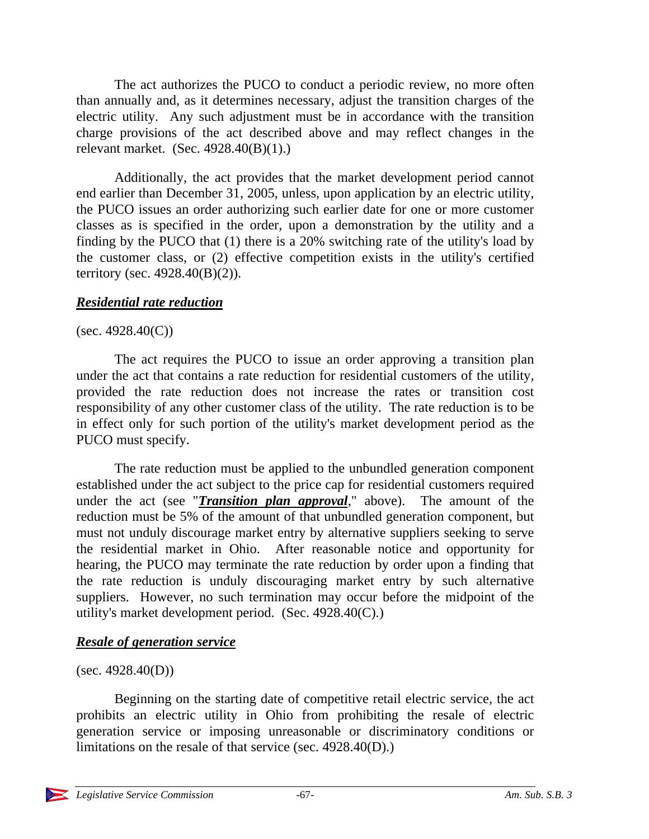The act authorizes the PUCO to conduct a periodic review, no more often than annually and, as it determines necessary, adjust the transition charges of the electric utility. Any such adjustment must be in accordance with the transition charge provisions of the act described above and may reflect changes in the relevant market. (Sec. 4928.40(B)(1).)

Additionally, the act provides that the market development period cannot end earlier than December 31, 2005, unless, upon application by an electric utility, the PUCO issues an order authorizing such earlier date for one or more customer classes as is specified in the order, upon a demonstration by the utility and a finding by the PUCO that (1) there is a 20% switching rate of the utility's load by the customer class, or (2) effective competition exists in the utility's certified territory (sec.  $4928.40(B)(2)$ ).

## *Residential rate reduction*

## $(sec. 4928.40(C))$

The act requires the PUCO to issue an order approving a transition plan under the act that contains a rate reduction for residential customers of the utility, provided the rate reduction does not increase the rates or transition cost responsibility of any other customer class of the utility. The rate reduction is to be in effect only for such portion of the utility's market development period as the PUCO must specify.

The rate reduction must be applied to the unbundled generation component established under the act subject to the price cap for residential customers required under the act (see "*Transition plan approval*," above). The amount of the reduction must be 5% of the amount of that unbundled generation component, but must not unduly discourage market entry by alternative suppliers seeking to serve the residential market in Ohio. After reasonable notice and opportunity for hearing, the PUCO may terminate the rate reduction by order upon a finding that the rate reduction is unduly discouraging market entry by such alternative suppliers. However, no such termination may occur before the midpoint of the utility's market development period. (Sec. 4928.40(C).)

# *Resale of generation service*

#### $(sec. 4928.40(D))$

Beginning on the starting date of competitive retail electric service, the act prohibits an electric utility in Ohio from prohibiting the resale of electric generation service or imposing unreasonable or discriminatory conditions or limitations on the resale of that service (sec. 4928.40(D).)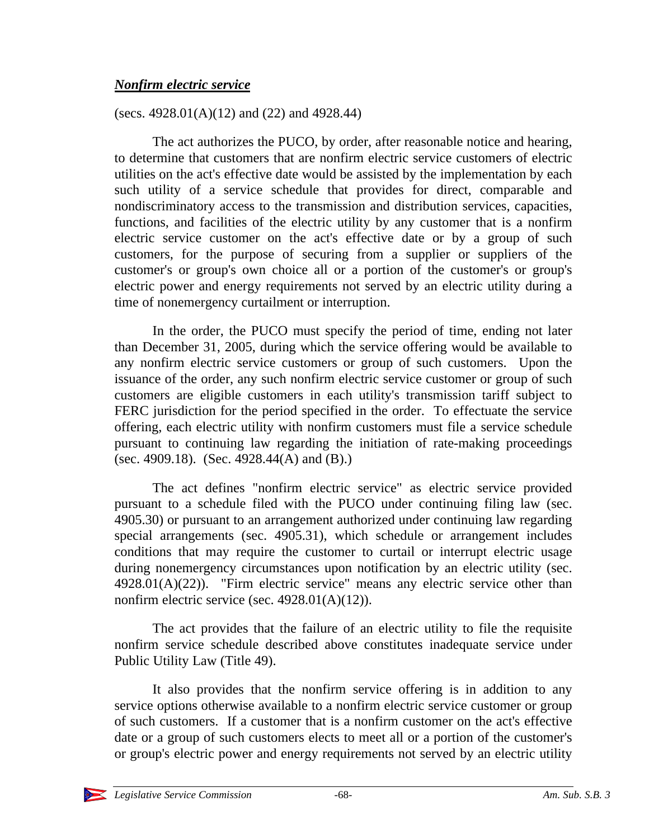## *Nonfirm electric service*

(secs.  $4928.01(A)(12)$  and  $(22)$  and  $4928.44$ )

The act authorizes the PUCO, by order, after reasonable notice and hearing, to determine that customers that are nonfirm electric service customers of electric utilities on the act's effective date would be assisted by the implementation by each such utility of a service schedule that provides for direct, comparable and nondiscriminatory access to the transmission and distribution services, capacities, functions, and facilities of the electric utility by any customer that is a nonfirm electric service customer on the act's effective date or by a group of such customers, for the purpose of securing from a supplier or suppliers of the customer's or group's own choice all or a portion of the customer's or group's electric power and energy requirements not served by an electric utility during a time of nonemergency curtailment or interruption.

In the order, the PUCO must specify the period of time, ending not later than December 31, 2005, during which the service offering would be available to any nonfirm electric service customers or group of such customers. Upon the issuance of the order, any such nonfirm electric service customer or group of such customers are eligible customers in each utility's transmission tariff subject to FERC jurisdiction for the period specified in the order. To effectuate the service offering, each electric utility with nonfirm customers must file a service schedule pursuant to continuing law regarding the initiation of rate-making proceedings (sec. 4909.18). (Sec. 4928.44(A) and  $(B)$ .)

The act defines "nonfirm electric service" as electric service provided pursuant to a schedule filed with the PUCO under continuing filing law (sec. 4905.30) or pursuant to an arrangement authorized under continuing law regarding special arrangements (sec. 4905.31), which schedule or arrangement includes conditions that may require the customer to curtail or interrupt electric usage during nonemergency circumstances upon notification by an electric utility (sec.  $4928.01(A)(22)$ ). "Firm electric service" means any electric service other than nonfirm electric service (sec.  $4928.01(A)(12)$ ).

The act provides that the failure of an electric utility to file the requisite nonfirm service schedule described above constitutes inadequate service under Public Utility Law (Title 49).

It also provides that the nonfirm service offering is in addition to any service options otherwise available to a nonfirm electric service customer or group of such customers. If a customer that is a nonfirm customer on the act's effective date or a group of such customers elects to meet all or a portion of the customer's or group's electric power and energy requirements not served by an electric utility

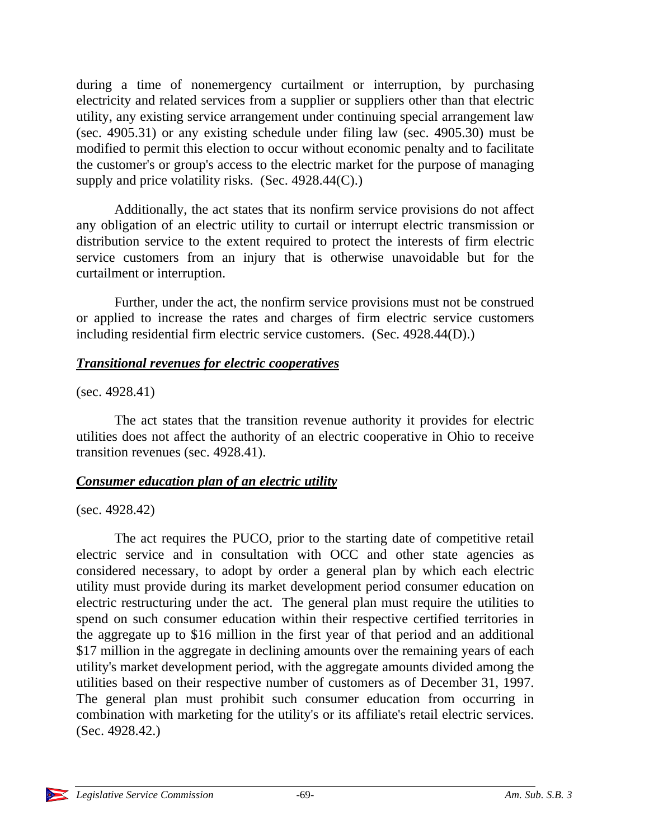during a time of nonemergency curtailment or interruption, by purchasing electricity and related services from a supplier or suppliers other than that electric utility, any existing service arrangement under continuing special arrangement law (sec. 4905.31) or any existing schedule under filing law (sec. 4905.30) must be modified to permit this election to occur without economic penalty and to facilitate the customer's or group's access to the electric market for the purpose of managing supply and price volatility risks. (Sec.  $4928.44(C)$ .)

Additionally, the act states that its nonfirm service provisions do not affect any obligation of an electric utility to curtail or interrupt electric transmission or distribution service to the extent required to protect the interests of firm electric service customers from an injury that is otherwise unavoidable but for the curtailment or interruption.

Further, under the act, the nonfirm service provisions must not be construed or applied to increase the rates and charges of firm electric service customers including residential firm electric service customers. (Sec. 4928.44(D).)

#### *Transitional revenues for electric cooperatives*

(sec. 4928.41)

The act states that the transition revenue authority it provides for electric utilities does not affect the authority of an electric cooperative in Ohio to receive transition revenues (sec. 4928.41).

#### *Consumer education plan of an electric utility*

(sec. 4928.42)

The act requires the PUCO, prior to the starting date of competitive retail electric service and in consultation with OCC and other state agencies as considered necessary, to adopt by order a general plan by which each electric utility must provide during its market development period consumer education on electric restructuring under the act. The general plan must require the utilities to spend on such consumer education within their respective certified territories in the aggregate up to \$16 million in the first year of that period and an additional \$17 million in the aggregate in declining amounts over the remaining years of each utility's market development period, with the aggregate amounts divided among the utilities based on their respective number of customers as of December 31, 1997. The general plan must prohibit such consumer education from occurring in combination with marketing for the utility's or its affiliate's retail electric services. (Sec. 4928.42.)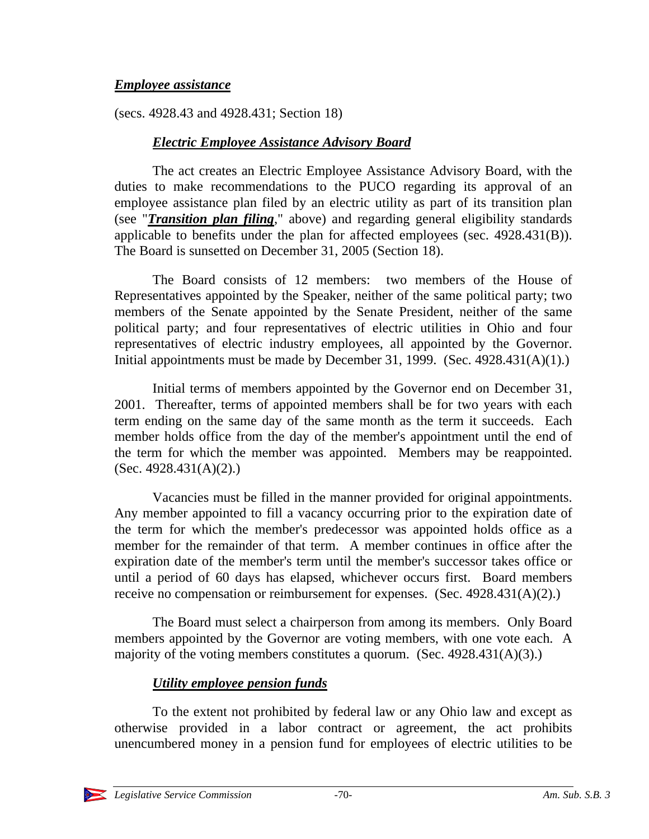### *Employee assistance*

(secs. 4928.43 and 4928.431; Section 18)

## *Electric Employee Assistance Advisory Board*

The act creates an Electric Employee Assistance Advisory Board, with the duties to make recommendations to the PUCO regarding its approval of an employee assistance plan filed by an electric utility as part of its transition plan (see "*Transition plan filing*," above) and regarding general eligibility standards applicable to benefits under the plan for affected employees (sec. 4928.431(B)). The Board is sunsetted on December 31, 2005 (Section 18).

The Board consists of 12 members: two members of the House of Representatives appointed by the Speaker, neither of the same political party; two members of the Senate appointed by the Senate President, neither of the same political party; and four representatives of electric utilities in Ohio and four representatives of electric industry employees, all appointed by the Governor. Initial appointments must be made by December 31, 1999. (Sec.  $4928.431(A)(1)$ .)

Initial terms of members appointed by the Governor end on December 31, 2001. Thereafter, terms of appointed members shall be for two years with each term ending on the same day of the same month as the term it succeeds. Each member holds office from the day of the member's appointment until the end of the term for which the member was appointed. Members may be reappointed. (Sec. 4928.431(A)(2).)

Vacancies must be filled in the manner provided for original appointments. Any member appointed to fill a vacancy occurring prior to the expiration date of the term for which the member's predecessor was appointed holds office as a member for the remainder of that term. A member continues in office after the expiration date of the member's term until the member's successor takes office or until a period of 60 days has elapsed, whichever occurs first. Board members receive no compensation or reimbursement for expenses. (Sec. 4928.431(A)(2).)

The Board must select a chairperson from among its members. Only Board members appointed by the Governor are voting members, with one vote each. A majority of the voting members constitutes a quorum. (Sec. 4928.431(A)(3).)

# *Utility employee pension funds*

To the extent not prohibited by federal law or any Ohio law and except as otherwise provided in a labor contract or agreement, the act prohibits unencumbered money in a pension fund for employees of electric utilities to be

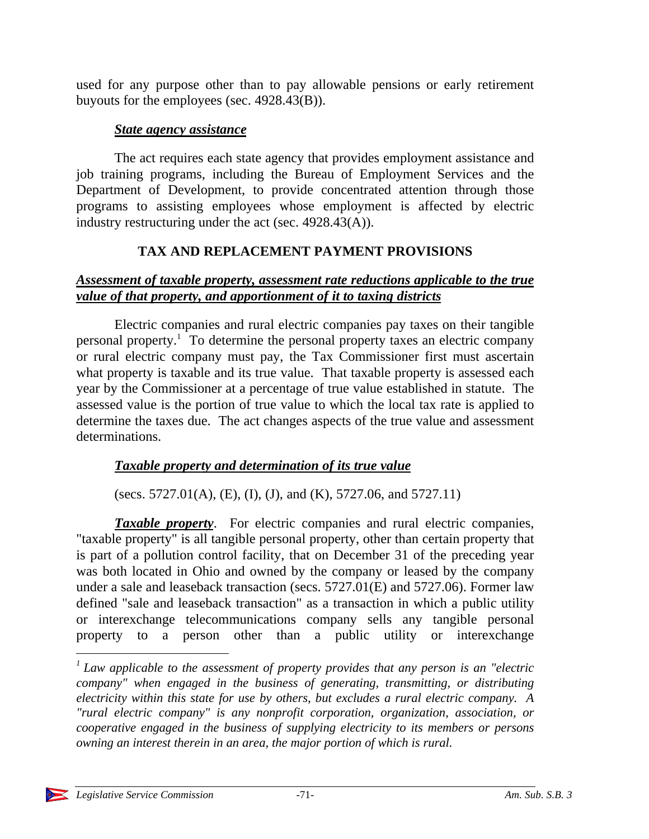used for any purpose other than to pay allowable pensions or early retirement buyouts for the employees (sec. 4928.43(B)).

## *State agency assistance*

The act requires each state agency that provides employment assistance and job training programs, including the Bureau of Employment Services and the Department of Development, to provide concentrated attention through those programs to assisting employees whose employment is affected by electric industry restructuring under the act (sec. 4928.43(A)).

# **TAX AND REPLACEMENT PAYMENT PROVISIONS**

## *Assessment of taxable property, assessment rate reductions applicable to the true value of that property, and apportionment of it to taxing districts*

Electric companies and rural electric companies pay taxes on their tangible personal property.<sup>1</sup> To determine the personal property taxes an electric company or rural electric company must pay, the Tax Commissioner first must ascertain what property is taxable and its true value. That taxable property is assessed each year by the Commissioner at a percentage of true value established in statute. The assessed value is the portion of true value to which the local tax rate is applied to determine the taxes due. The act changes aspects of the true value and assessment determinations.

# *Taxable property and determination of its true value*

(secs. 5727.01(A), (E), (I), (J), and (K), 5727.06, and 5727.11)

*Taxable property*. For electric companies and rural electric companies, "taxable property" is all tangible personal property, other than certain property that is part of a pollution control facility, that on December 31 of the preceding year was both located in Ohio and owned by the company or leased by the company under a sale and leaseback transaction (secs. 5727.01(E) and 5727.06). Former law defined "sale and leaseback transaction" as a transaction in which a public utility or interexchange telecommunications company sells any tangible personal property to a person other than a public utility or interexchange

 $\overline{a}$ 

<sup>&</sup>lt;sup>1</sup> Law applicable to the assessment of property provides that any person is an "electric *company" when engaged in the business of generating, transmitting, or distributing electricity within this state for use by others, but excludes a rural electric company. A "rural electric company" is any nonprofit corporation, organization, association, or cooperative engaged in the business of supplying electricity to its members or persons owning an interest therein in an area, the major portion of which is rural.*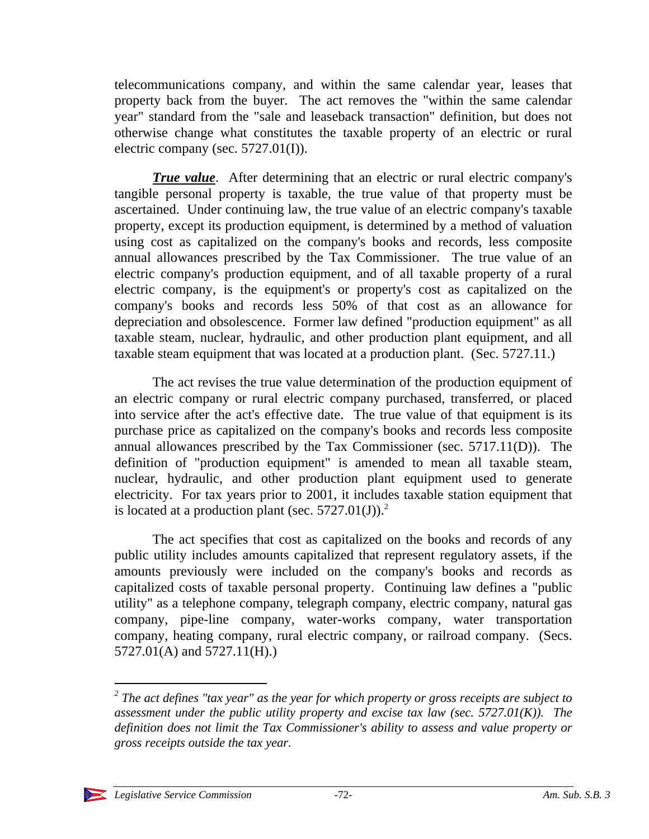telecommunications company, and within the same calendar year, leases that property back from the buyer. The act removes the "within the same calendar year" standard from the "sale and leaseback transaction" definition, but does not otherwise change what constitutes the taxable property of an electric or rural electric company (sec.  $5727.01(I)$ ).

*True value.* After determining that an electric or rural electric company's tangible personal property is taxable, the true value of that property must be ascertained. Under continuing law, the true value of an electric company's taxable property, except its production equipment, is determined by a method of valuation using cost as capitalized on the company's books and records, less composite annual allowances prescribed by the Tax Commissioner. The true value of an electric company's production equipment, and of all taxable property of a rural electric company, is the equipment's or property's cost as capitalized on the company's books and records less 50% of that cost as an allowance for depreciation and obsolescence. Former law defined "production equipment" as all taxable steam, nuclear, hydraulic, and other production plant equipment, and all taxable steam equipment that was located at a production plant. (Sec. 5727.11.)

The act revises the true value determination of the production equipment of an electric company or rural electric company purchased, transferred, or placed into service after the act's effective date. The true value of that equipment is its purchase price as capitalized on the company's books and records less composite annual allowances prescribed by the Tax Commissioner (sec. 5717.11(D)). The definition of "production equipment" is amended to mean all taxable steam, nuclear, hydraulic, and other production plant equipment used to generate electricity. For tax years prior to 2001, it includes taxable station equipment that is located at a production plant (sec.  $5727.01(J)$ ).<sup>2</sup>

The act specifies that cost as capitalized on the books and records of any public utility includes amounts capitalized that represent regulatory assets, if the amounts previously were included on the company's books and records as capitalized costs of taxable personal property. Continuing law defines a "public utility" as a telephone company, telegraph company, electric company, natural gas company, pipe-line company, water-works company, water transportation company, heating company, rural electric company, or railroad company. (Secs. 5727.01(A) and 5727.11(H).)

*<sup>2</sup> The act defines "tax year" as the year for which property or gross receipts are subject to assessment under the public utility property and excise tax law (sec. 5727.01(K)). The definition does not limit the Tax Commissioner's ability to assess and value property or gross receipts outside the tax year.*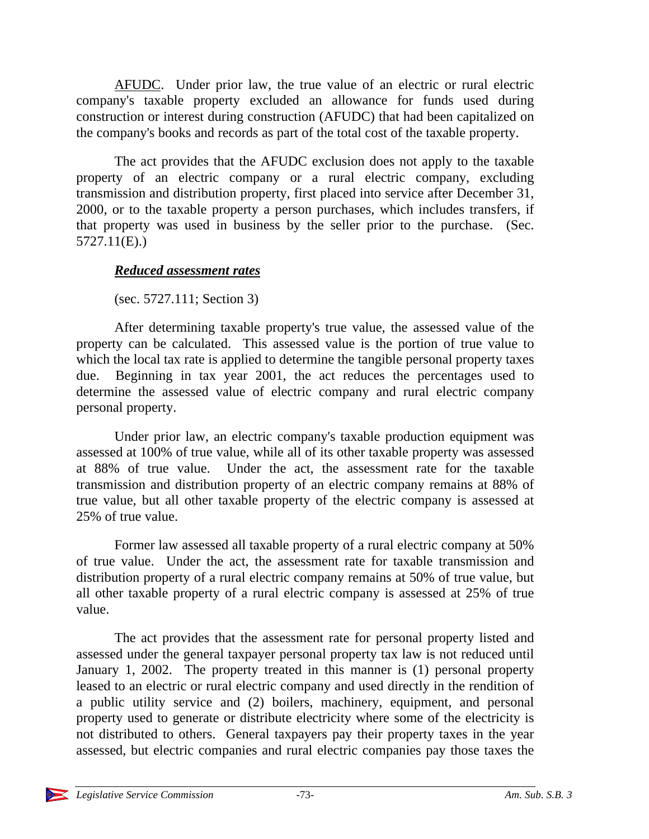AFUDC. Under prior law, the true value of an electric or rural electric company's taxable property excluded an allowance for funds used during construction or interest during construction (AFUDC) that had been capitalized on the company's books and records as part of the total cost of the taxable property.

The act provides that the AFUDC exclusion does not apply to the taxable property of an electric company or a rural electric company, excluding transmission and distribution property, first placed into service after December 31, 2000, or to the taxable property a person purchases, which includes transfers, if that property was used in business by the seller prior to the purchase. (Sec. 5727.11(E).)

#### *Reduced assessment rates*

(sec. 5727.111; Section 3)

After determining taxable property's true value, the assessed value of the property can be calculated. This assessed value is the portion of true value to which the local tax rate is applied to determine the tangible personal property taxes due. Beginning in tax year 2001, the act reduces the percentages used to determine the assessed value of electric company and rural electric company personal property.

Under prior law, an electric company's taxable production equipment was assessed at 100% of true value, while all of its other taxable property was assessed at 88% of true value. Under the act, the assessment rate for the taxable transmission and distribution property of an electric company remains at 88% of true value, but all other taxable property of the electric company is assessed at 25% of true value.

Former law assessed all taxable property of a rural electric company at 50% of true value. Under the act, the assessment rate for taxable transmission and distribution property of a rural electric company remains at 50% of true value, but all other taxable property of a rural electric company is assessed at 25% of true value.

The act provides that the assessment rate for personal property listed and assessed under the general taxpayer personal property tax law is not reduced until January 1, 2002. The property treated in this manner is (1) personal property leased to an electric or rural electric company and used directly in the rendition of a public utility service and (2) boilers, machinery, equipment, and personal property used to generate or distribute electricity where some of the electricity is not distributed to others. General taxpayers pay their property taxes in the year assessed, but electric companies and rural electric companies pay those taxes the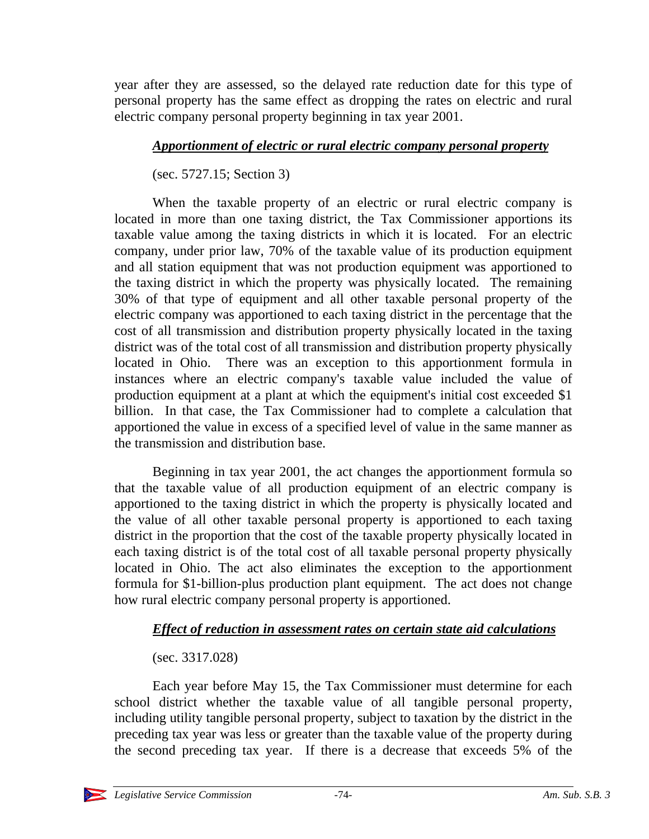year after they are assessed, so the delayed rate reduction date for this type of personal property has the same effect as dropping the rates on electric and rural electric company personal property beginning in tax year 2001.

### *Apportionment of electric or rural electric company personal property*

(sec. 5727.15; Section 3)

When the taxable property of an electric or rural electric company is located in more than one taxing district, the Tax Commissioner apportions its taxable value among the taxing districts in which it is located. For an electric company, under prior law, 70% of the taxable value of its production equipment and all station equipment that was not production equipment was apportioned to the taxing district in which the property was physically located. The remaining 30% of that type of equipment and all other taxable personal property of the electric company was apportioned to each taxing district in the percentage that the cost of all transmission and distribution property physically located in the taxing district was of the total cost of all transmission and distribution property physically located in Ohio. There was an exception to this apportionment formula in instances where an electric company's taxable value included the value of production equipment at a plant at which the equipment's initial cost exceeded \$1 billion. In that case, the Tax Commissioner had to complete a calculation that apportioned the value in excess of a specified level of value in the same manner as the transmission and distribution base.

Beginning in tax year 2001, the act changes the apportionment formula so that the taxable value of all production equipment of an electric company is apportioned to the taxing district in which the property is physically located and the value of all other taxable personal property is apportioned to each taxing district in the proportion that the cost of the taxable property physically located in each taxing district is of the total cost of all taxable personal property physically located in Ohio. The act also eliminates the exception to the apportionment formula for \$1-billion-plus production plant equipment. The act does not change how rural electric company personal property is apportioned.

### *Effect of reduction in assessment rates on certain state aid calculations*

### (sec. 3317.028)

Each year before May 15, the Tax Commissioner must determine for each school district whether the taxable value of all tangible personal property, including utility tangible personal property, subject to taxation by the district in the preceding tax year was less or greater than the taxable value of the property during the second preceding tax year. If there is a decrease that exceeds 5% of the

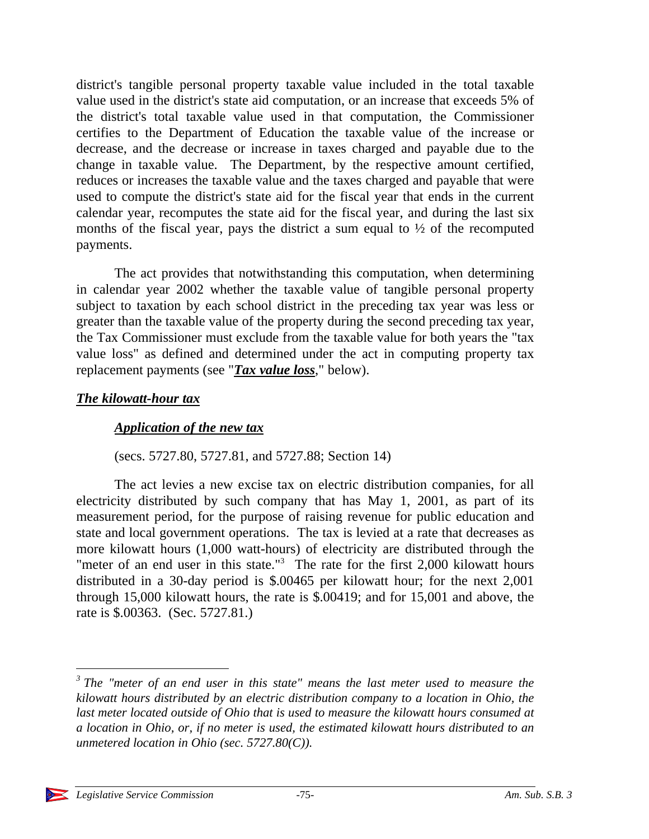district's tangible personal property taxable value included in the total taxable value used in the district's state aid computation, or an increase that exceeds 5% of the district's total taxable value used in that computation, the Commissioner certifies to the Department of Education the taxable value of the increase or decrease, and the decrease or increase in taxes charged and payable due to the change in taxable value. The Department, by the respective amount certified, reduces or increases the taxable value and the taxes charged and payable that were used to compute the district's state aid for the fiscal year that ends in the current calendar year, recomputes the state aid for the fiscal year, and during the last six months of the fiscal year, pays the district a sum equal to ½ of the recomputed payments.

The act provides that notwithstanding this computation, when determining in calendar year 2002 whether the taxable value of tangible personal property subject to taxation by each school district in the preceding tax year was less or greater than the taxable value of the property during the second preceding tax year, the Tax Commissioner must exclude from the taxable value for both years the "tax value loss" as defined and determined under the act in computing property tax replacement payments (see "*Tax value loss*," below).

#### *The kilowatt-hour tax*

#### *Application of the new tax*

(secs. 5727.80, 5727.81, and 5727.88; Section 14)

The act levies a new excise tax on electric distribution companies, for all electricity distributed by such company that has May 1, 2001, as part of its measurement period, for the purpose of raising revenue for public education and state and local government operations. The tax is levied at a rate that decreases as more kilowatt hours (1,000 watt-hours) of electricity are distributed through the "meter of an end user in this state."<sup>3</sup> The rate for the first 2,000 kilowatt hours distributed in a 30-day period is \$.00465 per kilowatt hour; for the next 2,001 through 15,000 kilowatt hours, the rate is \$.00419; and for 15,001 and above, the rate is \$.00363. (Sec. 5727.81.)

<sup>&</sup>lt;sup>3</sup> The "meter of an end user in this state" means the last meter used to measure the *kilowatt hours distributed by an electric distribution company to a location in Ohio, the last meter located outside of Ohio that is used to measure the kilowatt hours consumed at a location in Ohio, or, if no meter is used, the estimated kilowatt hours distributed to an unmetered location in Ohio (sec. 5727.80(C)).*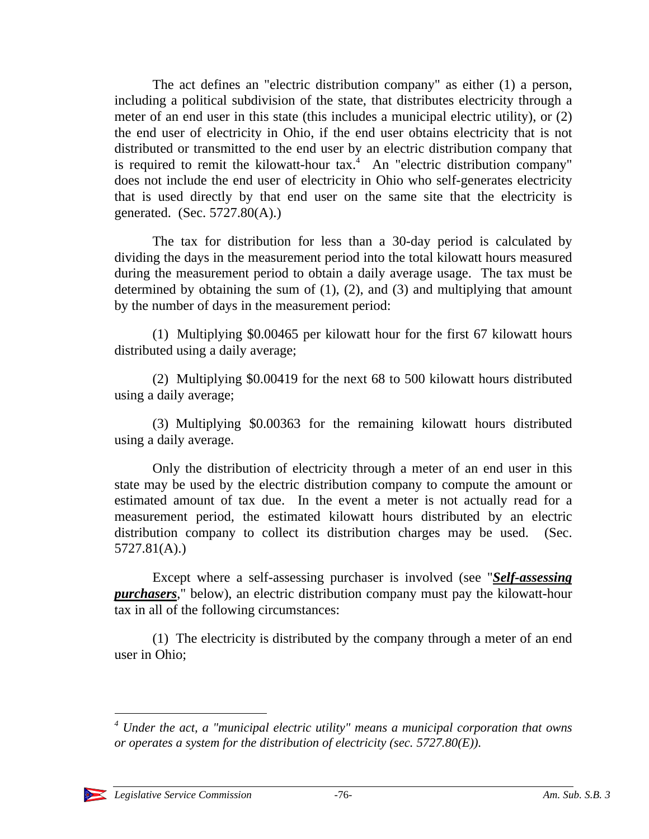The act defines an "electric distribution company" as either (1) a person, including a political subdivision of the state, that distributes electricity through a meter of an end user in this state (this includes a municipal electric utility), or (2) the end user of electricity in Ohio, if the end user obtains electricity that is not distributed or transmitted to the end user by an electric distribution company that is required to remit the kilowatt-hour  $tax$ .<sup>4</sup> An "electric distribution company" does not include the end user of electricity in Ohio who self-generates electricity that is used directly by that end user on the same site that the electricity is generated. (Sec.  $5727.80(A)$ .)

The tax for distribution for less than a 30-day period is calculated by dividing the days in the measurement period into the total kilowatt hours measured during the measurement period to obtain a daily average usage. The tax must be determined by obtaining the sum of  $(1)$ ,  $(2)$ , and  $(3)$  and multiplying that amount by the number of days in the measurement period:

(1) Multiplying \$0.00465 per kilowatt hour for the first 67 kilowatt hours distributed using a daily average;

(2) Multiplying \$0.00419 for the next 68 to 500 kilowatt hours distributed using a daily average;

(3) Multiplying \$0.00363 for the remaining kilowatt hours distributed using a daily average.

Only the distribution of electricity through a meter of an end user in this state may be used by the electric distribution company to compute the amount or estimated amount of tax due. In the event a meter is not actually read for a measurement period, the estimated kilowatt hours distributed by an electric distribution company to collect its distribution charges may be used. (Sec. 5727.81(A).)

Except where a self-assessing purchaser is involved (see "*Self-assessing purchasers*," below), an electric distribution company must pay the kilowatt-hour tax in all of the following circumstances:

(1) The electricity is distributed by the company through a meter of an end user in Ohio;

*<sup>4</sup> Under the act, a "municipal electric utility" means a municipal corporation that owns or operates a system for the distribution of electricity (sec. 5727.80(E)).*



-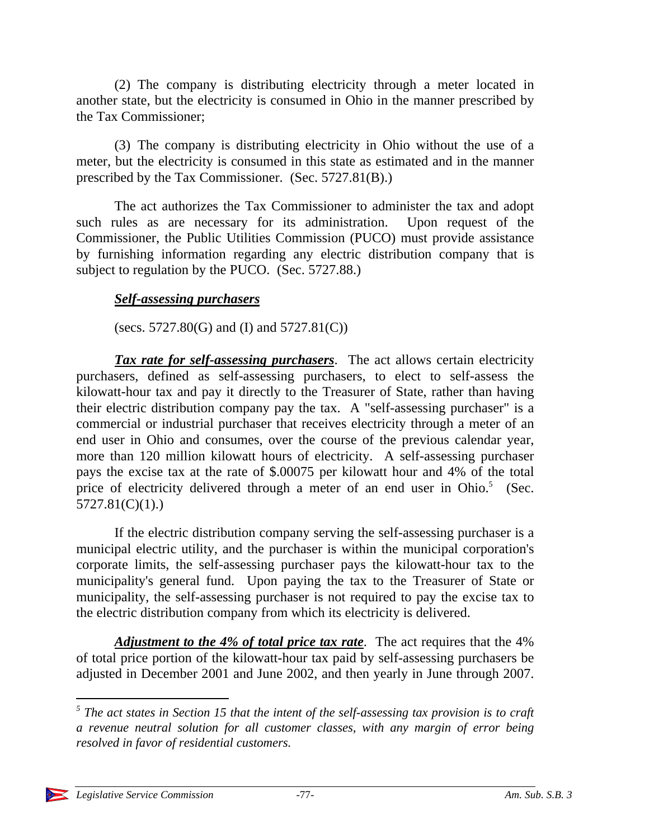(2) The company is distributing electricity through a meter located in another state, but the electricity is consumed in Ohio in the manner prescribed by the Tax Commissioner;

(3) The company is distributing electricity in Ohio without the use of a meter, but the electricity is consumed in this state as estimated and in the manner prescribed by the Tax Commissioner. (Sec. 5727.81(B).)

The act authorizes the Tax Commissioner to administer the tax and adopt such rules as are necessary for its administration. Upon request of the Commissioner, the Public Utilities Commission (PUCO) must provide assistance by furnishing information regarding any electric distribution company that is subject to regulation by the PUCO. (Sec. 5727.88.)

### *Self-assessing purchasers*

(secs.  $5727.80(G)$  and (I) and  $5727.81(C)$ )

*Tax rate for self-assessing purchasers*. The act allows certain electricity purchasers, defined as self-assessing purchasers, to elect to self-assess the kilowatt-hour tax and pay it directly to the Treasurer of State, rather than having their electric distribution company pay the tax. A "self-assessing purchaser" is a commercial or industrial purchaser that receives electricity through a meter of an end user in Ohio and consumes, over the course of the previous calendar year, more than 120 million kilowatt hours of electricity. A self-assessing purchaser pays the excise tax at the rate of \$.00075 per kilowatt hour and 4% of the total price of electricity delivered through a meter of an end user in Ohio.<sup>5</sup> (Sec. 5727.81(C)(1).)

If the electric distribution company serving the self-assessing purchaser is a municipal electric utility, and the purchaser is within the municipal corporation's corporate limits, the self-assessing purchaser pays the kilowatt-hour tax to the municipality's general fund. Upon paying the tax to the Treasurer of State or municipality, the self-assessing purchaser is not required to pay the excise tax to the electric distribution company from which its electricity is delivered.

*Adjustment to the 4% of total price tax rate*. The act requires that the 4% of total price portion of the kilowatt-hour tax paid by self-assessing purchasers be adjusted in December 2001 and June 2002, and then yearly in June through 2007.

 $\overline{a}$ 

<sup>&</sup>lt;sup>5</sup> The act states in Section 15 that the intent of the self-assessing tax provision is to craft *a revenue neutral solution for all customer classes, with any margin of error being resolved in favor of residential customers.*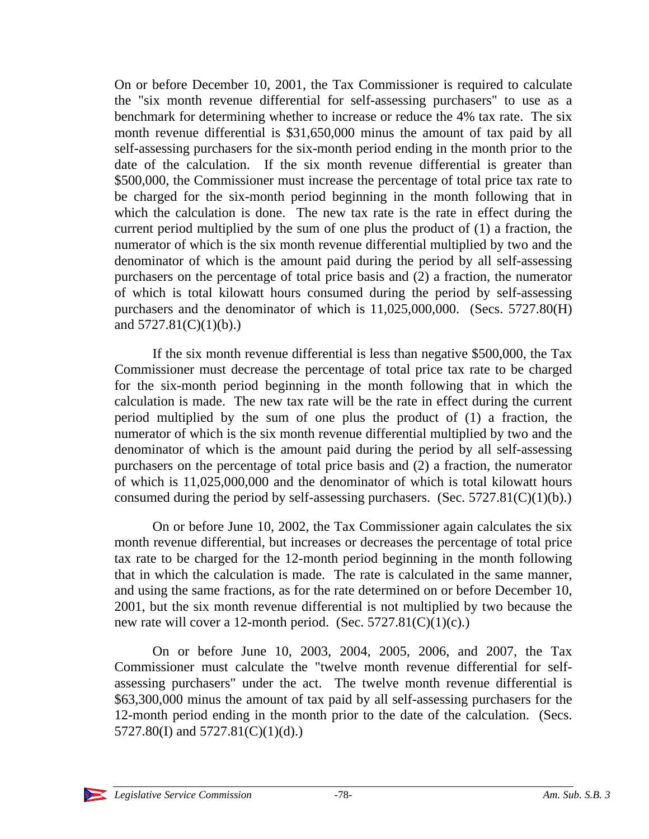On or before December 10, 2001, the Tax Commissioner is required to calculate the "six month revenue differential for self-assessing purchasers" to use as a benchmark for determining whether to increase or reduce the 4% tax rate. The six month revenue differential is \$31,650,000 minus the amount of tax paid by all self-assessing purchasers for the six-month period ending in the month prior to the date of the calculation. If the six month revenue differential is greater than \$500,000, the Commissioner must increase the percentage of total price tax rate to be charged for the six-month period beginning in the month following that in which the calculation is done. The new tax rate is the rate in effect during the current period multiplied by the sum of one plus the product of (1) a fraction, the numerator of which is the six month revenue differential multiplied by two and the denominator of which is the amount paid during the period by all self-assessing purchasers on the percentage of total price basis and (2) a fraction, the numerator of which is total kilowatt hours consumed during the period by self-assessing purchasers and the denominator of which is 11,025,000,000. (Secs. 5727.80(H) and  $5727.81(C)(1)(b)$ .)

If the six month revenue differential is less than negative \$500,000, the Tax Commissioner must decrease the percentage of total price tax rate to be charged for the six-month period beginning in the month following that in which the calculation is made. The new tax rate will be the rate in effect during the current period multiplied by the sum of one plus the product of (1) a fraction, the numerator of which is the six month revenue differential multiplied by two and the denominator of which is the amount paid during the period by all self-assessing purchasers on the percentage of total price basis and (2) a fraction, the numerator of which is 11,025,000,000 and the denominator of which is total kilowatt hours consumed during the period by self-assessing purchasers. (Sec.  $5727.81(C)(1)(b)$ .)

On or before June 10, 2002, the Tax Commissioner again calculates the six month revenue differential, but increases or decreases the percentage of total price tax rate to be charged for the 12-month period beginning in the month following that in which the calculation is made. The rate is calculated in the same manner, and using the same fractions, as for the rate determined on or before December 10, 2001, but the six month revenue differential is not multiplied by two because the new rate will cover a 12-month period. (Sec.  $5727.81(C)(1)(c)$ .)

On or before June 10, 2003, 2004, 2005, 2006, and 2007, the Tax Commissioner must calculate the "twelve month revenue differential for selfassessing purchasers" under the act. The twelve month revenue differential is \$63,300,000 minus the amount of tax paid by all self-assessing purchasers for the 12-month period ending in the month prior to the date of the calculation. (Secs. 5727.80(I) and 5727.81(C)(1)(d).)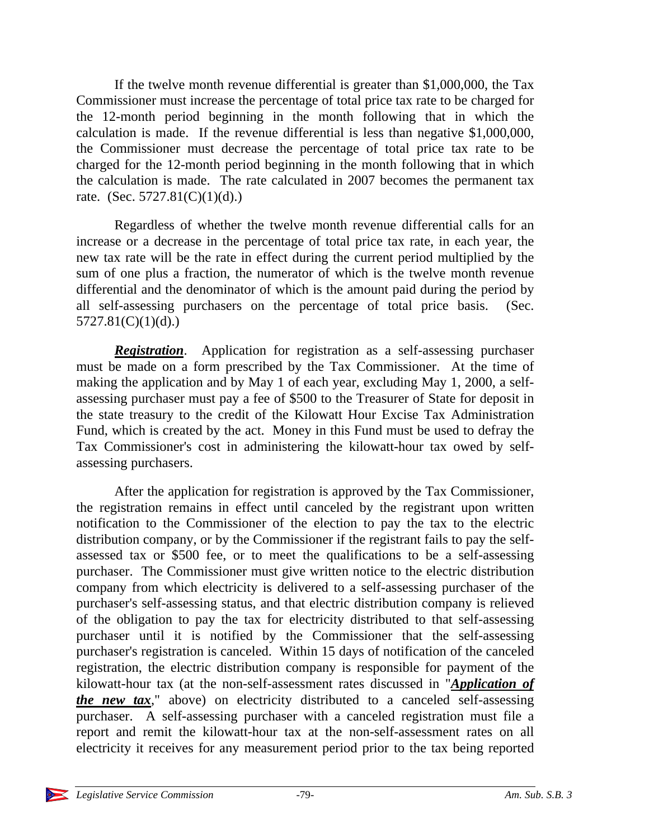If the twelve month revenue differential is greater than \$1,000,000, the Tax Commissioner must increase the percentage of total price tax rate to be charged for the 12-month period beginning in the month following that in which the calculation is made. If the revenue differential is less than negative \$1,000,000, the Commissioner must decrease the percentage of total price tax rate to be charged for the 12-month period beginning in the month following that in which the calculation is made. The rate calculated in 2007 becomes the permanent tax rate. (Sec.  $5727.81(C)(1)(d)$ .)

Regardless of whether the twelve month revenue differential calls for an increase or a decrease in the percentage of total price tax rate, in each year, the new tax rate will be the rate in effect during the current period multiplied by the sum of one plus a fraction, the numerator of which is the twelve month revenue differential and the denominator of which is the amount paid during the period by all self-assessing purchasers on the percentage of total price basis. (Sec.  $5727.81(C)(1)(d)$ .)

*Registration*. Application for registration as a self-assessing purchaser must be made on a form prescribed by the Tax Commissioner. At the time of making the application and by May 1 of each year, excluding May 1, 2000, a selfassessing purchaser must pay a fee of \$500 to the Treasurer of State for deposit in the state treasury to the credit of the Kilowatt Hour Excise Tax Administration Fund, which is created by the act. Money in this Fund must be used to defray the Tax Commissioner's cost in administering the kilowatt-hour tax owed by selfassessing purchasers.

After the application for registration is approved by the Tax Commissioner, the registration remains in effect until canceled by the registrant upon written notification to the Commissioner of the election to pay the tax to the electric distribution company, or by the Commissioner if the registrant fails to pay the selfassessed tax or \$500 fee, or to meet the qualifications to be a self-assessing purchaser. The Commissioner must give written notice to the electric distribution company from which electricity is delivered to a self-assessing purchaser of the purchaser's self-assessing status, and that electric distribution company is relieved of the obligation to pay the tax for electricity distributed to that self-assessing purchaser until it is notified by the Commissioner that the self-assessing purchaser's registration is canceled. Within 15 days of notification of the canceled registration, the electric distribution company is responsible for payment of the kilowatt-hour tax (at the non-self-assessment rates discussed in "*Application of the new tax*," above) on electricity distributed to a canceled self-assessing purchaser. A self-assessing purchaser with a canceled registration must file a report and remit the kilowatt-hour tax at the non-self-assessment rates on all electricity it receives for any measurement period prior to the tax being reported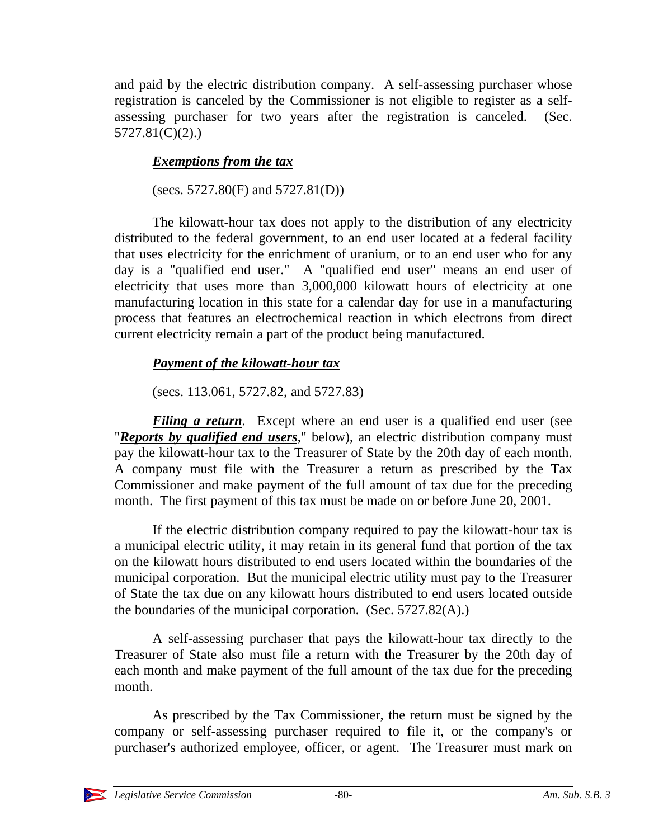and paid by the electric distribution company. A self-assessing purchaser whose registration is canceled by the Commissioner is not eligible to register as a selfassessing purchaser for two years after the registration is canceled. (Sec. 5727.81(C)(2).)

## *Exemptions from the tax*

(secs. 5727.80(F) and 5727.81(D))

The kilowatt-hour tax does not apply to the distribution of any electricity distributed to the federal government, to an end user located at a federal facility that uses electricity for the enrichment of uranium, or to an end user who for any day is a "qualified end user." A "qualified end user" means an end user of electricity that uses more than 3,000,000 kilowatt hours of electricity at one manufacturing location in this state for a calendar day for use in a manufacturing process that features an electrochemical reaction in which electrons from direct current electricity remain a part of the product being manufactured.

# *Payment of the kilowatt-hour tax*

(secs. 113.061, 5727.82, and 5727.83)

*Filing a return*. Except where an end user is a qualified end user (see "*Reports by qualified end users*," below), an electric distribution company must pay the kilowatt-hour tax to the Treasurer of State by the 20th day of each month. A company must file with the Treasurer a return as prescribed by the Tax Commissioner and make payment of the full amount of tax due for the preceding month. The first payment of this tax must be made on or before June 20, 2001.

If the electric distribution company required to pay the kilowatt-hour tax is a municipal electric utility, it may retain in its general fund that portion of the tax on the kilowatt hours distributed to end users located within the boundaries of the municipal corporation. But the municipal electric utility must pay to the Treasurer of State the tax due on any kilowatt hours distributed to end users located outside the boundaries of the municipal corporation. (Sec. 5727.82(A).)

A self-assessing purchaser that pays the kilowatt-hour tax directly to the Treasurer of State also must file a return with the Treasurer by the 20th day of each month and make payment of the full amount of the tax due for the preceding month.

As prescribed by the Tax Commissioner, the return must be signed by the company or self-assessing purchaser required to file it, or the company's or purchaser's authorized employee, officer, or agent. The Treasurer must mark on

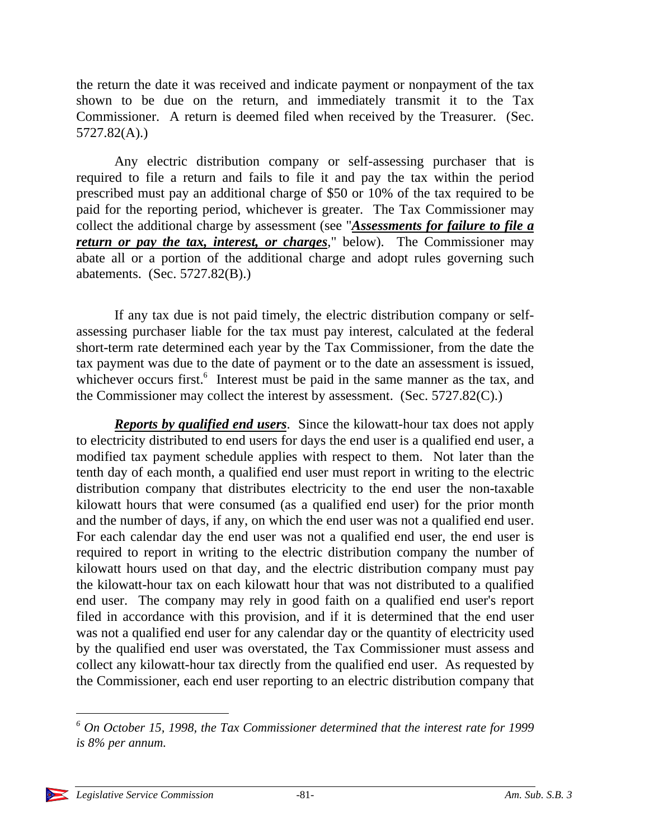the return the date it was received and indicate payment or nonpayment of the tax shown to be due on the return, and immediately transmit it to the Tax Commissioner. A return is deemed filed when received by the Treasurer. (Sec. 5727.82(A).)

Any electric distribution company or self-assessing purchaser that is required to file a return and fails to file it and pay the tax within the period prescribed must pay an additional charge of \$50 or 10% of the tax required to be paid for the reporting period, whichever is greater. The Tax Commissioner may collect the additional charge by assessment (see "*Assessments for failure to file a return or pay the tax, interest, or charges*," below). The Commissioner may abate all or a portion of the additional charge and adopt rules governing such abatements. (Sec. 5727.82(B).)

If any tax due is not paid timely, the electric distribution company or selfassessing purchaser liable for the tax must pay interest, calculated at the federal short-term rate determined each year by the Tax Commissioner, from the date the tax payment was due to the date of payment or to the date an assessment is issued, whichever occurs first.<sup>6</sup> Interest must be paid in the same manner as the tax, and the Commissioner may collect the interest by assessment. (Sec. 5727.82(C).)

*Reports by qualified end users*. Since the kilowatt-hour tax does not apply to electricity distributed to end users for days the end user is a qualified end user, a modified tax payment schedule applies with respect to them. Not later than the tenth day of each month, a qualified end user must report in writing to the electric distribution company that distributes electricity to the end user the non-taxable kilowatt hours that were consumed (as a qualified end user) for the prior month and the number of days, if any, on which the end user was not a qualified end user. For each calendar day the end user was not a qualified end user, the end user is required to report in writing to the electric distribution company the number of kilowatt hours used on that day, and the electric distribution company must pay the kilowatt-hour tax on each kilowatt hour that was not distributed to a qualified end user. The company may rely in good faith on a qualified end user's report filed in accordance with this provision, and if it is determined that the end user was not a qualified end user for any calendar day or the quantity of electricity used by the qualified end user was overstated, the Tax Commissioner must assess and collect any kilowatt-hour tax directly from the qualified end user. As requested by the Commissioner, each end user reporting to an electric distribution company that

 *6 On October 15, 1998, the Tax Commissioner determined that the interest rate for 1999 is 8% per annum.*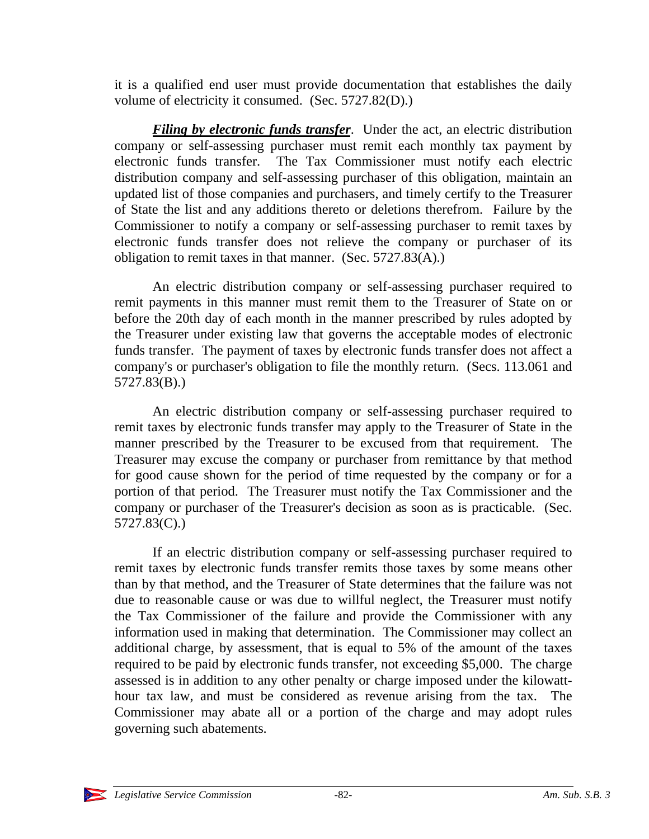it is a qualified end user must provide documentation that establishes the daily volume of electricity it consumed. (Sec. 5727.82(D).)

*Filing by electronic funds transfer*. Under the act, an electric distribution company or self-assessing purchaser must remit each monthly tax payment by electronic funds transfer. The Tax Commissioner must notify each electric distribution company and self-assessing purchaser of this obligation, maintain an updated list of those companies and purchasers, and timely certify to the Treasurer of State the list and any additions thereto or deletions therefrom. Failure by the Commissioner to notify a company or self-assessing purchaser to remit taxes by electronic funds transfer does not relieve the company or purchaser of its obligation to remit taxes in that manner. (Sec. 5727.83(A).)

An electric distribution company or self-assessing purchaser required to remit payments in this manner must remit them to the Treasurer of State on or before the 20th day of each month in the manner prescribed by rules adopted by the Treasurer under existing law that governs the acceptable modes of electronic funds transfer. The payment of taxes by electronic funds transfer does not affect a company's or purchaser's obligation to file the monthly return. (Secs. 113.061 and 5727.83(B).)

An electric distribution company or self-assessing purchaser required to remit taxes by electronic funds transfer may apply to the Treasurer of State in the manner prescribed by the Treasurer to be excused from that requirement. The Treasurer may excuse the company or purchaser from remittance by that method for good cause shown for the period of time requested by the company or for a portion of that period. The Treasurer must notify the Tax Commissioner and the company or purchaser of the Treasurer's decision as soon as is practicable. (Sec. 5727.83(C).)

If an electric distribution company or self-assessing purchaser required to remit taxes by electronic funds transfer remits those taxes by some means other than by that method, and the Treasurer of State determines that the failure was not due to reasonable cause or was due to willful neglect, the Treasurer must notify the Tax Commissioner of the failure and provide the Commissioner with any information used in making that determination. The Commissioner may collect an additional charge, by assessment, that is equal to 5% of the amount of the taxes required to be paid by electronic funds transfer, not exceeding \$5,000. The charge assessed is in addition to any other penalty or charge imposed under the kilowatthour tax law, and must be considered as revenue arising from the tax. The Commissioner may abate all or a portion of the charge and may adopt rules governing such abatements.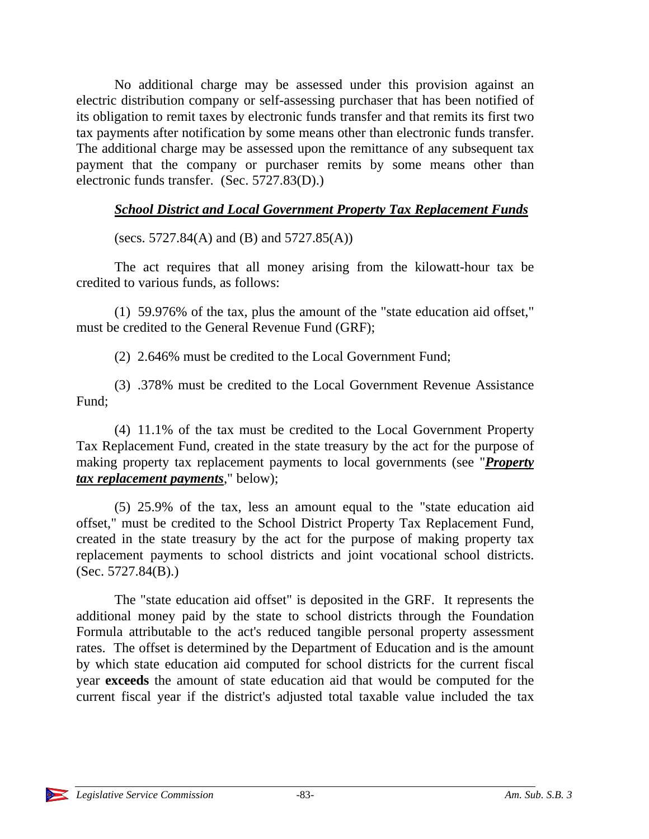No additional charge may be assessed under this provision against an electric distribution company or self-assessing purchaser that has been notified of its obligation to remit taxes by electronic funds transfer and that remits its first two tax payments after notification by some means other than electronic funds transfer. The additional charge may be assessed upon the remittance of any subsequent tax payment that the company or purchaser remits by some means other than electronic funds transfer. (Sec. 5727.83(D).)

### *School District and Local Government Property Tax Replacement Funds*

(secs. 5727.84(A) and (B) and 5727.85(A))

The act requires that all money arising from the kilowatt-hour tax be credited to various funds, as follows:

(1) 59.976% of the tax, plus the amount of the "state education aid offset," must be credited to the General Revenue Fund (GRF);

(2) 2.646% must be credited to the Local Government Fund;

(3) .378% must be credited to the Local Government Revenue Assistance Fund;

(4) 11.1% of the tax must be credited to the Local Government Property Tax Replacement Fund, created in the state treasury by the act for the purpose of making property tax replacement payments to local governments (see "*Property tax replacement payments*," below);

(5) 25.9% of the tax, less an amount equal to the "state education aid offset," must be credited to the School District Property Tax Replacement Fund, created in the state treasury by the act for the purpose of making property tax replacement payments to school districts and joint vocational school districts. (Sec. 5727.84(B).)

The "state education aid offset" is deposited in the GRF. It represents the additional money paid by the state to school districts through the Foundation Formula attributable to the act's reduced tangible personal property assessment rates. The offset is determined by the Department of Education and is the amount by which state education aid computed for school districts for the current fiscal year **exceeds** the amount of state education aid that would be computed for the current fiscal year if the district's adjusted total taxable value included the tax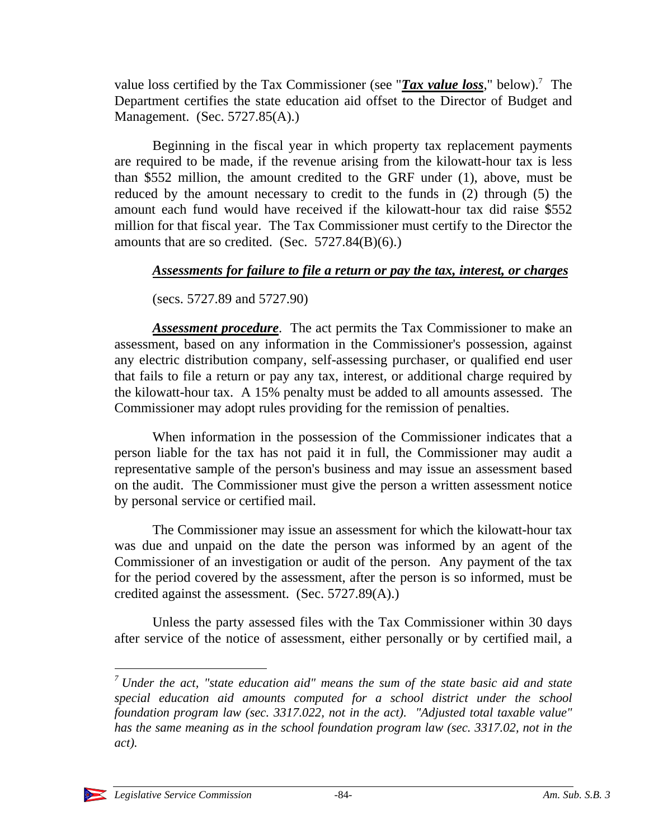value loss certified by the Tax Commissioner (see "*Tax value loss*," below).<sup>7</sup> The Department certifies the state education aid offset to the Director of Budget and Management. (Sec. 5727.85(A).)

Beginning in the fiscal year in which property tax replacement payments are required to be made, if the revenue arising from the kilowatt-hour tax is less than \$552 million, the amount credited to the GRF under (1), above, must be reduced by the amount necessary to credit to the funds in (2) through (5) the amount each fund would have received if the kilowatt-hour tax did raise \$552 million for that fiscal year. The Tax Commissioner must certify to the Director the amounts that are so credited. (Sec.  $5727.84(B)(6)$ .)

#### *Assessments for failure to file a return or pay the tax, interest, or charges*

(secs. 5727.89 and 5727.90)

*Assessment procedure*. The act permits the Tax Commissioner to make an assessment, based on any information in the Commissioner's possession, against any electric distribution company, self-assessing purchaser, or qualified end user that fails to file a return or pay any tax, interest, or additional charge required by the kilowatt-hour tax. A 15% penalty must be added to all amounts assessed. The Commissioner may adopt rules providing for the remission of penalties.

When information in the possession of the Commissioner indicates that a person liable for the tax has not paid it in full, the Commissioner may audit a representative sample of the person's business and may issue an assessment based on the audit. The Commissioner must give the person a written assessment notice by personal service or certified mail.

The Commissioner may issue an assessment for which the kilowatt-hour tax was due and unpaid on the date the person was informed by an agent of the Commissioner of an investigation or audit of the person. Any payment of the tax for the period covered by the assessment, after the person is so informed, must be credited against the assessment. (Sec. 5727.89(A).)

Unless the party assessed files with the Tax Commissioner within 30 days after service of the notice of assessment, either personally or by certified mail, a

*<sup>7</sup> Under the act, "state education aid" means the sum of the state basic aid and state special education aid amounts computed for a school district under the school foundation program law (sec. 3317.022, not in the act). "Adjusted total taxable value" has the same meaning as in the school foundation program law (sec. 3317.02, not in the act).*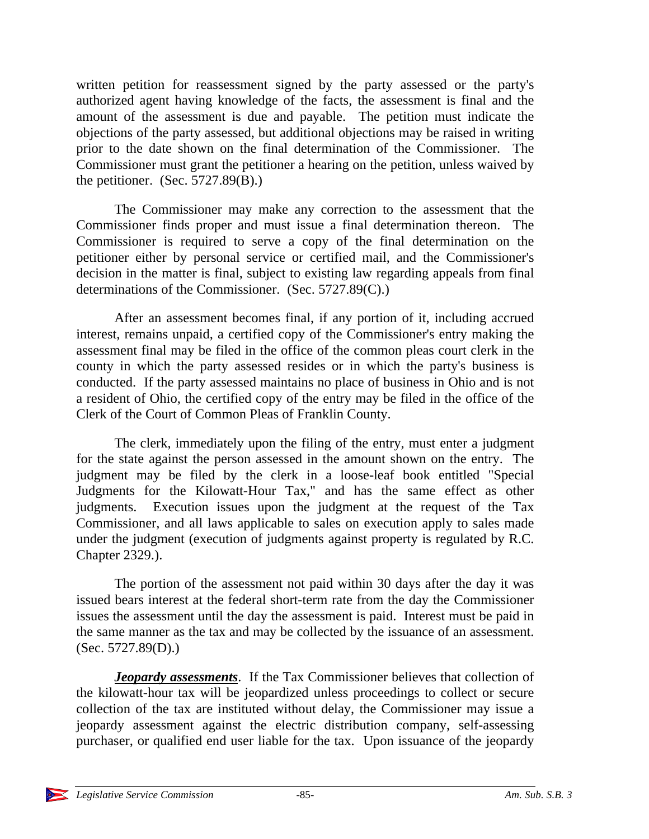written petition for reassessment signed by the party assessed or the party's authorized agent having knowledge of the facts, the assessment is final and the amount of the assessment is due and payable. The petition must indicate the objections of the party assessed, but additional objections may be raised in writing prior to the date shown on the final determination of the Commissioner. The Commissioner must grant the petitioner a hearing on the petition, unless waived by the petitioner. (Sec.  $5727.89(B)$ .)

The Commissioner may make any correction to the assessment that the Commissioner finds proper and must issue a final determination thereon. The Commissioner is required to serve a copy of the final determination on the petitioner either by personal service or certified mail, and the Commissioner's decision in the matter is final, subject to existing law regarding appeals from final determinations of the Commissioner. (Sec. 5727.89(C).)

After an assessment becomes final, if any portion of it, including accrued interest, remains unpaid, a certified copy of the Commissioner's entry making the assessment final may be filed in the office of the common pleas court clerk in the county in which the party assessed resides or in which the party's business is conducted. If the party assessed maintains no place of business in Ohio and is not a resident of Ohio, the certified copy of the entry may be filed in the office of the Clerk of the Court of Common Pleas of Franklin County.

The clerk, immediately upon the filing of the entry, must enter a judgment for the state against the person assessed in the amount shown on the entry. The judgment may be filed by the clerk in a loose-leaf book entitled "Special Judgments for the Kilowatt-Hour Tax," and has the same effect as other judgments. Execution issues upon the judgment at the request of the Tax Commissioner, and all laws applicable to sales on execution apply to sales made under the judgment (execution of judgments against property is regulated by R.C. Chapter 2329.).

The portion of the assessment not paid within 30 days after the day it was issued bears interest at the federal short-term rate from the day the Commissioner issues the assessment until the day the assessment is paid. Interest must be paid in the same manner as the tax and may be collected by the issuance of an assessment. (Sec. 5727.89(D).)

*Jeopardy assessments*. If the Tax Commissioner believes that collection of the kilowatt-hour tax will be jeopardized unless proceedings to collect or secure collection of the tax are instituted without delay, the Commissioner may issue a jeopardy assessment against the electric distribution company, self-assessing purchaser, or qualified end user liable for the tax. Upon issuance of the jeopardy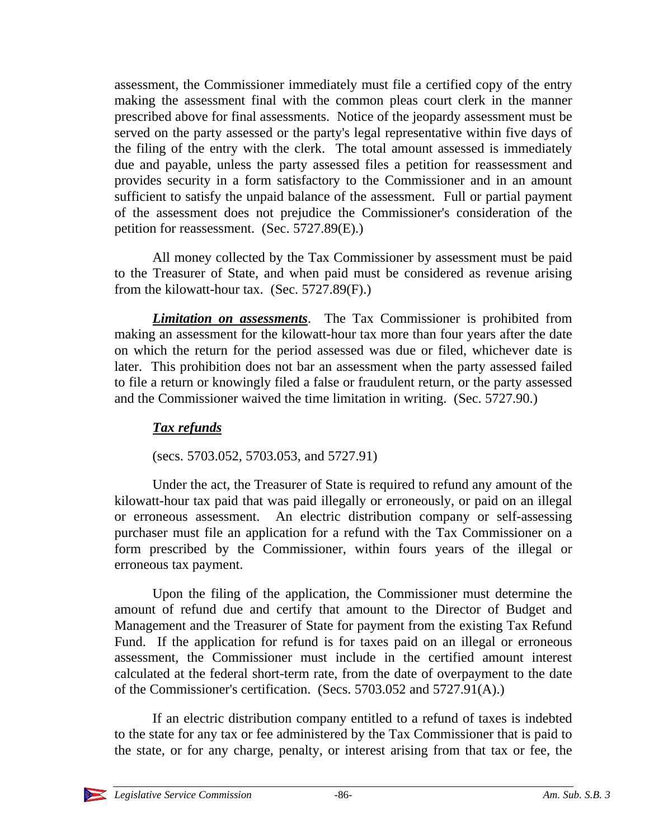assessment, the Commissioner immediately must file a certified copy of the entry making the assessment final with the common pleas court clerk in the manner prescribed above for final assessments. Notice of the jeopardy assessment must be served on the party assessed or the party's legal representative within five days of the filing of the entry with the clerk. The total amount assessed is immediately due and payable, unless the party assessed files a petition for reassessment and provides security in a form satisfactory to the Commissioner and in an amount sufficient to satisfy the unpaid balance of the assessment. Full or partial payment of the assessment does not prejudice the Commissioner's consideration of the petition for reassessment. (Sec. 5727.89(E).)

All money collected by the Tax Commissioner by assessment must be paid to the Treasurer of State, and when paid must be considered as revenue arising from the kilowatt-hour tax. (Sec. 5727.89(F).)

*Limitation on assessments*. The Tax Commissioner is prohibited from making an assessment for the kilowatt-hour tax more than four years after the date on which the return for the period assessed was due or filed, whichever date is later. This prohibition does not bar an assessment when the party assessed failed to file a return or knowingly filed a false or fraudulent return, or the party assessed and the Commissioner waived the time limitation in writing. (Sec. 5727.90.)

### *Tax refunds*

(secs. 5703.052, 5703.053, and 5727.91)

Under the act, the Treasurer of State is required to refund any amount of the kilowatt-hour tax paid that was paid illegally or erroneously, or paid on an illegal or erroneous assessment. An electric distribution company or self-assessing purchaser must file an application for a refund with the Tax Commissioner on a form prescribed by the Commissioner, within fours years of the illegal or erroneous tax payment.

Upon the filing of the application, the Commissioner must determine the amount of refund due and certify that amount to the Director of Budget and Management and the Treasurer of State for payment from the existing Tax Refund Fund. If the application for refund is for taxes paid on an illegal or erroneous assessment, the Commissioner must include in the certified amount interest calculated at the federal short-term rate, from the date of overpayment to the date of the Commissioner's certification. (Secs. 5703.052 and 5727.91(A).)

If an electric distribution company entitled to a refund of taxes is indebted to the state for any tax or fee administered by the Tax Commissioner that is paid to the state, or for any charge, penalty, or interest arising from that tax or fee, the

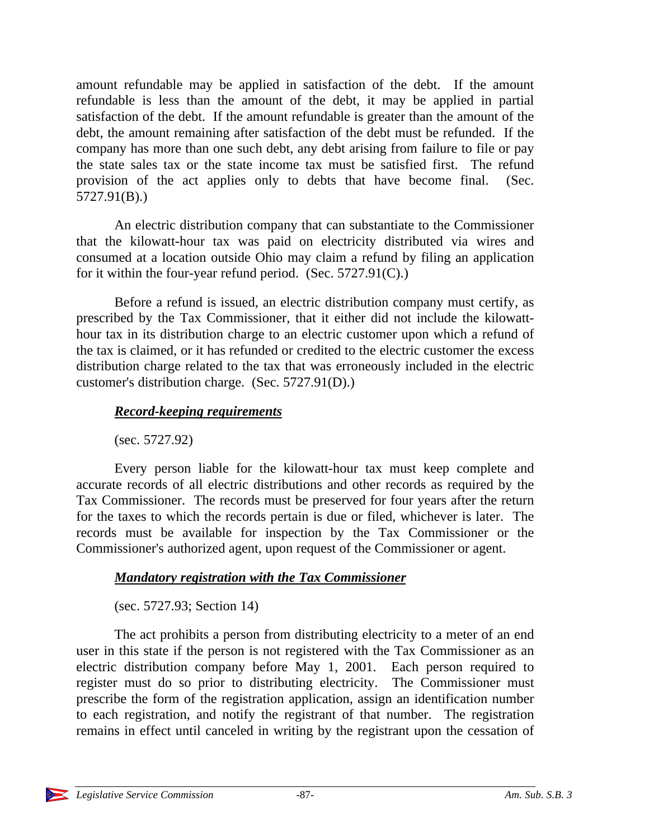amount refundable may be applied in satisfaction of the debt. If the amount refundable is less than the amount of the debt, it may be applied in partial satisfaction of the debt. If the amount refundable is greater than the amount of the debt, the amount remaining after satisfaction of the debt must be refunded. If the company has more than one such debt, any debt arising from failure to file or pay the state sales tax or the state income tax must be satisfied first. The refund provision of the act applies only to debts that have become final. (Sec. 5727.91(B).)

An electric distribution company that can substantiate to the Commissioner that the kilowatt-hour tax was paid on electricity distributed via wires and consumed at a location outside Ohio may claim a refund by filing an application for it within the four-year refund period. (Sec. 5727.91(C).)

Before a refund is issued, an electric distribution company must certify, as prescribed by the Tax Commissioner, that it either did not include the kilowatthour tax in its distribution charge to an electric customer upon which a refund of the tax is claimed, or it has refunded or credited to the electric customer the excess distribution charge related to the tax that was erroneously included in the electric customer's distribution charge. (Sec. 5727.91(D).)

### *Record-keeping requirements*

(sec. 5727.92)

Every person liable for the kilowatt-hour tax must keep complete and accurate records of all electric distributions and other records as required by the Tax Commissioner. The records must be preserved for four years after the return for the taxes to which the records pertain is due or filed, whichever is later. The records must be available for inspection by the Tax Commissioner or the Commissioner's authorized agent, upon request of the Commissioner or agent.

### *Mandatory registration with the Tax Commissioner*

(sec. 5727.93; Section 14)

The act prohibits a person from distributing electricity to a meter of an end user in this state if the person is not registered with the Tax Commissioner as an electric distribution company before May 1, 2001. Each person required to register must do so prior to distributing electricity. The Commissioner must prescribe the form of the registration application, assign an identification number to each registration, and notify the registrant of that number. The registration remains in effect until canceled in writing by the registrant upon the cessation of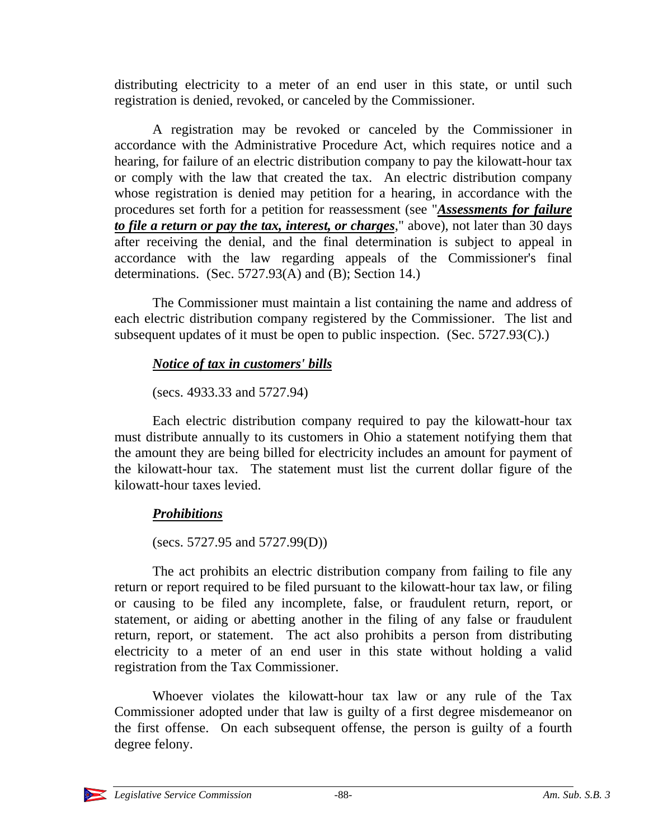distributing electricity to a meter of an end user in this state, or until such registration is denied, revoked, or canceled by the Commissioner.

A registration may be revoked or canceled by the Commissioner in accordance with the Administrative Procedure Act, which requires notice and a hearing, for failure of an electric distribution company to pay the kilowatt-hour tax or comply with the law that created the tax. An electric distribution company whose registration is denied may petition for a hearing, in accordance with the procedures set forth for a petition for reassessment (see "*Assessments for failure to file a return or pay the tax, interest, or charges*," above), not later than 30 days after receiving the denial, and the final determination is subject to appeal in accordance with the law regarding appeals of the Commissioner's final determinations. (Sec. 5727.93(A) and (B); Section 14.)

The Commissioner must maintain a list containing the name and address of each electric distribution company registered by the Commissioner. The list and subsequent updates of it must be open to public inspection. (Sec. 5727.93(C).)

## *Notice of tax in customers' bills*

(secs. 4933.33 and 5727.94)

Each electric distribution company required to pay the kilowatt-hour tax must distribute annually to its customers in Ohio a statement notifying them that the amount they are being billed for electricity includes an amount for payment of the kilowatt-hour tax. The statement must list the current dollar figure of the kilowatt-hour taxes levied.

# *Prohibitions*

(secs. 5727.95 and 5727.99(D))

The act prohibits an electric distribution company from failing to file any return or report required to be filed pursuant to the kilowatt-hour tax law, or filing or causing to be filed any incomplete, false, or fraudulent return, report, or statement, or aiding or abetting another in the filing of any false or fraudulent return, report, or statement. The act also prohibits a person from distributing electricity to a meter of an end user in this state without holding a valid registration from the Tax Commissioner.

Whoever violates the kilowatt-hour tax law or any rule of the Tax Commissioner adopted under that law is guilty of a first degree misdemeanor on the first offense. On each subsequent offense, the person is guilty of a fourth degree felony.

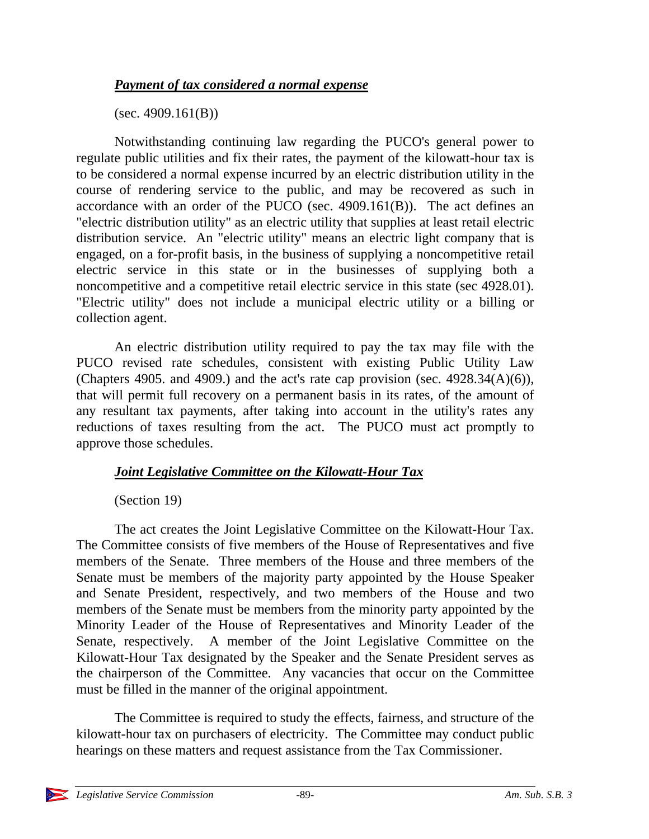### *Payment of tax considered a normal expense*

 $(sec. 4909.161(B))$ 

Notwithstanding continuing law regarding the PUCO's general power to regulate public utilities and fix their rates, the payment of the kilowatt-hour tax is to be considered a normal expense incurred by an electric distribution utility in the course of rendering service to the public, and may be recovered as such in accordance with an order of the PUCO (sec. 4909.161(B)). The act defines an "electric distribution utility" as an electric utility that supplies at least retail electric distribution service. An "electric utility" means an electric light company that is engaged, on a for-profit basis, in the business of supplying a noncompetitive retail electric service in this state or in the businesses of supplying both a noncompetitive and a competitive retail electric service in this state (sec 4928.01). "Electric utility" does not include a municipal electric utility or a billing or collection agent.

An electric distribution utility required to pay the tax may file with the PUCO revised rate schedules, consistent with existing Public Utility Law (Chapters 4905. and 4909.) and the act's rate cap provision (sec.  $4928.34(A)(6)$ ), that will permit full recovery on a permanent basis in its rates, of the amount of any resultant tax payments, after taking into account in the utility's rates any reductions of taxes resulting from the act. The PUCO must act promptly to approve those schedules.

### *Joint Legislative Committee on the Kilowatt-Hour Tax*

### (Section 19)

The act creates the Joint Legislative Committee on the Kilowatt-Hour Tax. The Committee consists of five members of the House of Representatives and five members of the Senate. Three members of the House and three members of the Senate must be members of the majority party appointed by the House Speaker and Senate President, respectively, and two members of the House and two members of the Senate must be members from the minority party appointed by the Minority Leader of the House of Representatives and Minority Leader of the Senate, respectively. A member of the Joint Legislative Committee on the Kilowatt-Hour Tax designated by the Speaker and the Senate President serves as the chairperson of the Committee. Any vacancies that occur on the Committee must be filled in the manner of the original appointment.

The Committee is required to study the effects, fairness, and structure of the kilowatt-hour tax on purchasers of electricity. The Committee may conduct public hearings on these matters and request assistance from the Tax Commissioner.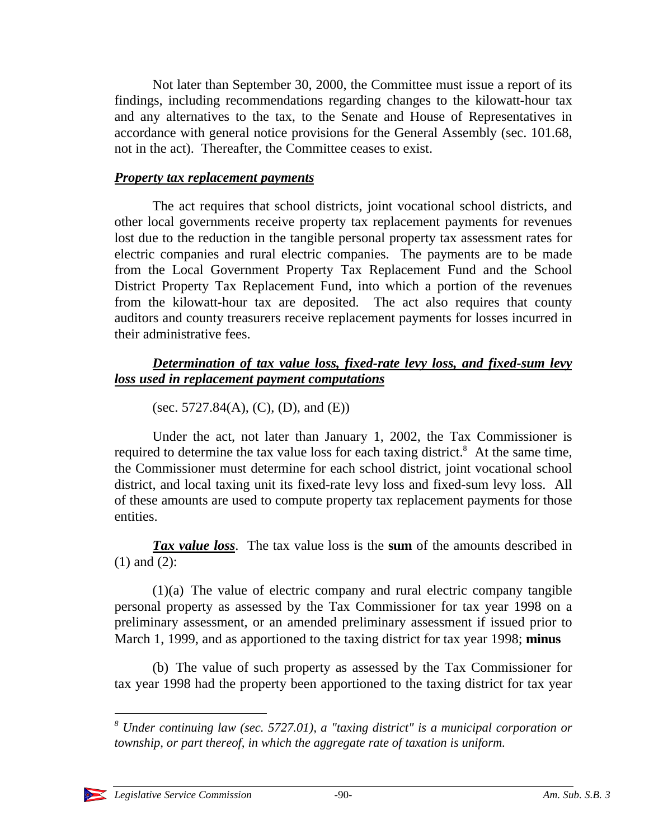Not later than September 30, 2000, the Committee must issue a report of its findings, including recommendations regarding changes to the kilowatt-hour tax and any alternatives to the tax, to the Senate and House of Representatives in accordance with general notice provisions for the General Assembly (sec. 101.68, not in the act). Thereafter, the Committee ceases to exist.

#### *Property tax replacement payments*

The act requires that school districts, joint vocational school districts, and other local governments receive property tax replacement payments for revenues lost due to the reduction in the tangible personal property tax assessment rates for electric companies and rural electric companies. The payments are to be made from the Local Government Property Tax Replacement Fund and the School District Property Tax Replacement Fund, into which a portion of the revenues from the kilowatt-hour tax are deposited. The act also requires that county auditors and county treasurers receive replacement payments for losses incurred in their administrative fees.

### *Determination of tax value loss, fixed-rate levy loss, and fixed-sum levy loss used in replacement payment computations*

(sec. 5727.84(A), (C), (D), and (E))

Under the act, not later than January 1, 2002, the Tax Commissioner is required to determine the tax value loss for each taxing district.<sup>8</sup> At the same time, the Commissioner must determine for each school district, joint vocational school district, and local taxing unit its fixed-rate levy loss and fixed-sum levy loss. All of these amounts are used to compute property tax replacement payments for those entities.

*Tax value loss*. The tax value loss is the **sum** of the amounts described in (1) and (2):

(1)(a) The value of electric company and rural electric company tangible personal property as assessed by the Tax Commissioner for tax year 1998 on a preliminary assessment, or an amended preliminary assessment if issued prior to March 1, 1999, and as apportioned to the taxing district for tax year 1998; **minus**

(b) The value of such property as assessed by the Tax Commissioner for tax year 1998 had the property been apportioned to the taxing district for tax year

*<sup>8</sup> Under continuing law (sec. 5727.01), a "taxing district" is a municipal corporation or township, or part thereof, in which the aggregate rate of taxation is uniform.*



-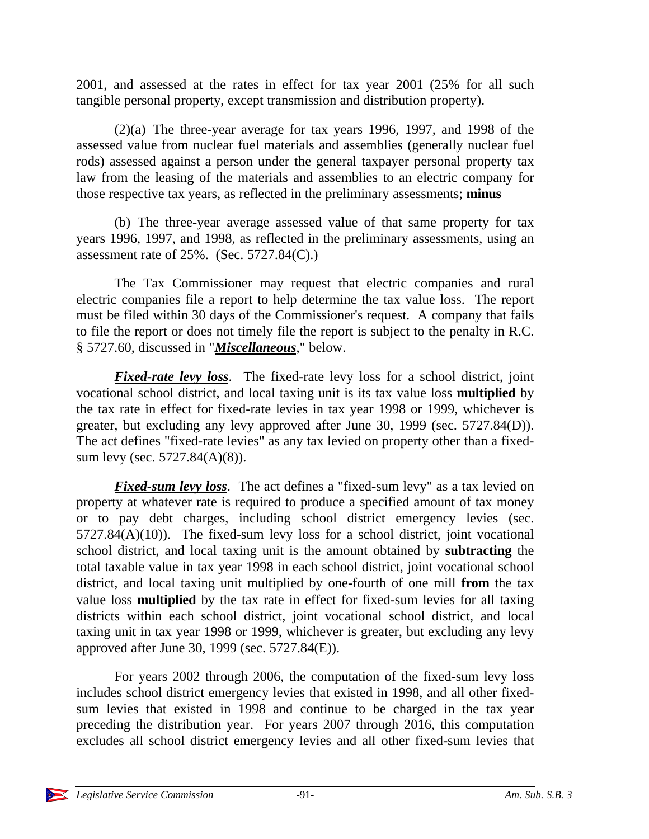2001, and assessed at the rates in effect for tax year 2001 (25% for all such tangible personal property, except transmission and distribution property).

(2)(a) The three-year average for tax years 1996, 1997, and 1998 of the assessed value from nuclear fuel materials and assemblies (generally nuclear fuel rods) assessed against a person under the general taxpayer personal property tax law from the leasing of the materials and assemblies to an electric company for those respective tax years, as reflected in the preliminary assessments; **minus**

(b) The three-year average assessed value of that same property for tax years 1996, 1997, and 1998, as reflected in the preliminary assessments, using an assessment rate of  $25\%$ . (Sec. 5727.84(C).)

The Tax Commissioner may request that electric companies and rural electric companies file a report to help determine the tax value loss. The report must be filed within 30 days of the Commissioner's request. A company that fails to file the report or does not timely file the report is subject to the penalty in R.C. § 5727.60, discussed in "*Miscellaneous*," below.

*Fixed-rate levy loss*. The fixed-rate levy loss for a school district, joint vocational school district, and local taxing unit is its tax value loss **multiplied** by the tax rate in effect for fixed-rate levies in tax year 1998 or 1999, whichever is greater, but excluding any levy approved after June 30, 1999 (sec. 5727.84(D)). The act defines "fixed-rate levies" as any tax levied on property other than a fixedsum levy (sec. 5727.84(A)(8)).

*Fixed-sum levy loss*. The act defines a "fixed-sum levy" as a tax levied on property at whatever rate is required to produce a specified amount of tax money or to pay debt charges, including school district emergency levies (sec.  $5727.84(A)(10)$ . The fixed-sum levy loss for a school district, joint vocational school district, and local taxing unit is the amount obtained by **subtracting** the total taxable value in tax year 1998 in each school district, joint vocational school district, and local taxing unit multiplied by one-fourth of one mill **from** the tax value loss **multiplied** by the tax rate in effect for fixed-sum levies for all taxing districts within each school district, joint vocational school district, and local taxing unit in tax year 1998 or 1999, whichever is greater, but excluding any levy approved after June 30, 1999 (sec. 5727.84(E)).

For years 2002 through 2006, the computation of the fixed-sum levy loss includes school district emergency levies that existed in 1998, and all other fixedsum levies that existed in 1998 and continue to be charged in the tax year preceding the distribution year. For years 2007 through 2016, this computation excludes all school district emergency levies and all other fixed-sum levies that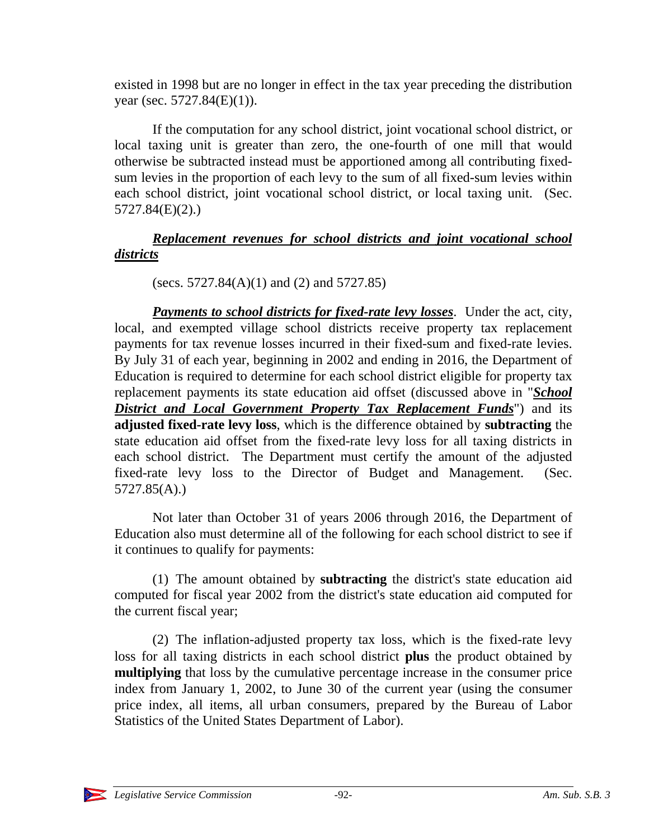existed in 1998 but are no longer in effect in the tax year preceding the distribution year (sec.  $5727.84(E)(1)$ ).

If the computation for any school district, joint vocational school district, or local taxing unit is greater than zero, the one-fourth of one mill that would otherwise be subtracted instead must be apportioned among all contributing fixedsum levies in the proportion of each levy to the sum of all fixed-sum levies within each school district, joint vocational school district, or local taxing unit. (Sec. 5727.84(E)(2).)

### *Replacement revenues for school districts and joint vocational school districts*

(secs. 5727.84(A)(1) and (2) and 5727.85)

*Payments to school districts for fixed-rate levy losses*. Under the act, city, local, and exempted village school districts receive property tax replacement payments for tax revenue losses incurred in their fixed-sum and fixed-rate levies. By July 31 of each year, beginning in 2002 and ending in 2016, the Department of Education is required to determine for each school district eligible for property tax replacement payments its state education aid offset (discussed above in "*School District and Local Government Property Tax Replacement Funds*") and its **adjusted fixed-rate levy loss**, which is the difference obtained by **subtracting** the state education aid offset from the fixed-rate levy loss for all taxing districts in each school district. The Department must certify the amount of the adjusted fixed-rate levy loss to the Director of Budget and Management. (Sec. 5727.85(A).)

Not later than October 31 of years 2006 through 2016, the Department of Education also must determine all of the following for each school district to see if it continues to qualify for payments:

(1) The amount obtained by **subtracting** the district's state education aid computed for fiscal year 2002 from the district's state education aid computed for the current fiscal year;

(2) The inflation-adjusted property tax loss, which is the fixed-rate levy loss for all taxing districts in each school district **plus** the product obtained by **multiplying** that loss by the cumulative percentage increase in the consumer price index from January 1, 2002, to June 30 of the current year (using the consumer price index, all items, all urban consumers, prepared by the Bureau of Labor Statistics of the United States Department of Labor).

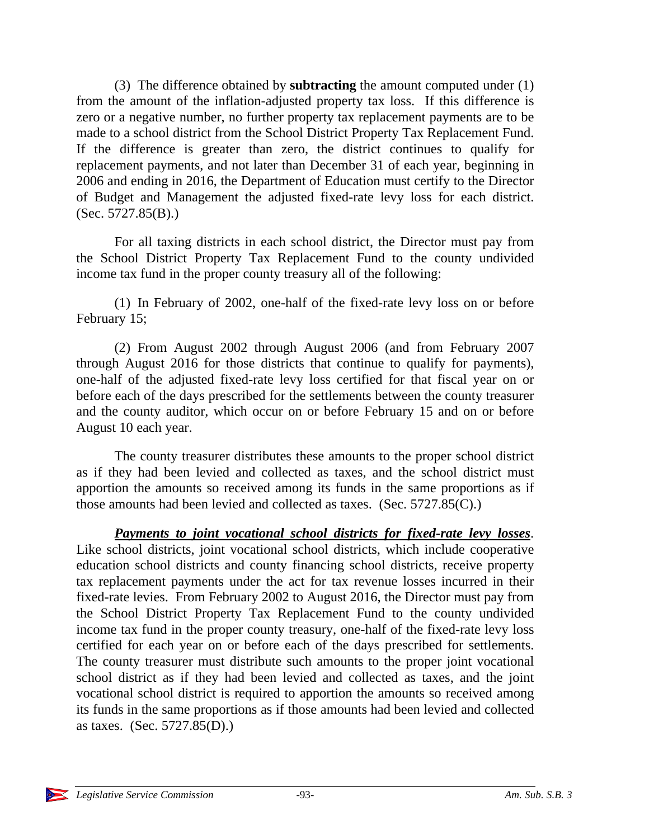(3) The difference obtained by **subtracting** the amount computed under (1) from the amount of the inflation-adjusted property tax loss. If this difference is zero or a negative number, no further property tax replacement payments are to be made to a school district from the School District Property Tax Replacement Fund. If the difference is greater than zero, the district continues to qualify for replacement payments, and not later than December 31 of each year, beginning in 2006 and ending in 2016, the Department of Education must certify to the Director of Budget and Management the adjusted fixed-rate levy loss for each district.  $(Sec. 5727.85(B))$ .

For all taxing districts in each school district, the Director must pay from the School District Property Tax Replacement Fund to the county undivided income tax fund in the proper county treasury all of the following:

(1) In February of 2002, one-half of the fixed-rate levy loss on or before February 15;

(2) From August 2002 through August 2006 (and from February 2007 through August 2016 for those districts that continue to qualify for payments), one-half of the adjusted fixed-rate levy loss certified for that fiscal year on or before each of the days prescribed for the settlements between the county treasurer and the county auditor, which occur on or before February 15 and on or before August 10 each year.

The county treasurer distributes these amounts to the proper school district as if they had been levied and collected as taxes, and the school district must apportion the amounts so received among its funds in the same proportions as if those amounts had been levied and collected as taxes. (Sec. 5727.85(C).)

*Payments to joint vocational school districts for fixed-rate levy losses*. Like school districts, joint vocational school districts, which include cooperative education school districts and county financing school districts, receive property tax replacement payments under the act for tax revenue losses incurred in their fixed-rate levies. From February 2002 to August 2016, the Director must pay from the School District Property Tax Replacement Fund to the county undivided income tax fund in the proper county treasury, one-half of the fixed-rate levy loss certified for each year on or before each of the days prescribed for settlements. The county treasurer must distribute such amounts to the proper joint vocational school district as if they had been levied and collected as taxes, and the joint vocational school district is required to apportion the amounts so received among its funds in the same proportions as if those amounts had been levied and collected as taxes. (Sec. 5727.85(D).)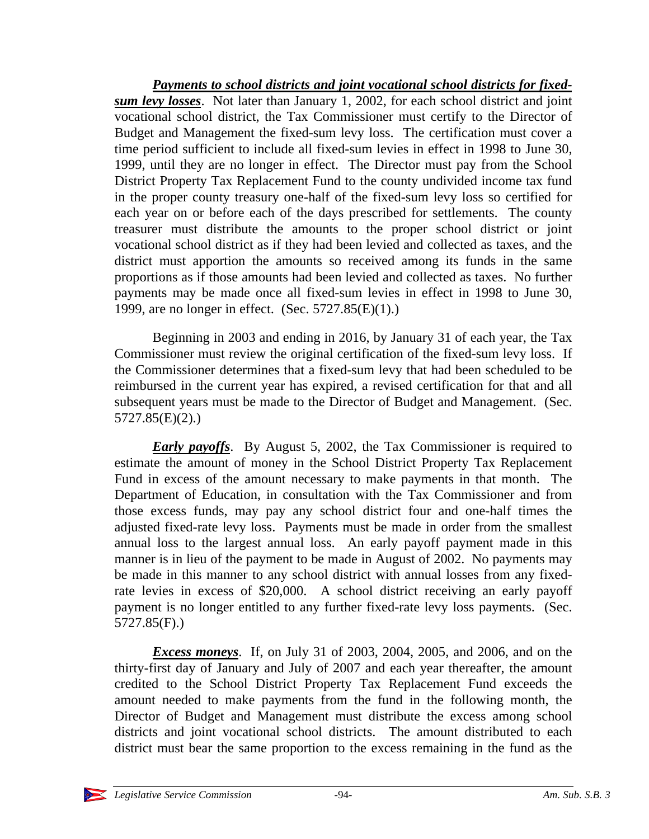*Payments to school districts and joint vocational school districts for fixedsum levy losses*. Not later than January 1, 2002, for each school district and joint vocational school district, the Tax Commissioner must certify to the Director of Budget and Management the fixed-sum levy loss. The certification must cover a time period sufficient to include all fixed-sum levies in effect in 1998 to June 30, 1999, until they are no longer in effect. The Director must pay from the School District Property Tax Replacement Fund to the county undivided income tax fund in the proper county treasury one-half of the fixed-sum levy loss so certified for each year on or before each of the days prescribed for settlements. The county treasurer must distribute the amounts to the proper school district or joint vocational school district as if they had been levied and collected as taxes, and the district must apportion the amounts so received among its funds in the same proportions as if those amounts had been levied and collected as taxes. No further payments may be made once all fixed-sum levies in effect in 1998 to June 30, 1999, are no longer in effect. (Sec. 5727.85(E)(1).)

Beginning in 2003 and ending in 2016, by January 31 of each year, the Tax Commissioner must review the original certification of the fixed-sum levy loss. If the Commissioner determines that a fixed-sum levy that had been scheduled to be reimbursed in the current year has expired, a revised certification for that and all subsequent years must be made to the Director of Budget and Management. (Sec. 5727.85(E)(2).)

*Early payoffs*. By August 5, 2002, the Tax Commissioner is required to estimate the amount of money in the School District Property Tax Replacement Fund in excess of the amount necessary to make payments in that month. The Department of Education, in consultation with the Tax Commissioner and from those excess funds, may pay any school district four and one-half times the adjusted fixed-rate levy loss. Payments must be made in order from the smallest annual loss to the largest annual loss. An early payoff payment made in this manner is in lieu of the payment to be made in August of 2002. No payments may be made in this manner to any school district with annual losses from any fixedrate levies in excess of \$20,000. A school district receiving an early payoff payment is no longer entitled to any further fixed-rate levy loss payments. (Sec. 5727.85(F).)

*Excess moneys*. If, on July 31 of 2003, 2004, 2005, and 2006, and on the thirty-first day of January and July of 2007 and each year thereafter, the amount credited to the School District Property Tax Replacement Fund exceeds the amount needed to make payments from the fund in the following month, the Director of Budget and Management must distribute the excess among school districts and joint vocational school districts. The amount distributed to each district must bear the same proportion to the excess remaining in the fund as the

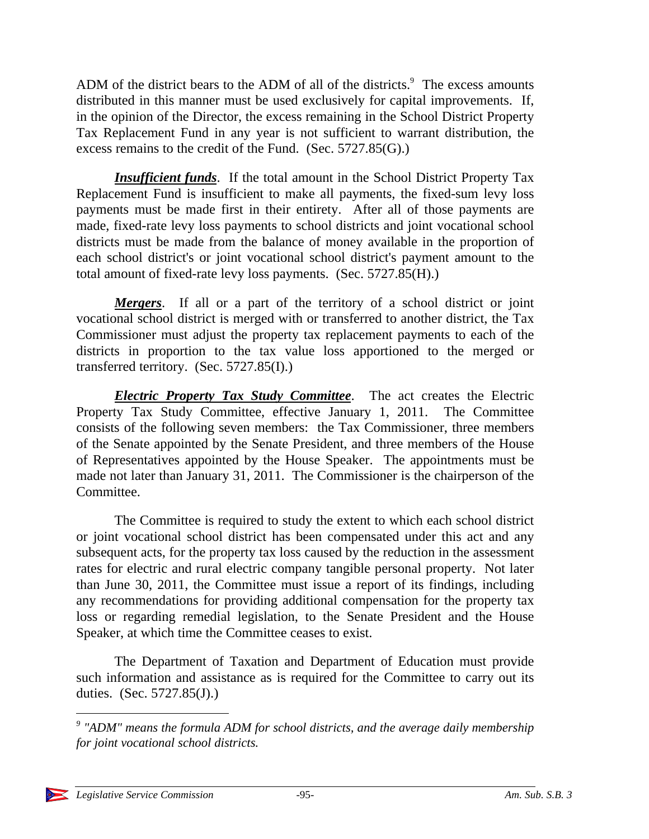ADM of the district bears to the ADM of all of the districts. $9$  The excess amounts distributed in this manner must be used exclusively for capital improvements. If, in the opinion of the Director, the excess remaining in the School District Property Tax Replacement Fund in any year is not sufficient to warrant distribution, the excess remains to the credit of the Fund. (Sec. 5727.85(G).)

*Insufficient funds*. If the total amount in the School District Property Tax Replacement Fund is insufficient to make all payments, the fixed-sum levy loss payments must be made first in their entirety. After all of those payments are made, fixed-rate levy loss payments to school districts and joint vocational school districts must be made from the balance of money available in the proportion of each school district's or joint vocational school district's payment amount to the total amount of fixed-rate levy loss payments. (Sec. 5727.85(H).)

*Mergers*. If all or a part of the territory of a school district or joint vocational school district is merged with or transferred to another district, the Tax Commissioner must adjust the property tax replacement payments to each of the districts in proportion to the tax value loss apportioned to the merged or transferred territory. (Sec. 5727.85(I).)

*Electric Property Tax Study Committee*. The act creates the Electric Property Tax Study Committee, effective January 1, 2011. The Committee consists of the following seven members: the Tax Commissioner, three members of the Senate appointed by the Senate President, and three members of the House of Representatives appointed by the House Speaker. The appointments must be made not later than January 31, 2011. The Commissioner is the chairperson of the Committee.

The Committee is required to study the extent to which each school district or joint vocational school district has been compensated under this act and any subsequent acts, for the property tax loss caused by the reduction in the assessment rates for electric and rural electric company tangible personal property. Not later than June 30, 2011, the Committee must issue a report of its findings, including any recommendations for providing additional compensation for the property tax loss or regarding remedial legislation, to the Senate President and the House Speaker, at which time the Committee ceases to exist.

The Department of Taxation and Department of Education must provide such information and assistance as is required for the Committee to carry out its duties. (Sec. 5727.85(J).)

 $\overline{a}$ 

<sup>&</sup>lt;sup>9</sup> "ADM" means the formula ADM for school districts, and the average daily membership *for joint vocational school districts.*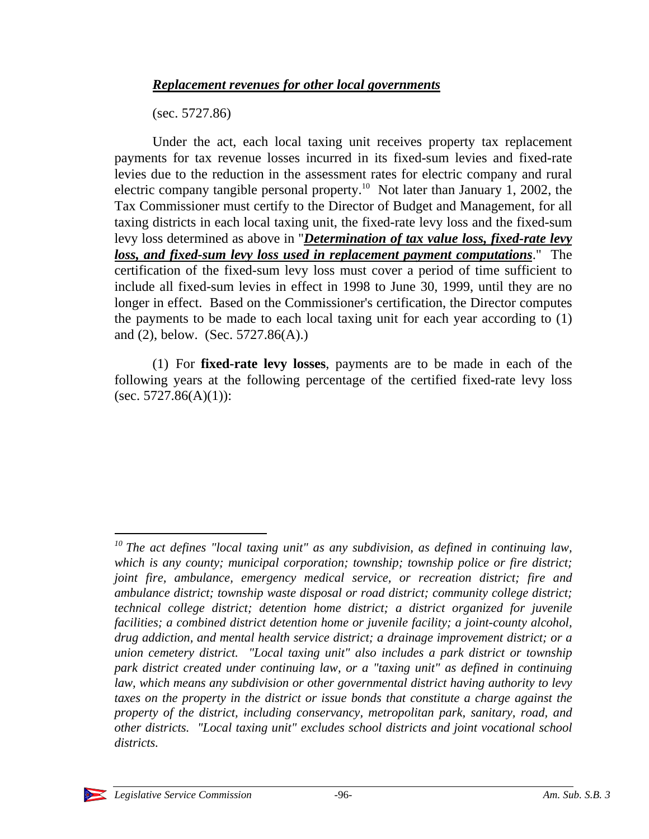(sec. 5727.86)

Under the act, each local taxing unit receives property tax replacement payments for tax revenue losses incurred in its fixed-sum levies and fixed-rate levies due to the reduction in the assessment rates for electric company and rural electric company tangible personal property.<sup>10</sup> Not later than January 1, 2002, the Tax Commissioner must certify to the Director of Budget and Management, for all taxing districts in each local taxing unit, the fixed-rate levy loss and the fixed-sum levy loss determined as above in "*Determination of tax value loss, fixed-rate levy loss, and fixed-sum levy loss used in replacement payment computations*." The certification of the fixed-sum levy loss must cover a period of time sufficient to include all fixed-sum levies in effect in 1998 to June 30, 1999, until they are no longer in effect. Based on the Commissioner's certification, the Director computes the payments to be made to each local taxing unit for each year according to (1) and (2), below. (Sec. 5727.86(A).)

(1) For **fixed-rate levy losses**, payments are to be made in each of the following years at the following percentage of the certified fixed-rate levy loss (sec. 5727.86 $(A)(1)$ ):

 $\overline{a}$ 

*<sup>10</sup> The act defines "local taxing unit" as any subdivision, as defined in continuing law, which is any county; municipal corporation; township; township police or fire district; joint fire, ambulance, emergency medical service, or recreation district; fire and ambulance district; township waste disposal or road district; community college district; technical college district; detention home district; a district organized for juvenile facilities; a combined district detention home or juvenile facility; a joint-county alcohol, drug addiction, and mental health service district; a drainage improvement district; or a union cemetery district. "Local taxing unit" also includes a park district or township park district created under continuing law, or a "taxing unit" as defined in continuing law, which means any subdivision or other governmental district having authority to levy taxes on the property in the district or issue bonds that constitute a charge against the property of the district, including conservancy, metropolitan park, sanitary, road, and other districts. "Local taxing unit" excludes school districts and joint vocational school districts.*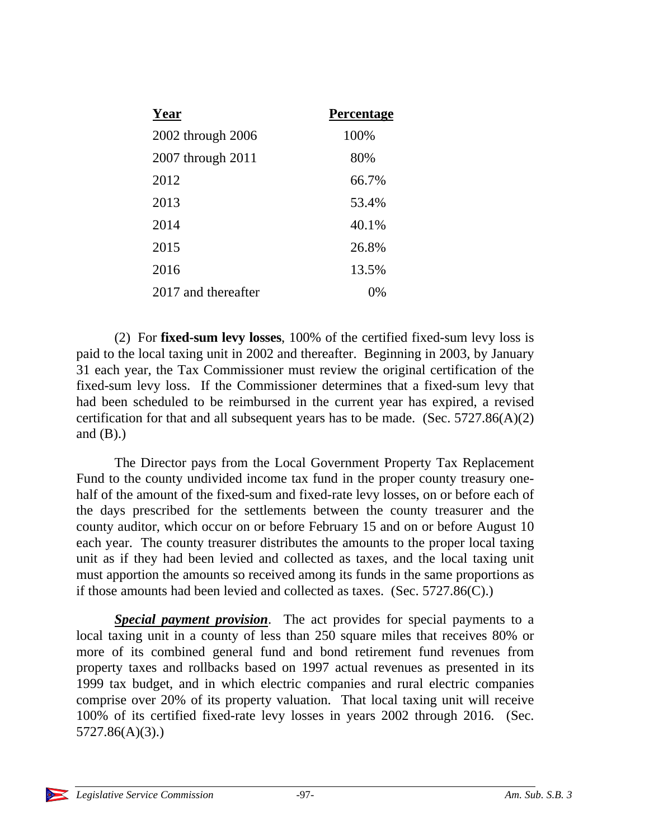| Year                | <b>Percentage</b> |
|---------------------|-------------------|
| 2002 through 2006   | 100%              |
| 2007 through 2011   | 80%               |
| 2012                | 66.7%             |
| 2013                | 53.4%             |
| 2014                | 40.1%             |
| 2015                | 26.8%             |
| 2016                | 13.5%             |
| 2017 and thereafter | $^{196}$          |

(2) For **fixed-sum levy losses**, 100% of the certified fixed-sum levy loss is paid to the local taxing unit in 2002 and thereafter. Beginning in 2003, by January 31 each year, the Tax Commissioner must review the original certification of the fixed-sum levy loss. If the Commissioner determines that a fixed-sum levy that had been scheduled to be reimbursed in the current year has expired, a revised certification for that and all subsequent years has to be made. (Sec.  $5727.86(A)(2)$ ) and  $(B)$ .)

The Director pays from the Local Government Property Tax Replacement Fund to the county undivided income tax fund in the proper county treasury onehalf of the amount of the fixed-sum and fixed-rate levy losses, on or before each of the days prescribed for the settlements between the county treasurer and the county auditor, which occur on or before February 15 and on or before August 10 each year. The county treasurer distributes the amounts to the proper local taxing unit as if they had been levied and collected as taxes, and the local taxing unit must apportion the amounts so received among its funds in the same proportions as if those amounts had been levied and collected as taxes. (Sec. 5727.86(C).)

*Special payment provision*. The act provides for special payments to a local taxing unit in a county of less than 250 square miles that receives 80% or more of its combined general fund and bond retirement fund revenues from property taxes and rollbacks based on 1997 actual revenues as presented in its 1999 tax budget, and in which electric companies and rural electric companies comprise over 20% of its property valuation. That local taxing unit will receive 100% of its certified fixed-rate levy losses in years 2002 through 2016. (Sec. 5727.86(A)(3).)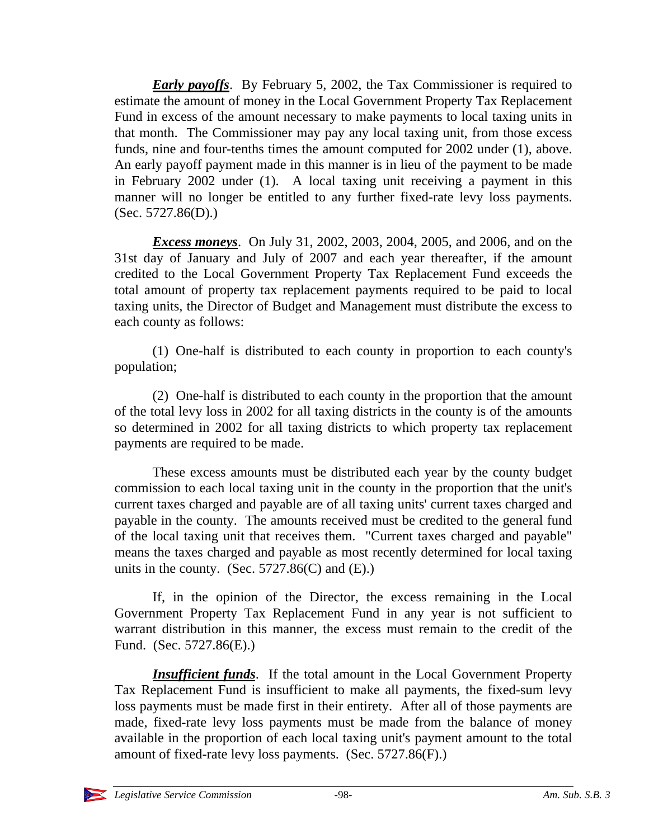*Early payoffs*. By February 5, 2002, the Tax Commissioner is required to estimate the amount of money in the Local Government Property Tax Replacement Fund in excess of the amount necessary to make payments to local taxing units in that month. The Commissioner may pay any local taxing unit, from those excess funds, nine and four-tenths times the amount computed for 2002 under (1), above. An early payoff payment made in this manner is in lieu of the payment to be made in February 2002 under (1). A local taxing unit receiving a payment in this manner will no longer be entitled to any further fixed-rate levy loss payments.  $(Sec. 5727.86(D))$ .

*Excess moneys*. On July 31, 2002, 2003, 2004, 2005, and 2006, and on the 31st day of January and July of 2007 and each year thereafter, if the amount credited to the Local Government Property Tax Replacement Fund exceeds the total amount of property tax replacement payments required to be paid to local taxing units, the Director of Budget and Management must distribute the excess to each county as follows:

(1) One-half is distributed to each county in proportion to each county's population;

(2) One-half is distributed to each county in the proportion that the amount of the total levy loss in 2002 for all taxing districts in the county is of the amounts so determined in 2002 for all taxing districts to which property tax replacement payments are required to be made.

These excess amounts must be distributed each year by the county budget commission to each local taxing unit in the county in the proportion that the unit's current taxes charged and payable are of all taxing units' current taxes charged and payable in the county. The amounts received must be credited to the general fund of the local taxing unit that receives them. "Current taxes charged and payable" means the taxes charged and payable as most recently determined for local taxing units in the county. (Sec.  $5727.86(C)$  and  $(E)$ .)

If, in the opinion of the Director, the excess remaining in the Local Government Property Tax Replacement Fund in any year is not sufficient to warrant distribution in this manner, the excess must remain to the credit of the Fund. (Sec. 5727.86(E).)

*Insufficient funds*. If the total amount in the Local Government Property Tax Replacement Fund is insufficient to make all payments, the fixed-sum levy loss payments must be made first in their entirety. After all of those payments are made, fixed-rate levy loss payments must be made from the balance of money available in the proportion of each local taxing unit's payment amount to the total amount of fixed-rate levy loss payments. (Sec. 5727.86(F).)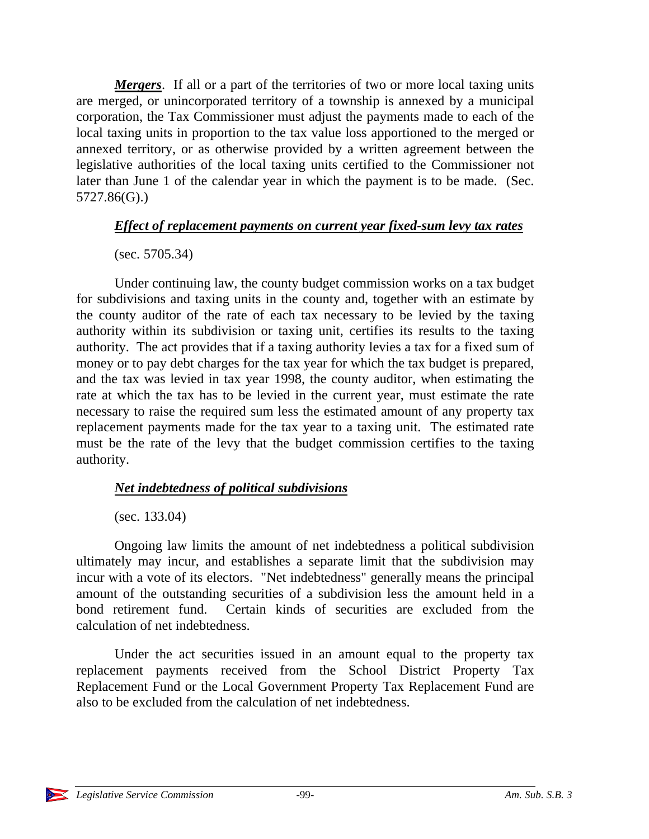*Mergers*. If all or a part of the territories of two or more local taxing units are merged, or unincorporated territory of a township is annexed by a municipal corporation, the Tax Commissioner must adjust the payments made to each of the local taxing units in proportion to the tax value loss apportioned to the merged or annexed territory, or as otherwise provided by a written agreement between the legislative authorities of the local taxing units certified to the Commissioner not later than June 1 of the calendar year in which the payment is to be made. (Sec. 5727.86(G).)

### *Effect of replacement payments on current year fixed-sum levy tax rates*

#### (sec. 5705.34)

Under continuing law, the county budget commission works on a tax budget for subdivisions and taxing units in the county and, together with an estimate by the county auditor of the rate of each tax necessary to be levied by the taxing authority within its subdivision or taxing unit, certifies its results to the taxing authority. The act provides that if a taxing authority levies a tax for a fixed sum of money or to pay debt charges for the tax year for which the tax budget is prepared, and the tax was levied in tax year 1998, the county auditor, when estimating the rate at which the tax has to be levied in the current year, must estimate the rate necessary to raise the required sum less the estimated amount of any property tax replacement payments made for the tax year to a taxing unit. The estimated rate must be the rate of the levy that the budget commission certifies to the taxing authority.

### *Net indebtedness of political subdivisions*

### (sec. 133.04)

Ongoing law limits the amount of net indebtedness a political subdivision ultimately may incur, and establishes a separate limit that the subdivision may incur with a vote of its electors. "Net indebtedness" generally means the principal amount of the outstanding securities of a subdivision less the amount held in a bond retirement fund. Certain kinds of securities are excluded from the calculation of net indebtedness.

Under the act securities issued in an amount equal to the property tax replacement payments received from the School District Property Tax Replacement Fund or the Local Government Property Tax Replacement Fund are also to be excluded from the calculation of net indebtedness.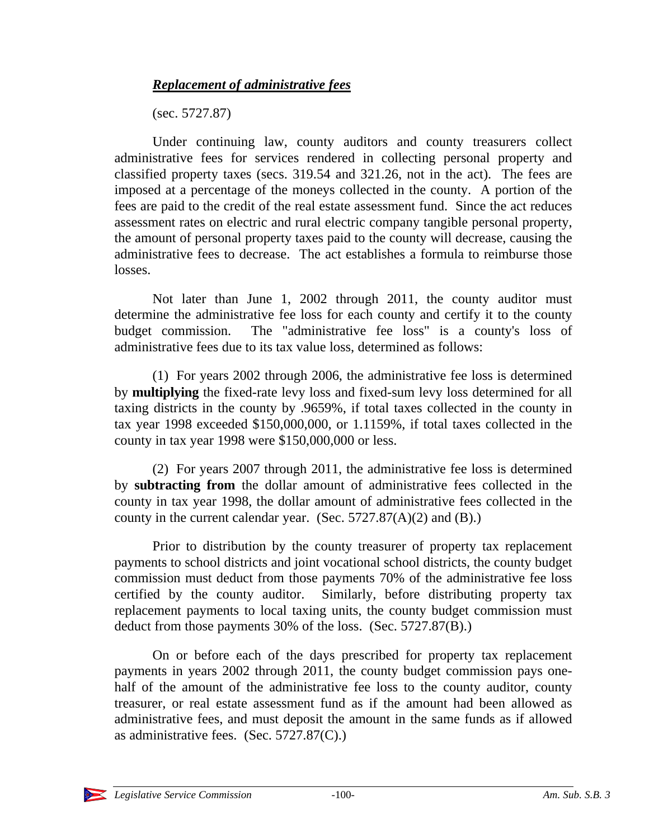### *Replacement of administrative fees*

(sec. 5727.87)

Under continuing law, county auditors and county treasurers collect administrative fees for services rendered in collecting personal property and classified property taxes (secs. 319.54 and 321.26, not in the act). The fees are imposed at a percentage of the moneys collected in the county. A portion of the fees are paid to the credit of the real estate assessment fund. Since the act reduces assessment rates on electric and rural electric company tangible personal property, the amount of personal property taxes paid to the county will decrease, causing the administrative fees to decrease. The act establishes a formula to reimburse those losses.

Not later than June 1, 2002 through 2011, the county auditor must determine the administrative fee loss for each county and certify it to the county budget commission. The "administrative fee loss" is a county's loss of administrative fees due to its tax value loss, determined as follows:

(1) For years 2002 through 2006, the administrative fee loss is determined by **multiplying** the fixed-rate levy loss and fixed-sum levy loss determined for all taxing districts in the county by .9659%, if total taxes collected in the county in tax year 1998 exceeded \$150,000,000, or 1.1159%, if total taxes collected in the county in tax year 1998 were \$150,000,000 or less.

(2) For years 2007 through 2011, the administrative fee loss is determined by **subtracting from** the dollar amount of administrative fees collected in the county in tax year 1998, the dollar amount of administrative fees collected in the county in the current calendar year. (Sec.  $5727.87(A)(2)$  and (B).)

Prior to distribution by the county treasurer of property tax replacement payments to school districts and joint vocational school districts, the county budget commission must deduct from those payments 70% of the administrative fee loss certified by the county auditor. Similarly, before distributing property tax replacement payments to local taxing units, the county budget commission must deduct from those payments 30% of the loss. (Sec. 5727.87(B).)

On or before each of the days prescribed for property tax replacement payments in years 2002 through 2011, the county budget commission pays onehalf of the amount of the administrative fee loss to the county auditor, county treasurer, or real estate assessment fund as if the amount had been allowed as administrative fees, and must deposit the amount in the same funds as if allowed as administrative fees. (Sec. 5727.87(C).)

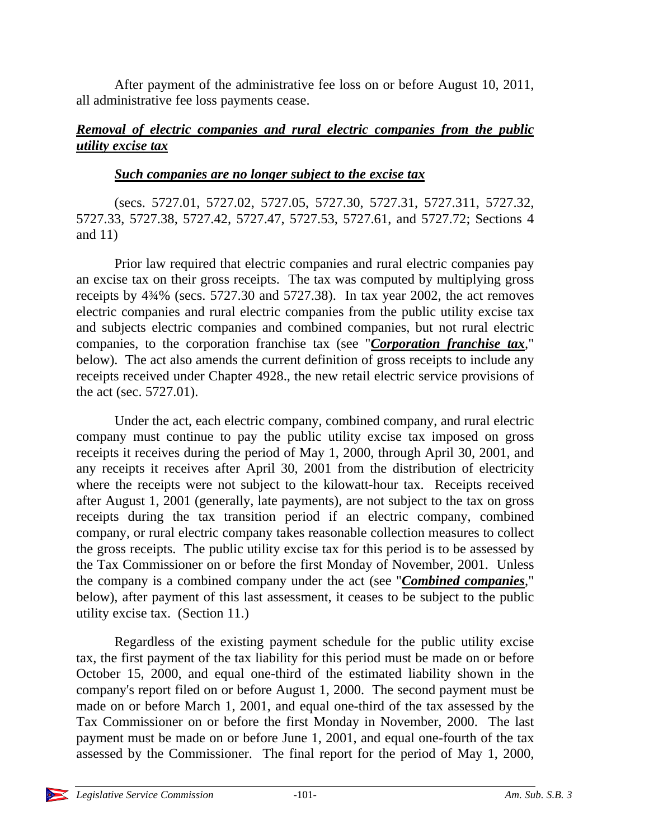After payment of the administrative fee loss on or before August 10, 2011, all administrative fee loss payments cease.

### *Removal of electric companies and rural electric companies from the public utility excise tax*

#### *Such companies are no longer subject to the excise tax*

(secs. 5727.01, 5727.02, 5727.05, 5727.30, 5727.31, 5727.311, 5727.32, 5727.33, 5727.38, 5727.42, 5727.47, 5727.53, 5727.61, and 5727.72; Sections 4 and 11)

Prior law required that electric companies and rural electric companies pay an excise tax on their gross receipts. The tax was computed by multiplying gross receipts by 4¾% (secs. 5727.30 and 5727.38). In tax year 2002, the act removes electric companies and rural electric companies from the public utility excise tax and subjects electric companies and combined companies, but not rural electric companies, to the corporation franchise tax (see "*Corporation franchise tax*," below). The act also amends the current definition of gross receipts to include any receipts received under Chapter 4928., the new retail electric service provisions of the act (sec. 5727.01).

Under the act, each electric company, combined company, and rural electric company must continue to pay the public utility excise tax imposed on gross receipts it receives during the period of May 1, 2000, through April 30, 2001, and any receipts it receives after April 30, 2001 from the distribution of electricity where the receipts were not subject to the kilowatt-hour tax. Receipts received after August 1, 2001 (generally, late payments), are not subject to the tax on gross receipts during the tax transition period if an electric company, combined company, or rural electric company takes reasonable collection measures to collect the gross receipts. The public utility excise tax for this period is to be assessed by the Tax Commissioner on or before the first Monday of November, 2001. Unless the company is a combined company under the act (see "*Combined companies*," below), after payment of this last assessment, it ceases to be subject to the public utility excise tax. (Section 11.)

Regardless of the existing payment schedule for the public utility excise tax, the first payment of the tax liability for this period must be made on or before October 15, 2000, and equal one-third of the estimated liability shown in the company's report filed on or before August 1, 2000. The second payment must be made on or before March 1, 2001, and equal one-third of the tax assessed by the Tax Commissioner on or before the first Monday in November, 2000. The last payment must be made on or before June 1, 2001, and equal one-fourth of the tax assessed by the Commissioner. The final report for the period of May 1, 2000,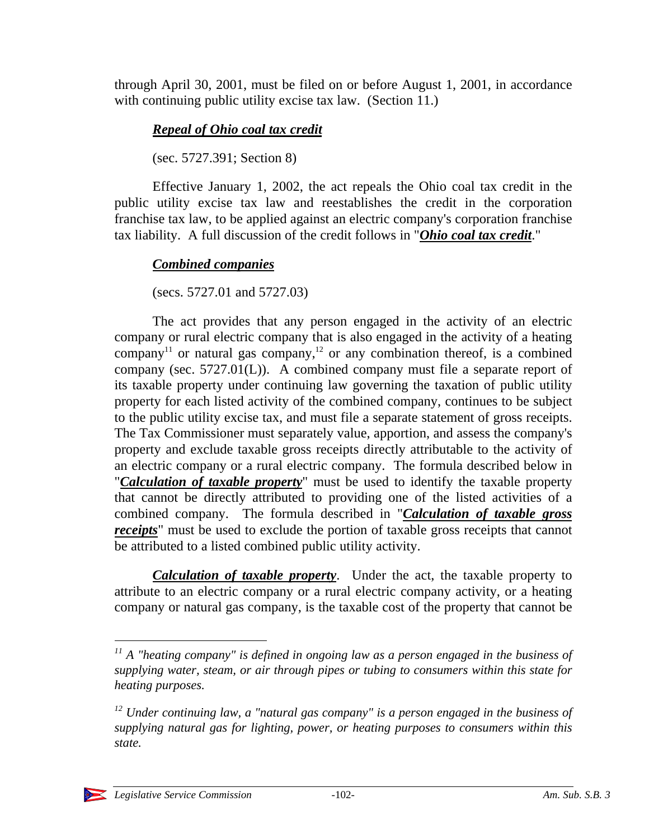through April 30, 2001, must be filed on or before August 1, 2001, in accordance with continuing public utility excise tax law. (Section 11.)

## *Repeal of Ohio coal tax credit*

(sec. 5727.391; Section 8)

Effective January 1, 2002, the act repeals the Ohio coal tax credit in the public utility excise tax law and reestablishes the credit in the corporation franchise tax law, to be applied against an electric company's corporation franchise tax liability. A full discussion of the credit follows in "*Ohio coal tax credit*."

## *Combined companies*

(secs. 5727.01 and 5727.03)

The act provides that any person engaged in the activity of an electric company or rural electric company that is also engaged in the activity of a heating company<sup>11</sup> or natural gas company,<sup>12</sup> or any combination thereof, is a combined company (sec. 5727.01(L)). A combined company must file a separate report of its taxable property under continuing law governing the taxation of public utility property for each listed activity of the combined company, continues to be subject to the public utility excise tax, and must file a separate statement of gross receipts. The Tax Commissioner must separately value, apportion, and assess the company's property and exclude taxable gross receipts directly attributable to the activity of an electric company or a rural electric company. The formula described below in "*Calculation of taxable property*" must be used to identify the taxable property that cannot be directly attributed to providing one of the listed activities of a combined company. The formula described in "*Calculation of taxable gross receipts*" must be used to exclude the portion of taxable gross receipts that cannot be attributed to a listed combined public utility activity.

*Calculation of taxable property*. Under the act, the taxable property to attribute to an electric company or a rural electric company activity, or a heating company or natural gas company, is the taxable cost of the property that cannot be

 $\overline{a}$ 

*<sup>11</sup> A "heating company" is defined in ongoing law as a person engaged in the business of supplying water, steam, or air through pipes or tubing to consumers within this state for heating purposes.*

*<sup>12</sup> Under continuing law, a "natural gas company" is a person engaged in the business of supplying natural gas for lighting, power, or heating purposes to consumers within this state.*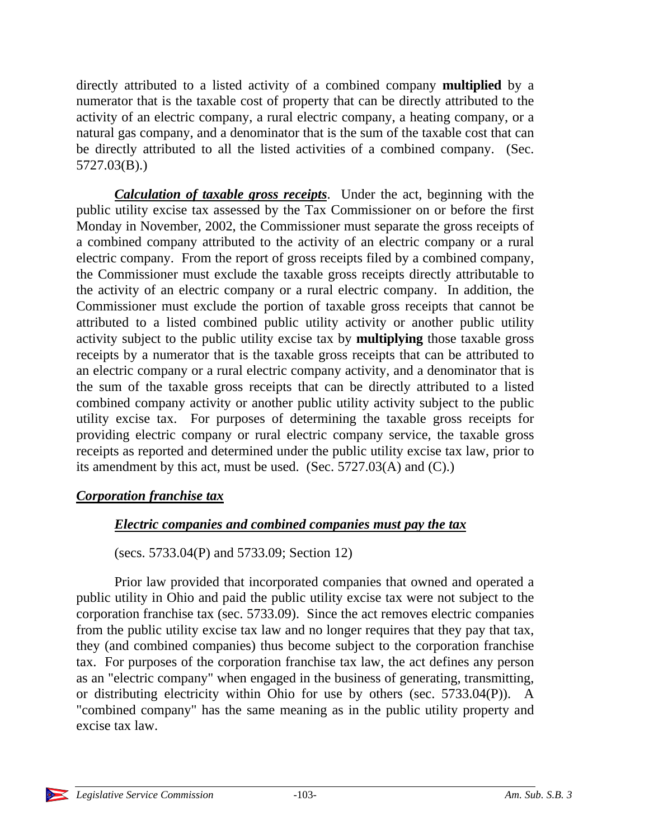directly attributed to a listed activity of a combined company **multiplied** by a numerator that is the taxable cost of property that can be directly attributed to the activity of an electric company, a rural electric company, a heating company, or a natural gas company, and a denominator that is the sum of the taxable cost that can be directly attributed to all the listed activities of a combined company. (Sec. 5727.03(B).)

*Calculation of taxable gross receipts*. Under the act, beginning with the public utility excise tax assessed by the Tax Commissioner on or before the first Monday in November, 2002, the Commissioner must separate the gross receipts of a combined company attributed to the activity of an electric company or a rural electric company. From the report of gross receipts filed by a combined company, the Commissioner must exclude the taxable gross receipts directly attributable to the activity of an electric company or a rural electric company. In addition, the Commissioner must exclude the portion of taxable gross receipts that cannot be attributed to a listed combined public utility activity or another public utility activity subject to the public utility excise tax by **multiplying** those taxable gross receipts by a numerator that is the taxable gross receipts that can be attributed to an electric company or a rural electric company activity, and a denominator that is the sum of the taxable gross receipts that can be directly attributed to a listed combined company activity or another public utility activity subject to the public utility excise tax. For purposes of determining the taxable gross receipts for providing electric company or rural electric company service, the taxable gross receipts as reported and determined under the public utility excise tax law, prior to its amendment by this act, must be used. (Sec. 5727.03(A) and (C).)

### *Corporation franchise tax*

### *Electric companies and combined companies must pay the tax*

(secs. 5733.04(P) and 5733.09; Section 12)

Prior law provided that incorporated companies that owned and operated a public utility in Ohio and paid the public utility excise tax were not subject to the corporation franchise tax (sec. 5733.09). Since the act removes electric companies from the public utility excise tax law and no longer requires that they pay that tax, they (and combined companies) thus become subject to the corporation franchise tax. For purposes of the corporation franchise tax law, the act defines any person as an "electric company" when engaged in the business of generating, transmitting, or distributing electricity within Ohio for use by others (sec. 5733.04(P)). A "combined company" has the same meaning as in the public utility property and excise tax law.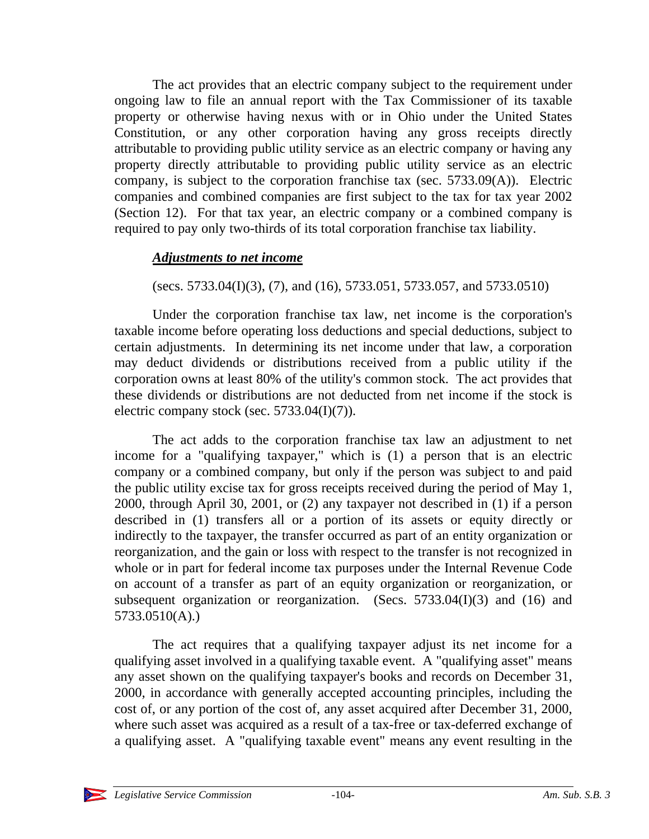The act provides that an electric company subject to the requirement under ongoing law to file an annual report with the Tax Commissioner of its taxable property or otherwise having nexus with or in Ohio under the United States Constitution, or any other corporation having any gross receipts directly attributable to providing public utility service as an electric company or having any property directly attributable to providing public utility service as an electric company, is subject to the corporation franchise tax (sec. 5733.09(A)). Electric companies and combined companies are first subject to the tax for tax year 2002 (Section 12). For that tax year, an electric company or a combined company is required to pay only two-thirds of its total corporation franchise tax liability.

### *Adjustments to net income*

(secs. 5733.04(I)(3), (7), and (16), 5733.051, 5733.057, and 5733.0510)

Under the corporation franchise tax law, net income is the corporation's taxable income before operating loss deductions and special deductions, subject to certain adjustments. In determining its net income under that law, a corporation may deduct dividends or distributions received from a public utility if the corporation owns at least 80% of the utility's common stock. The act provides that these dividends or distributions are not deducted from net income if the stock is electric company stock (sec.  $5733.04(I)(7)$ ).

The act adds to the corporation franchise tax law an adjustment to net income for a "qualifying taxpayer," which is (1) a person that is an electric company or a combined company, but only if the person was subject to and paid the public utility excise tax for gross receipts received during the period of May 1, 2000, through April 30, 2001, or (2) any taxpayer not described in (1) if a person described in (1) transfers all or a portion of its assets or equity directly or indirectly to the taxpayer, the transfer occurred as part of an entity organization or reorganization, and the gain or loss with respect to the transfer is not recognized in whole or in part for federal income tax purposes under the Internal Revenue Code on account of a transfer as part of an equity organization or reorganization, or subsequent organization or reorganization. (Secs.  $5733.04(I)(3)$  and  $(16)$  and 5733.0510(A).)

The act requires that a qualifying taxpayer adjust its net income for a qualifying asset involved in a qualifying taxable event. A "qualifying asset" means any asset shown on the qualifying taxpayer's books and records on December 31, 2000, in accordance with generally accepted accounting principles, including the cost of, or any portion of the cost of, any asset acquired after December 31, 2000, where such asset was acquired as a result of a tax-free or tax-deferred exchange of a qualifying asset. A "qualifying taxable event" means any event resulting in the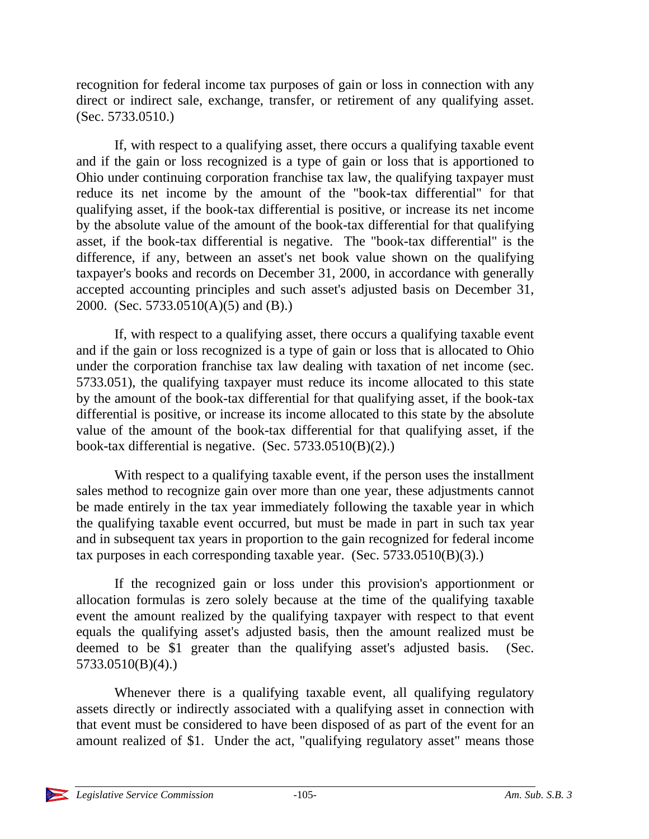recognition for federal income tax purposes of gain or loss in connection with any direct or indirect sale, exchange, transfer, or retirement of any qualifying asset. (Sec. 5733.0510.)

If, with respect to a qualifying asset, there occurs a qualifying taxable event and if the gain or loss recognized is a type of gain or loss that is apportioned to Ohio under continuing corporation franchise tax law, the qualifying taxpayer must reduce its net income by the amount of the "book-tax differential" for that qualifying asset, if the book-tax differential is positive, or increase its net income by the absolute value of the amount of the book-tax differential for that qualifying asset, if the book-tax differential is negative. The "book-tax differential" is the difference, if any, between an asset's net book value shown on the qualifying taxpayer's books and records on December 31, 2000, in accordance with generally accepted accounting principles and such asset's adjusted basis on December 31, 2000. (Sec. 5733.0510(A)(5) and (B).)

If, with respect to a qualifying asset, there occurs a qualifying taxable event and if the gain or loss recognized is a type of gain or loss that is allocated to Ohio under the corporation franchise tax law dealing with taxation of net income (sec. 5733.051), the qualifying taxpayer must reduce its income allocated to this state by the amount of the book-tax differential for that qualifying asset, if the book-tax differential is positive, or increase its income allocated to this state by the absolute value of the amount of the book-tax differential for that qualifying asset, if the book-tax differential is negative. (Sec. 5733.0510(B)(2).)

With respect to a qualifying taxable event, if the person uses the installment sales method to recognize gain over more than one year, these adjustments cannot be made entirely in the tax year immediately following the taxable year in which the qualifying taxable event occurred, but must be made in part in such tax year and in subsequent tax years in proportion to the gain recognized for federal income tax purposes in each corresponding taxable year. (Sec. 5733.0510(B)(3).)

If the recognized gain or loss under this provision's apportionment or allocation formulas is zero solely because at the time of the qualifying taxable event the amount realized by the qualifying taxpayer with respect to that event equals the qualifying asset's adjusted basis, then the amount realized must be deemed to be \$1 greater than the qualifying asset's adjusted basis. (Sec. 5733.0510(B)(4).)

Whenever there is a qualifying taxable event, all qualifying regulatory assets directly or indirectly associated with a qualifying asset in connection with that event must be considered to have been disposed of as part of the event for an amount realized of \$1. Under the act, "qualifying regulatory asset" means those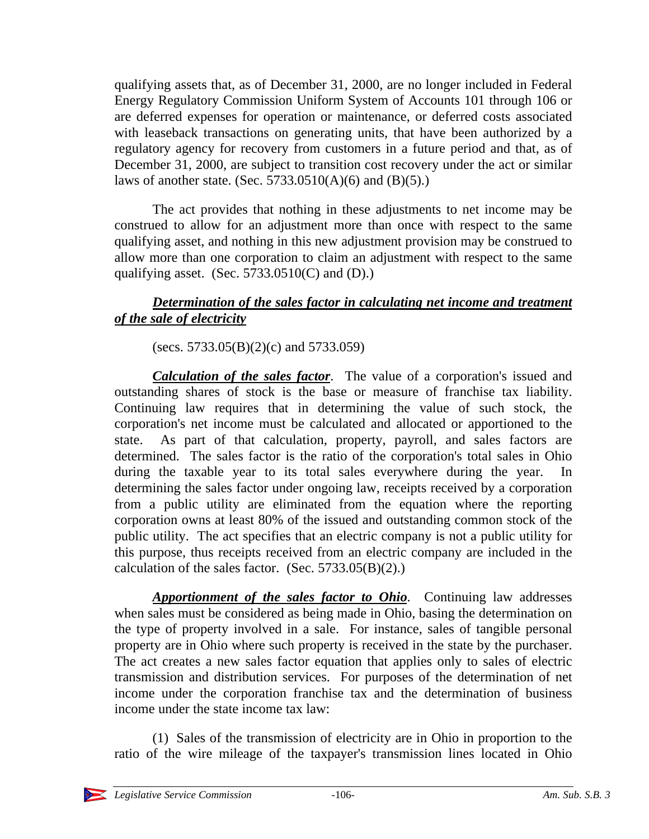qualifying assets that, as of December 31, 2000, are no longer included in Federal Energy Regulatory Commission Uniform System of Accounts 101 through 106 or are deferred expenses for operation or maintenance, or deferred costs associated with leaseback transactions on generating units, that have been authorized by a regulatory agency for recovery from customers in a future period and that, as of December 31, 2000, are subject to transition cost recovery under the act or similar laws of another state. (Sec. 5733.0510(A)(6) and (B)(5).)

The act provides that nothing in these adjustments to net income may be construed to allow for an adjustment more than once with respect to the same qualifying asset, and nothing in this new adjustment provision may be construed to allow more than one corporation to claim an adjustment with respect to the same qualifying asset. (Sec.  $5733.0510(C)$  and (D).)

## *Determination of the sales factor in calculating net income and treatment of the sale of electricity*

(secs.  $5733.05(B)(2)(c)$  and  $5733.059$ )

*Calculation of the sales factor*. The value of a corporation's issued and outstanding shares of stock is the base or measure of franchise tax liability. Continuing law requires that in determining the value of such stock, the corporation's net income must be calculated and allocated or apportioned to the state. As part of that calculation, property, payroll, and sales factors are determined. The sales factor is the ratio of the corporation's total sales in Ohio during the taxable year to its total sales everywhere during the year. determining the sales factor under ongoing law, receipts received by a corporation from a public utility are eliminated from the equation where the reporting corporation owns at least 80% of the issued and outstanding common stock of the public utility. The act specifies that an electric company is not a public utility for this purpose, thus receipts received from an electric company are included in the calculation of the sales factor. (Sec.  $5733.05(B)(2)$ .)

*Apportionment of the sales factor to Ohio*. Continuing law addresses when sales must be considered as being made in Ohio, basing the determination on the type of property involved in a sale. For instance, sales of tangible personal property are in Ohio where such property is received in the state by the purchaser. The act creates a new sales factor equation that applies only to sales of electric transmission and distribution services. For purposes of the determination of net income under the corporation franchise tax and the determination of business income under the state income tax law:

(1) Sales of the transmission of electricity are in Ohio in proportion to the ratio of the wire mileage of the taxpayer's transmission lines located in Ohio

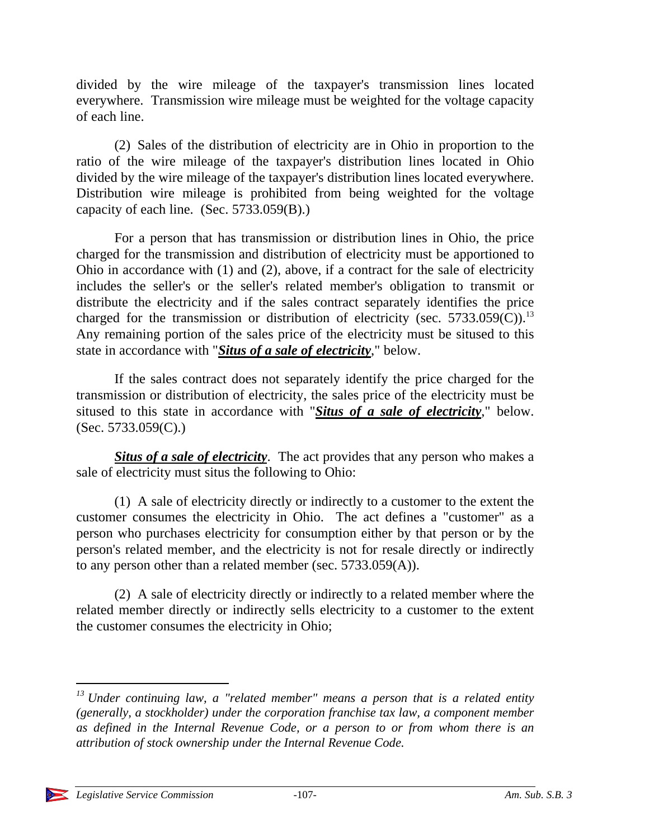divided by the wire mileage of the taxpayer's transmission lines located everywhere. Transmission wire mileage must be weighted for the voltage capacity of each line.

(2) Sales of the distribution of electricity are in Ohio in proportion to the ratio of the wire mileage of the taxpayer's distribution lines located in Ohio divided by the wire mileage of the taxpayer's distribution lines located everywhere. Distribution wire mileage is prohibited from being weighted for the voltage capacity of each line. (Sec. 5733.059(B).)

For a person that has transmission or distribution lines in Ohio, the price charged for the transmission and distribution of electricity must be apportioned to Ohio in accordance with (1) and (2), above, if a contract for the sale of electricity includes the seller's or the seller's related member's obligation to transmit or distribute the electricity and if the sales contract separately identifies the price charged for the transmission or distribution of electricity (sec. 5733.059(C)).<sup>13</sup> Any remaining portion of the sales price of the electricity must be sitused to this state in accordance with "*Situs of a sale of electricity*," below.

If the sales contract does not separately identify the price charged for the transmission or distribution of electricity, the sales price of the electricity must be sitused to this state in accordance with "*Situs of a sale of electricity*," below. (Sec. 5733.059(C).)

*Situs of a sale of electricity*. The act provides that any person who makes a sale of electricity must situs the following to Ohio:

(1) A sale of electricity directly or indirectly to a customer to the extent the customer consumes the electricity in Ohio. The act defines a "customer" as a person who purchases electricity for consumption either by that person or by the person's related member, and the electricity is not for resale directly or indirectly to any person other than a related member (sec. 5733.059(A)).

(2) A sale of electricity directly or indirectly to a related member where the related member directly or indirectly sells electricity to a customer to the extent the customer consumes the electricity in Ohio;

*<sup>13</sup> Under continuing law, a "related member" means a person that is a related entity (generally, a stockholder) under the corporation franchise tax law, a component member as defined in the Internal Revenue Code, or a person to or from whom there is an attribution of stock ownership under the Internal Revenue Code.*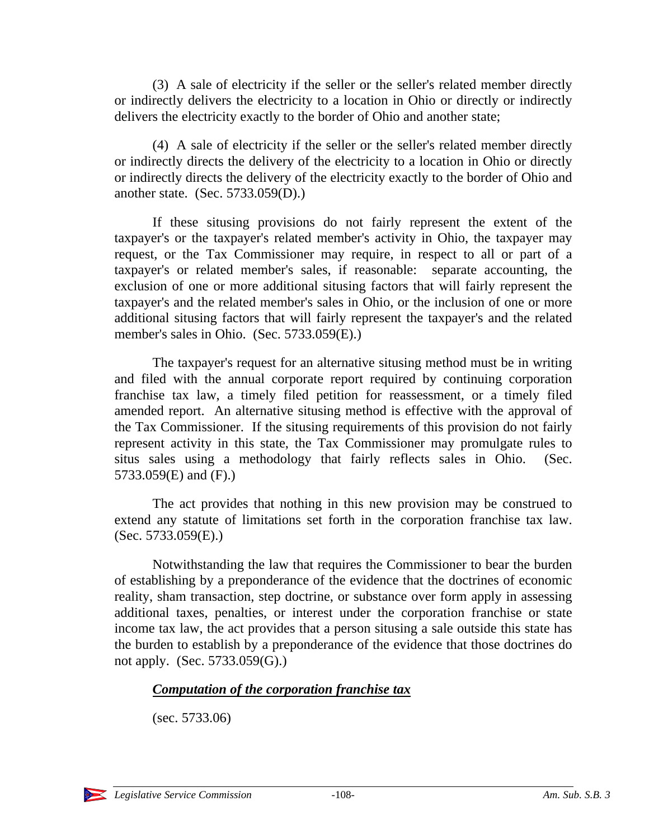(3) A sale of electricity if the seller or the seller's related member directly or indirectly delivers the electricity to a location in Ohio or directly or indirectly delivers the electricity exactly to the border of Ohio and another state;

(4) A sale of electricity if the seller or the seller's related member directly or indirectly directs the delivery of the electricity to a location in Ohio or directly or indirectly directs the delivery of the electricity exactly to the border of Ohio and another state. (Sec. 5733.059(D).)

If these situsing provisions do not fairly represent the extent of the taxpayer's or the taxpayer's related member's activity in Ohio, the taxpayer may request, or the Tax Commissioner may require, in respect to all or part of a taxpayer's or related member's sales, if reasonable: separate accounting, the exclusion of one or more additional situsing factors that will fairly represent the taxpayer's and the related member's sales in Ohio, or the inclusion of one or more additional situsing factors that will fairly represent the taxpayer's and the related member's sales in Ohio. (Sec. 5733.059(E).)

The taxpayer's request for an alternative situsing method must be in writing and filed with the annual corporate report required by continuing corporation franchise tax law, a timely filed petition for reassessment, or a timely filed amended report. An alternative situsing method is effective with the approval of the Tax Commissioner. If the situsing requirements of this provision do not fairly represent activity in this state, the Tax Commissioner may promulgate rules to situs sales using a methodology that fairly reflects sales in Ohio. (Sec. 5733.059(E) and (F).)

The act provides that nothing in this new provision may be construed to extend any statute of limitations set forth in the corporation franchise tax law.  $(Sec. 5733.059(E))$ .

Notwithstanding the law that requires the Commissioner to bear the burden of establishing by a preponderance of the evidence that the doctrines of economic reality, sham transaction, step doctrine, or substance over form apply in assessing additional taxes, penalties, or interest under the corporation franchise or state income tax law, the act provides that a person situsing a sale outside this state has the burden to establish by a preponderance of the evidence that those doctrines do not apply. (Sec. 5733.059(G).)

### *Computation of the corporation franchise tax*

(sec. 5733.06)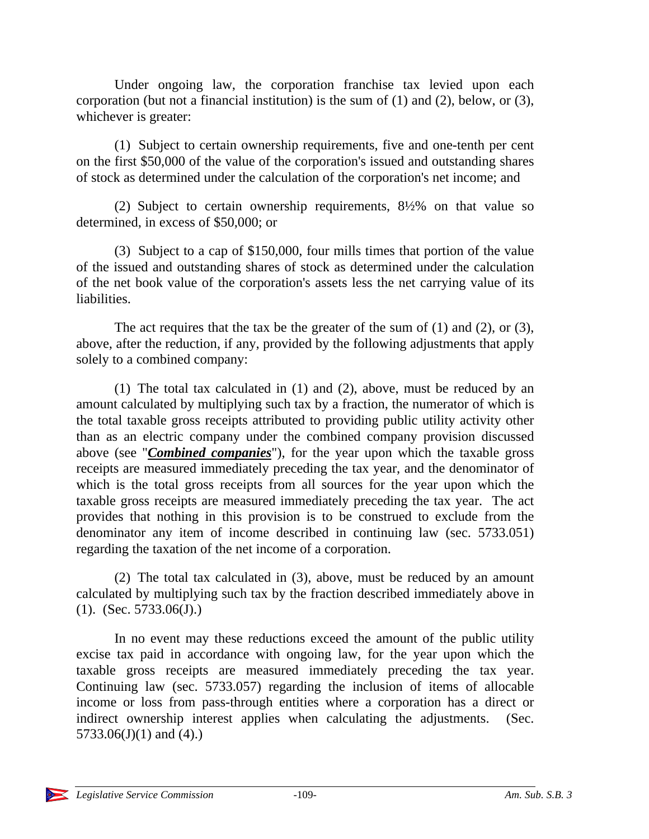Under ongoing law, the corporation franchise tax levied upon each corporation (but not a financial institution) is the sum of (1) and (2), below, or (3), whichever is greater:

(1) Subject to certain ownership requirements, five and one-tenth per cent on the first \$50,000 of the value of the corporation's issued and outstanding shares of stock as determined under the calculation of the corporation's net income; and

(2) Subject to certain ownership requirements, 8½% on that value so determined, in excess of \$50,000; or

(3) Subject to a cap of \$150,000, four mills times that portion of the value of the issued and outstanding shares of stock as determined under the calculation of the net book value of the corporation's assets less the net carrying value of its liabilities.

The act requires that the tax be the greater of the sum of (1) and (2), or (3), above, after the reduction, if any, provided by the following adjustments that apply solely to a combined company:

(1) The total tax calculated in (1) and (2), above, must be reduced by an amount calculated by multiplying such tax by a fraction, the numerator of which is the total taxable gross receipts attributed to providing public utility activity other than as an electric company under the combined company provision discussed above (see "*Combined companies*"), for the year upon which the taxable gross receipts are measured immediately preceding the tax year, and the denominator of which is the total gross receipts from all sources for the year upon which the taxable gross receipts are measured immediately preceding the tax year. The act provides that nothing in this provision is to be construed to exclude from the denominator any item of income described in continuing law (sec. 5733.051) regarding the taxation of the net income of a corporation.

(2) The total tax calculated in (3), above, must be reduced by an amount calculated by multiplying such tax by the fraction described immediately above in (1). (Sec. 5733.06(J).)

In no event may these reductions exceed the amount of the public utility excise tax paid in accordance with ongoing law, for the year upon which the taxable gross receipts are measured immediately preceding the tax year. Continuing law (sec. 5733.057) regarding the inclusion of items of allocable income or loss from pass-through entities where a corporation has a direct or indirect ownership interest applies when calculating the adjustments. (Sec.  $5733.06(J)(1)$  and  $(4)$ .)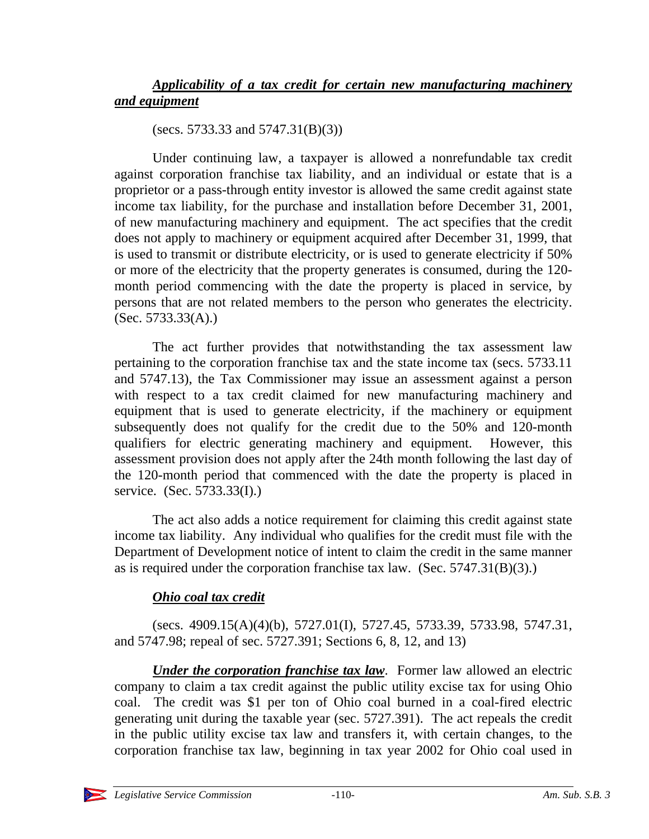# *Applicability of a tax credit for certain new manufacturing machinery and equipment*

(secs. 5733.33 and 5747.31(B)(3))

Under continuing law, a taxpayer is allowed a nonrefundable tax credit against corporation franchise tax liability, and an individual or estate that is a proprietor or a pass-through entity investor is allowed the same credit against state income tax liability, for the purchase and installation before December 31, 2001, of new manufacturing machinery and equipment. The act specifies that the credit does not apply to machinery or equipment acquired after December 31, 1999, that is used to transmit or distribute electricity, or is used to generate electricity if 50% or more of the electricity that the property generates is consumed, during the 120 month period commencing with the date the property is placed in service, by persons that are not related members to the person who generates the electricity. (Sec. 5733.33(A).)

The act further provides that notwithstanding the tax assessment law pertaining to the corporation franchise tax and the state income tax (secs. 5733.11 and 5747.13), the Tax Commissioner may issue an assessment against a person with respect to a tax credit claimed for new manufacturing machinery and equipment that is used to generate electricity, if the machinery or equipment subsequently does not qualify for the credit due to the 50% and 120-month qualifiers for electric generating machinery and equipment. However, this assessment provision does not apply after the 24th month following the last day of the 120-month period that commenced with the date the property is placed in service. (Sec. 5733.33(I).)

The act also adds a notice requirement for claiming this credit against state income tax liability. Any individual who qualifies for the credit must file with the Department of Development notice of intent to claim the credit in the same manner as is required under the corporation franchise tax law. (Sec. 5747.31(B)(3).)

# *Ohio coal tax credit*

(secs. 4909.15(A)(4)(b), 5727.01(I), 5727.45, 5733.39, 5733.98, 5747.31, and 5747.98; repeal of sec. 5727.391; Sections 6, 8, 12, and 13)

*Under the corporation franchise tax law.* Former law allowed an electric company to claim a tax credit against the public utility excise tax for using Ohio coal. The credit was \$1 per ton of Ohio coal burned in a coal-fired electric generating unit during the taxable year (sec. 5727.391). The act repeals the credit in the public utility excise tax law and transfers it, with certain changes, to the corporation franchise tax law, beginning in tax year 2002 for Ohio coal used in

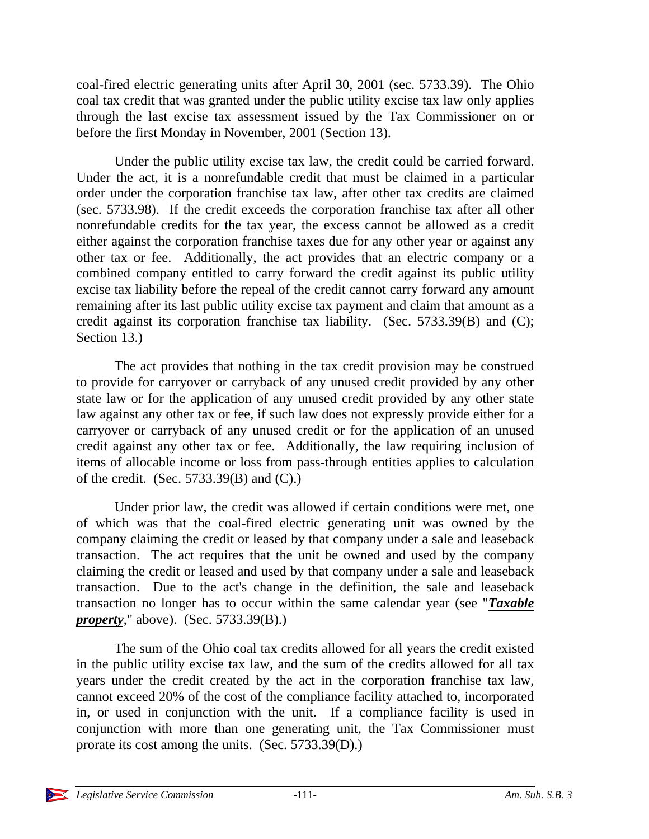coal-fired electric generating units after April 30, 2001 (sec. 5733.39). The Ohio coal tax credit that was granted under the public utility excise tax law only applies through the last excise tax assessment issued by the Tax Commissioner on or before the first Monday in November, 2001 (Section 13).

Under the public utility excise tax law, the credit could be carried forward. Under the act, it is a nonrefundable credit that must be claimed in a particular order under the corporation franchise tax law, after other tax credits are claimed (sec. 5733.98). If the credit exceeds the corporation franchise tax after all other nonrefundable credits for the tax year, the excess cannot be allowed as a credit either against the corporation franchise taxes due for any other year or against any other tax or fee. Additionally, the act provides that an electric company or a combined company entitled to carry forward the credit against its public utility excise tax liability before the repeal of the credit cannot carry forward any amount remaining after its last public utility excise tax payment and claim that amount as a credit against its corporation franchise tax liability. (Sec. 5733.39(B) and (C); Section 13.)

The act provides that nothing in the tax credit provision may be construed to provide for carryover or carryback of any unused credit provided by any other state law or for the application of any unused credit provided by any other state law against any other tax or fee, if such law does not expressly provide either for a carryover or carryback of any unused credit or for the application of an unused credit against any other tax or fee. Additionally, the law requiring inclusion of items of allocable income or loss from pass-through entities applies to calculation of the credit. (Sec. 5733.39(B) and (C).)

Under prior law, the credit was allowed if certain conditions were met, one of which was that the coal-fired electric generating unit was owned by the company claiming the credit or leased by that company under a sale and leaseback transaction. The act requires that the unit be owned and used by the company claiming the credit or leased and used by that company under a sale and leaseback transaction. Due to the act's change in the definition, the sale and leaseback transaction no longer has to occur within the same calendar year (see "*Taxable property*," above). (Sec. 5733.39(B).)

The sum of the Ohio coal tax credits allowed for all years the credit existed in the public utility excise tax law, and the sum of the credits allowed for all tax years under the credit created by the act in the corporation franchise tax law, cannot exceed 20% of the cost of the compliance facility attached to, incorporated in, or used in conjunction with the unit. If a compliance facility is used in conjunction with more than one generating unit, the Tax Commissioner must prorate its cost among the units. (Sec. 5733.39(D).)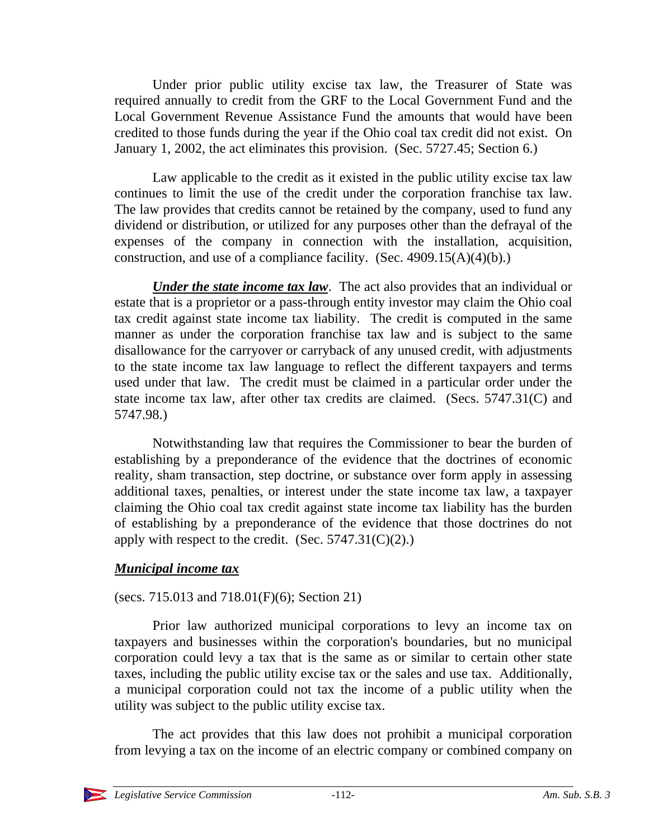Under prior public utility excise tax law, the Treasurer of State was required annually to credit from the GRF to the Local Government Fund and the Local Government Revenue Assistance Fund the amounts that would have been credited to those funds during the year if the Ohio coal tax credit did not exist. On January 1, 2002, the act eliminates this provision. (Sec. 5727.45; Section 6.)

Law applicable to the credit as it existed in the public utility excise tax law continues to limit the use of the credit under the corporation franchise tax law. The law provides that credits cannot be retained by the company, used to fund any dividend or distribution, or utilized for any purposes other than the defrayal of the expenses of the company in connection with the installation, acquisition, construction, and use of a compliance facility. (Sec.  $4909.15(A)(4)(b)$ .)

*Under the state income tax law*. The act also provides that an individual or estate that is a proprietor or a pass-through entity investor may claim the Ohio coal tax credit against state income tax liability. The credit is computed in the same manner as under the corporation franchise tax law and is subject to the same disallowance for the carryover or carryback of any unused credit, with adjustments to the state income tax law language to reflect the different taxpayers and terms used under that law. The credit must be claimed in a particular order under the state income tax law, after other tax credits are claimed. (Secs. 5747.31(C) and 5747.98.)

Notwithstanding law that requires the Commissioner to bear the burden of establishing by a preponderance of the evidence that the doctrines of economic reality, sham transaction, step doctrine, or substance over form apply in assessing additional taxes, penalties, or interest under the state income tax law, a taxpayer claiming the Ohio coal tax credit against state income tax liability has the burden of establishing by a preponderance of the evidence that those doctrines do not apply with respect to the credit. (Sec.  $5747.31(C)(2)$ .)

## *Municipal income tax*

(secs. 715.013 and 718.01(F)(6); Section 21)

Prior law authorized municipal corporations to levy an income tax on taxpayers and businesses within the corporation's boundaries, but no municipal corporation could levy a tax that is the same as or similar to certain other state taxes, including the public utility excise tax or the sales and use tax. Additionally, a municipal corporation could not tax the income of a public utility when the utility was subject to the public utility excise tax.

The act provides that this law does not prohibit a municipal corporation from levying a tax on the income of an electric company or combined company on

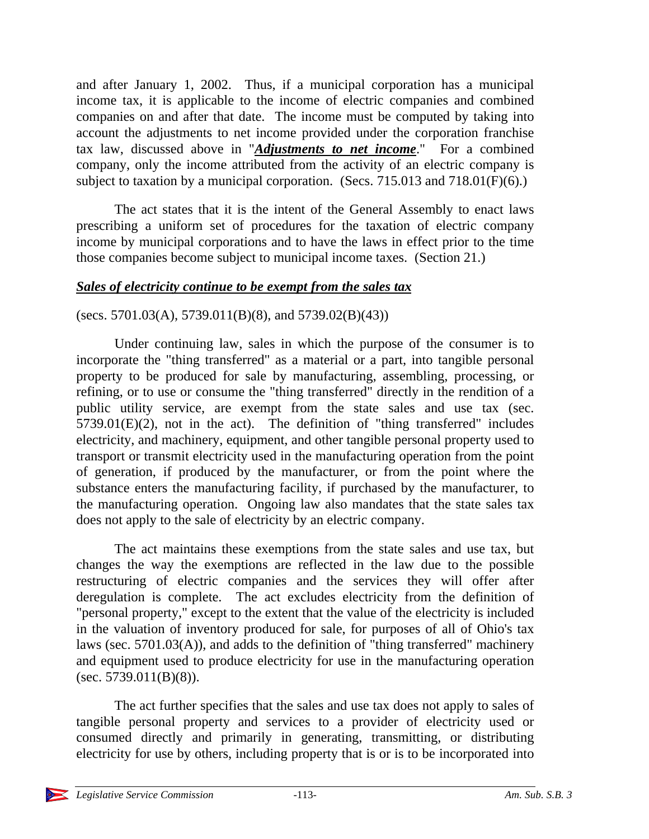and after January 1, 2002. Thus, if a municipal corporation has a municipal income tax, it is applicable to the income of electric companies and combined companies on and after that date. The income must be computed by taking into account the adjustments to net income provided under the corporation franchise tax law, discussed above in "*Adjustments to net income*." For a combined company, only the income attributed from the activity of an electric company is subject to taxation by a municipal corporation. (Secs. 715.013 and 718.01(F)(6).)

The act states that it is the intent of the General Assembly to enact laws prescribing a uniform set of procedures for the taxation of electric company income by municipal corporations and to have the laws in effect prior to the time those companies become subject to municipal income taxes. (Section 21.)

## *Sales of electricity continue to be exempt from the sales tax*

#### (secs. 5701.03(A), 5739.011(B)(8), and 5739.02(B)(43))

Under continuing law, sales in which the purpose of the consumer is to incorporate the "thing transferred" as a material or a part, into tangible personal property to be produced for sale by manufacturing, assembling, processing, or refining, or to use or consume the "thing transferred" directly in the rendition of a public utility service, are exempt from the state sales and use tax (sec. 5739.01(E)(2), not in the act). The definition of "thing transferred" includes electricity, and machinery, equipment, and other tangible personal property used to transport or transmit electricity used in the manufacturing operation from the point of generation, if produced by the manufacturer, or from the point where the substance enters the manufacturing facility, if purchased by the manufacturer, to the manufacturing operation. Ongoing law also mandates that the state sales tax does not apply to the sale of electricity by an electric company.

The act maintains these exemptions from the state sales and use tax, but changes the way the exemptions are reflected in the law due to the possible restructuring of electric companies and the services they will offer after deregulation is complete. The act excludes electricity from the definition of "personal property," except to the extent that the value of the electricity is included in the valuation of inventory produced for sale, for purposes of all of Ohio's tax laws (sec. 5701.03(A)), and adds to the definition of "thing transferred" machinery and equipment used to produce electricity for use in the manufacturing operation  $(sec. 5739.011(B)(8)).$ 

The act further specifies that the sales and use tax does not apply to sales of tangible personal property and services to a provider of electricity used or consumed directly and primarily in generating, transmitting, or distributing electricity for use by others, including property that is or is to be incorporated into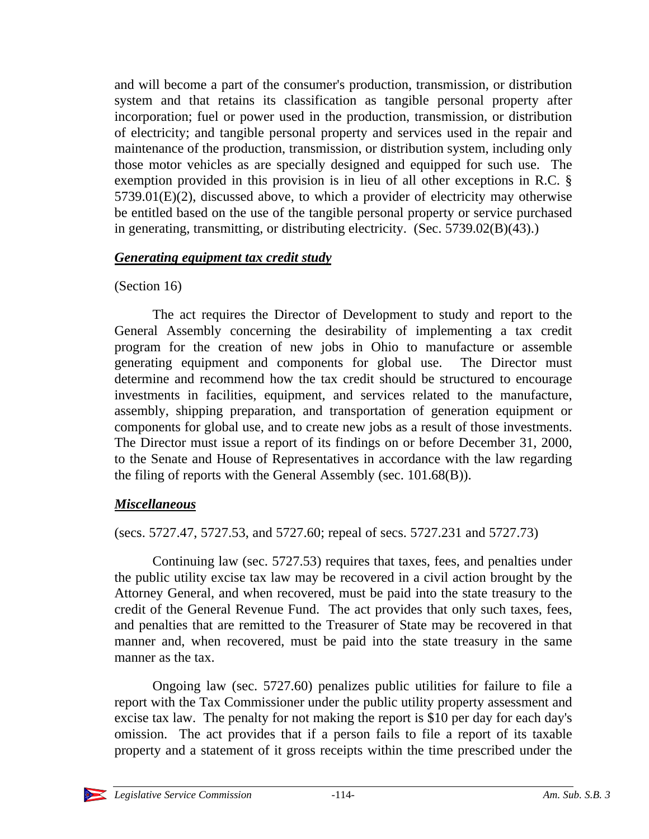and will become a part of the consumer's production, transmission, or distribution system and that retains its classification as tangible personal property after incorporation; fuel or power used in the production, transmission, or distribution of electricity; and tangible personal property and services used in the repair and maintenance of the production, transmission, or distribution system, including only those motor vehicles as are specially designed and equipped for such use. The exemption provided in this provision is in lieu of all other exceptions in R.C. § 5739.01(E)(2), discussed above, to which a provider of electricity may otherwise be entitled based on the use of the tangible personal property or service purchased in generating, transmitting, or distributing electricity. (Sec. 5739.02(B)(43).)

## *Generating equipment tax credit study*

## (Section 16)

The act requires the Director of Development to study and report to the General Assembly concerning the desirability of implementing a tax credit program for the creation of new jobs in Ohio to manufacture or assemble generating equipment and components for global use. The Director must determine and recommend how the tax credit should be structured to encourage investments in facilities, equipment, and services related to the manufacture, assembly, shipping preparation, and transportation of generation equipment or components for global use, and to create new jobs as a result of those investments. The Director must issue a report of its findings on or before December 31, 2000, to the Senate and House of Representatives in accordance with the law regarding the filing of reports with the General Assembly (sec. 101.68(B)).

## *Miscellaneous*

(secs. 5727.47, 5727.53, and 5727.60; repeal of secs. 5727.231 and 5727.73)

Continuing law (sec. 5727.53) requires that taxes, fees, and penalties under the public utility excise tax law may be recovered in a civil action brought by the Attorney General, and when recovered, must be paid into the state treasury to the credit of the General Revenue Fund. The act provides that only such taxes, fees, and penalties that are remitted to the Treasurer of State may be recovered in that manner and, when recovered, must be paid into the state treasury in the same manner as the tax.

Ongoing law (sec. 5727.60) penalizes public utilities for failure to file a report with the Tax Commissioner under the public utility property assessment and excise tax law. The penalty for not making the report is \$10 per day for each day's omission. The act provides that if a person fails to file a report of its taxable property and a statement of it gross receipts within the time prescribed under the